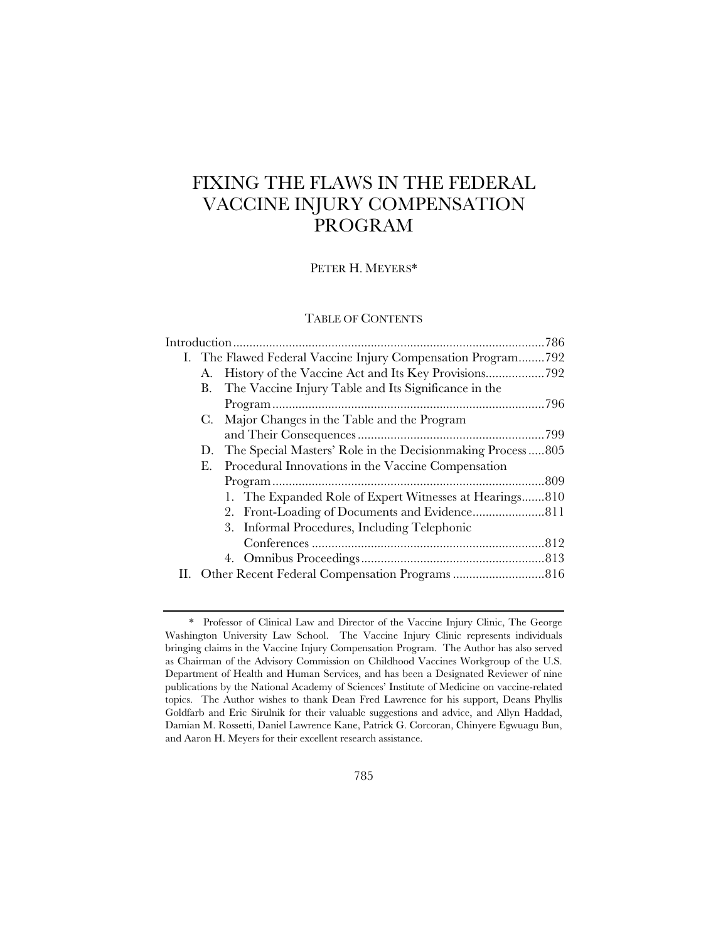# FIXING THE FLAWS IN THE FEDERAL VACCINE INJURY COMPENSATION PROGRAM

PETER H. MEYERS\*

# TABLE OF CONTENTS

|  |    | I. The Flawed Federal Vaccine Injury Compensation Program792 |  |  |  |  |
|--|----|--------------------------------------------------------------|--|--|--|--|
|  | А. |                                                              |  |  |  |  |
|  | В. | The Vaccine Injury Table and Its Significance in the         |  |  |  |  |
|  |    |                                                              |  |  |  |  |
|  |    | C. Major Changes in the Table and the Program                |  |  |  |  |
|  |    |                                                              |  |  |  |  |
|  | D. | The Special Masters' Role in the Decision making Process805  |  |  |  |  |
|  | Е. | Procedural Innovations in the Vaccine Compensation           |  |  |  |  |
|  |    |                                                              |  |  |  |  |
|  |    | 1. The Expanded Role of Expert Witnesses at Hearings810      |  |  |  |  |
|  |    | 2. Front-Loading of Documents and Evidence 811               |  |  |  |  |
|  |    | 3. Informal Procedures, Including Telephonic                 |  |  |  |  |
|  |    |                                                              |  |  |  |  |
|  |    |                                                              |  |  |  |  |
|  |    |                                                              |  |  |  |  |
|  |    |                                                              |  |  |  |  |

<sup>\*</sup> Professor of Clinical Law and Director of the Vaccine Injury Clinic, The George Washington University Law School. The Vaccine Injury Clinic represents individuals bringing claims in the Vaccine Injury Compensation Program. The Author has also served as Chairman of the Advisory Commission on Childhood Vaccines Workgroup of the U.S. Department of Health and Human Services, and has been a Designated Reviewer of nine publications by the National Academy of Sciences' Institute of Medicine on vaccine-related topics. The Author wishes to thank Dean Fred Lawrence for his support, Deans Phyllis Goldfarb and Eric Sirulnik for their valuable suggestions and advice, and Allyn Haddad, Damian M. Rossetti, Daniel Lawrence Kane, Patrick G. Corcoran, Chinyere Egwuagu Bun, and Aaron H. Meyers for their excellent research assistance.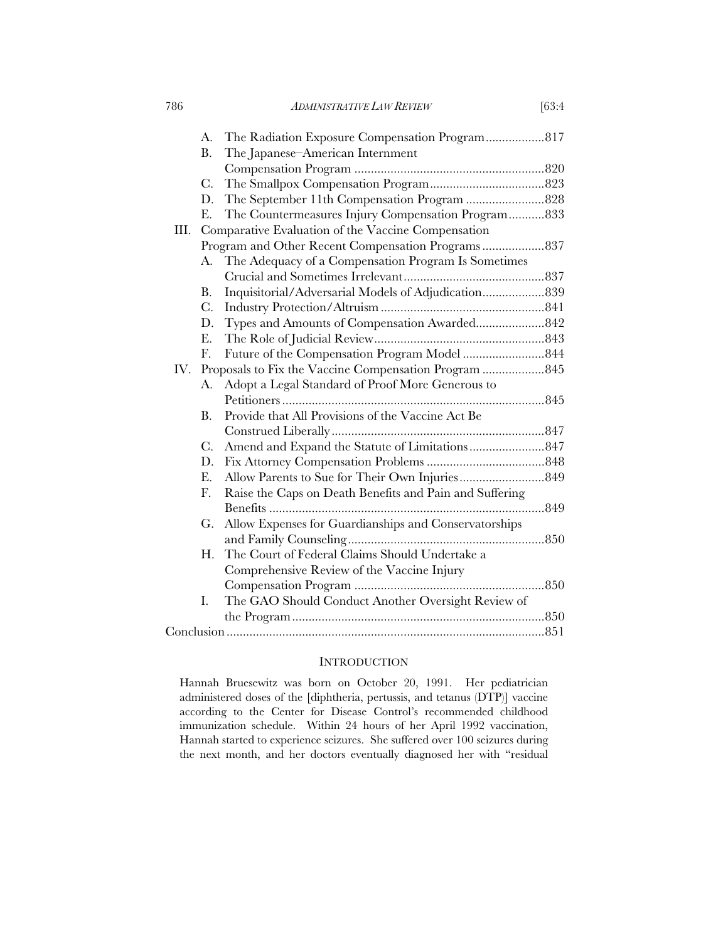| 786  |                                                    | [63:4]<br><b>ADMINISTRATIVE LAW REVIEW</b>              |  |
|------|----------------------------------------------------|---------------------------------------------------------|--|
|      | A.                                                 | The Radiation Exposure Compensation Program 817         |  |
|      | <b>B.</b>                                          | The Japanese-American Internment                        |  |
|      |                                                    |                                                         |  |
|      | $C$ .                                              |                                                         |  |
|      | D.                                                 |                                                         |  |
|      | E.                                                 | The Countermeasures Injury Compensation Program833      |  |
| III. |                                                    | Comparative Evaluation of the Vaccine Compensation      |  |
|      | Program and Other Recent Compensation Programs 837 |                                                         |  |
|      | A.                                                 | The Adequacy of a Compensation Program Is Sometimes     |  |
|      |                                                    |                                                         |  |
|      | В.                                                 | Inquisitorial/Adversarial Models of Adjudication 839    |  |
|      | $C$ .                                              |                                                         |  |
|      | D.                                                 | Types and Amounts of Compensation Awarded 842           |  |
|      | E.                                                 |                                                         |  |
|      | F.                                                 |                                                         |  |
| IV.  |                                                    | Proposals to Fix the Vaccine Compensation Program  845  |  |
|      | A.                                                 | Adopt a Legal Standard of Proof More Generous to        |  |
|      |                                                    |                                                         |  |
|      | В.                                                 | Provide that All Provisions of the Vaccine Act Be       |  |
|      |                                                    |                                                         |  |
|      | C.                                                 | Amend and Expand the Statute of Limitations 847         |  |
|      | D.                                                 |                                                         |  |
|      | Е.                                                 |                                                         |  |
|      | F.                                                 | Raise the Caps on Death Benefits and Pain and Suffering |  |
|      |                                                    |                                                         |  |
|      | G.                                                 | Allow Expenses for Guardianships and Conservatorships   |  |
|      |                                                    |                                                         |  |
|      | H.                                                 | The Court of Federal Claims Should Undertake a          |  |
|      |                                                    | Comprehensive Review of the Vaccine Injury              |  |
|      |                                                    |                                                         |  |
|      | I.                                                 | The GAO Should Conduct Another Oversight Review of      |  |
|      |                                                    |                                                         |  |
|      |                                                    |                                                         |  |

# **INTRODUCTION**

Hannah Bruesewitz was born on October 20, 1991. Her pediatrician administered doses of the [diphtheria, pertussis, and tetanus (DTP)] vaccine according to the Center for Disease Control's recommended childhood immunization schedule. Within 24 hours of her April 1992 vaccination, Hannah started to experience seizures. She suffered over 100 seizures during the next month, and her doctors eventually diagnosed her with "residual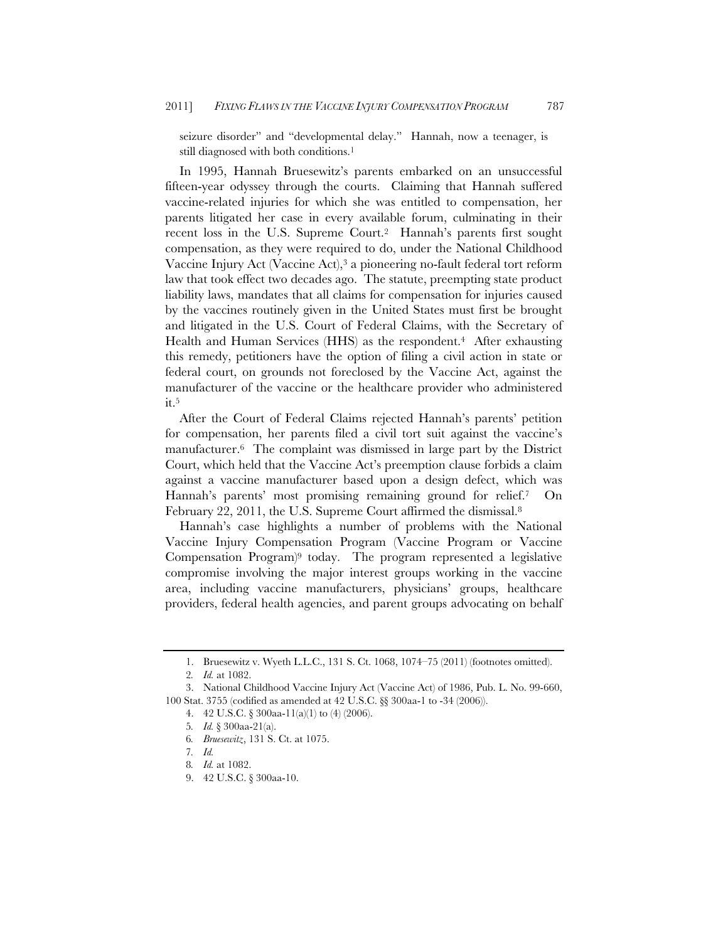seizure disorder" and "developmental delay." Hannah, now a teenager, is still diagnosed with both conditions.<sup>1</sup>

In 1995, Hannah Bruesewitz's parents embarked on an unsuccessful fifteen-year odyssey through the courts. Claiming that Hannah suffered vaccine-related injuries for which she was entitled to compensation, her parents litigated her case in every available forum, culminating in their recent loss in the U.S. Supreme Court.<sup>2</sup> Hannah's parents first sought compensation, as they were required to do, under the National Childhood Vaccine Injury Act (Vaccine Act),3 a pioneering no-fault federal tort reform law that took effect two decades ago. The statute, preempting state product liability laws, mandates that all claims for compensation for injuries caused by the vaccines routinely given in the United States must first be brought and litigated in the U.S. Court of Federal Claims, with the Secretary of Health and Human Services (HHS) as the respondent.<sup>4</sup> After exhausting this remedy, petitioners have the option of filing a civil action in state or federal court, on grounds not foreclosed by the Vaccine Act, against the manufacturer of the vaccine or the healthcare provider who administered it.5

After the Court of Federal Claims rejected Hannah's parents' petition for compensation, her parents filed a civil tort suit against the vaccine's manufacturer.6 The complaint was dismissed in large part by the District Court, which held that the Vaccine Act's preemption clause forbids a claim against a vaccine manufacturer based upon a design defect, which was Hannah's parents' most promising remaining ground for relief.7 On February 22, 2011, the U.S. Supreme Court affirmed the dismissal.<sup>8</sup>

Hannah's case highlights a number of problems with the National Vaccine Injury Compensation Program (Vaccine Program or Vaccine Compensation Program)9 today. The program represented a legislative compromise involving the major interest groups working in the vaccine area, including vaccine manufacturers, physicians' groups, healthcare providers, federal health agencies, and parent groups advocating on behalf

<sup>1.</sup> Bruesewitz v. Wyeth L.L.C., 131 S. Ct. 1068, 1074–75 (2011) (footnotes omitted).

<sup>2</sup>*. Id.* at 1082.

<sup>3.</sup> National Childhood Vaccine Injury Act (Vaccine Act) of 1986, Pub. L. No. 99-660, 100 Stat. 3755 (codified as amended at 42 U.S.C. §§ 300aa-1 to -34 (2006)).

<sup>4. 42</sup> U.S.C. § 300aa-11(a)(1) to (4) (2006).

<sup>5</sup>*. Id.* § 300aa-21(a).

<sup>6</sup>*. Bruesewitz*, 131 S. Ct. at 1075.

<sup>7</sup>*. Id.*

<sup>8</sup>*. Id.* at 1082.

<sup>9. 42</sup> U.S.C. § 300aa-10.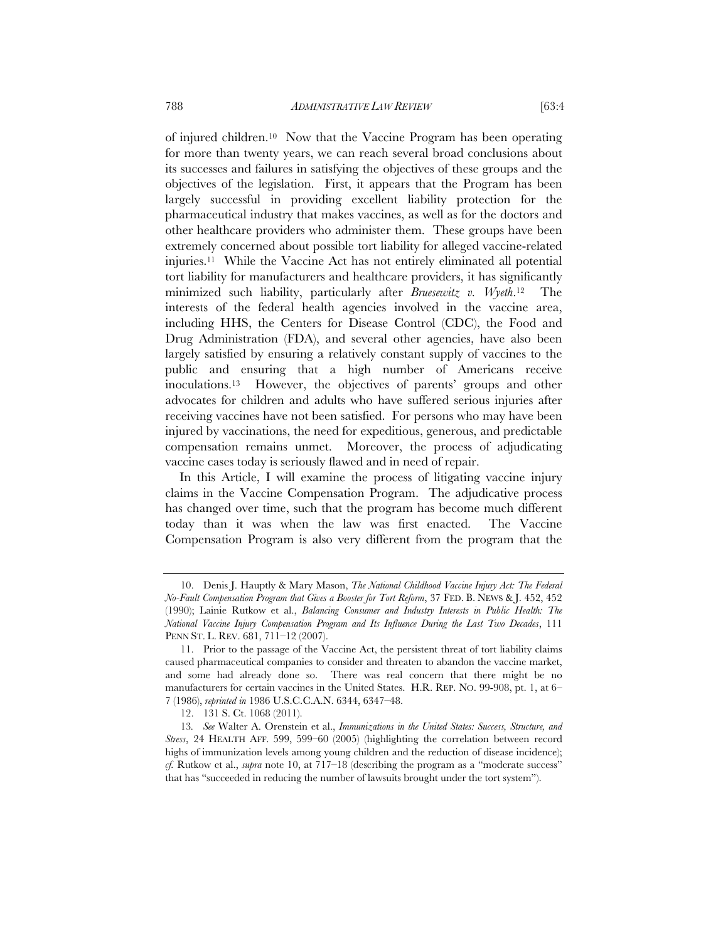of injured children.10 Now that the Vaccine Program has been operating for more than twenty years, we can reach several broad conclusions about its successes and failures in satisfying the objectives of these groups and the objectives of the legislation. First, it appears that the Program has been largely successful in providing excellent liability protection for the pharmaceutical industry that makes vaccines, as well as for the doctors and other healthcare providers who administer them. These groups have been extremely concerned about possible tort liability for alleged vaccine-related injuries.11 While the Vaccine Act has not entirely eliminated all potential tort liability for manufacturers and healthcare providers, it has significantly minimized such liability, particularly after *Bruesewitz v. Wyeth*.12 The interests of the federal health agencies involved in the vaccine area, including HHS, the Centers for Disease Control (CDC), the Food and Drug Administration (FDA), and several other agencies, have also been largely satisfied by ensuring a relatively constant supply of vaccines to the public and ensuring that a high number of Americans receive inoculations.13 However, the objectives of parents' groups and other advocates for children and adults who have suffered serious injuries after receiving vaccines have not been satisfied. For persons who may have been injured by vaccinations, the need for expeditious, generous, and predictable compensation remains unmet. Moreover, the process of adjudicating vaccine cases today is seriously flawed and in need of repair.

In this Article, I will examine the process of litigating vaccine injury claims in the Vaccine Compensation Program. The adjudicative process has changed over time, such that the program has become much different today than it was when the law was first enacted. The Vaccine Compensation Program is also very different from the program that the

<sup>10.</sup> Denis J. Hauptly & Mary Mason, *The National Childhood Vaccine Injury Act: The Federal No-Fault Compensation Program that Gives a Booster for Tort Reform*, 37 FED. B. NEWS & J. 452, 452 (1990); Lainie Rutkow et al., *Balancing Consumer and Industry Interests in Public Health: The National Vaccine Injury Compensation Program and Its Influence During the Last Two Decades*, 111 PENN ST. L. REV. 681, 711–12 (2007).

<sup>11.</sup> Prior to the passage of the Vaccine Act, the persistent threat of tort liability claims caused pharmaceutical companies to consider and threaten to abandon the vaccine market, and some had already done so. There was real concern that there might be no manufacturers for certain vaccines in the United States. H.R. REP. NO. 99-908, pt. 1, at 6– 7 (1986), *reprinted in* 1986 U.S.C.C.A.N. 6344, 6347–48.

<sup>12. 131</sup> S. Ct. 1068 (2011).

<sup>13</sup>*. See* Walter A. Orenstein et al., *Immunizations in the United States: Success, Structure, and Stress*, 24 HEALTH AFF. 599, 599–60 (2005) (highlighting the correlation between record highs of immunization levels among young children and the reduction of disease incidence); *cf.* Rutkow et al., *supra* note 10, at 717–18 (describing the program as a "moderate success" that has "succeeded in reducing the number of lawsuits brought under the tort system").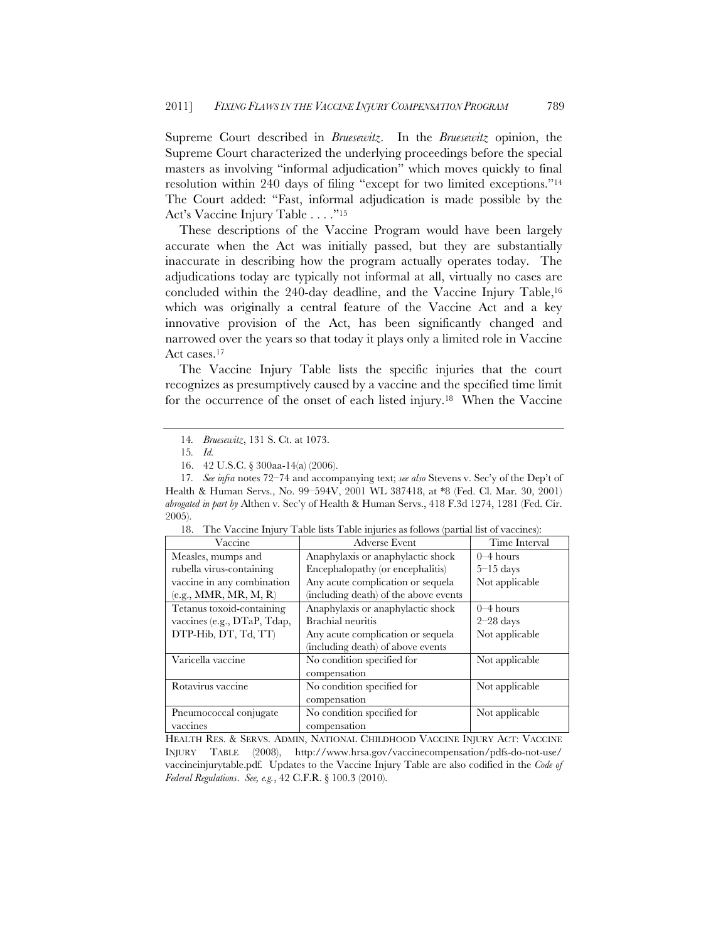Supreme Court described in *Bruesewitz*. In the *Bruesewitz* opinion, the Supreme Court characterized the underlying proceedings before the special masters as involving "informal adjudication" which moves quickly to final resolution within 240 days of filing "except for two limited exceptions."14 The Court added: "Fast, informal adjudication is made possible by the Act's Vaccine Injury Table . . . ."15

These descriptions of the Vaccine Program would have been largely accurate when the Act was initially passed, but they are substantially inaccurate in describing how the program actually operates today. The adjudications today are typically not informal at all, virtually no cases are concluded within the 240-day deadline, and the Vaccine Injury Table,<sup>16</sup> which was originally a central feature of the Vaccine Act and a key innovative provision of the Act, has been significantly changed and narrowed over the years so that today it plays only a limited role in Vaccine Act cases.17

The Vaccine Injury Table lists the specific injuries that the court recognizes as presumptively caused by a vaccine and the specified time limit for the occurrence of the onset of each listed injury.18 When the Vaccine

<sup>17</sup>*. See infra* notes 72–74 and accompanying text; *see also* Stevens v. Sec'y of the Dep't of Health & Human Servs., No. 99–594V, 2001 WL 387418, at \*8 (Fed. Cl. Mar. 30, 2001) *abrogated in part by* Althen v. Sec'y of Health & Human Servs., 418 F.3d 1274, 1281 (Fed. Cir. 2005).

| Vaccine                     | Adverse Event                         | Time Interval  |
|-----------------------------|---------------------------------------|----------------|
| Measles, mumps and          | Anaphylaxis or anaphylactic shock     | $0-4$ hours    |
| rubella virus-containing    | Encephalopathy (or encephalitis)      | $5-15$ days    |
| vaccine in any combination  | Any acute complication or sequela     | Not applicable |
| (e.g., MMR, MR, M, R)       | (including death) of the above events |                |
| Tetanus toxoid-containing   | Anaphylaxis or anaphylactic shock     | $0 - 4$ hours  |
| vaccines (e.g., DTaP, Tdap, | Brachial neuritis                     | $2-28$ days    |
| DTP-Hib, DT, Td, TT)        | Any acute complication or sequela     | Not applicable |
|                             | (including death) of above events     |                |
| Varicella vaccine           | No condition specified for            | Not applicable |
|                             | compensation                          |                |
| Rotavirus vaccine           | No condition specified for            | Not applicable |
|                             | compensation                          |                |
| Pneumococcal conjugate      | No condition specified for            | Not applicable |
| vaccines                    | compensation                          |                |

18. The Vaccine Injury Table lists Table injuries as follows (partial list of vaccines):

HEALTH RES. & SERVS. ADMIN, NATIONAL CHILDHOOD VACCINE INJURY ACT: VACCINE INJURY TABLE (2008), http://www.hrsa.gov/vaccinecompensation/pdfs-do-not-use/ vaccineinjurytable.pdf*.* Updates to the Vaccine Injury Table are also codified in the *Code of Federal Regulations*. *See, e.g.*, 42 C.F.R. § 100.3 (2010).

<sup>14</sup>*. Bruesewitz*, 131 S. Ct. at 1073.

<sup>15</sup>*. Id.*

<sup>16. 42</sup> U.S.C. § 300aa-14(a) (2006).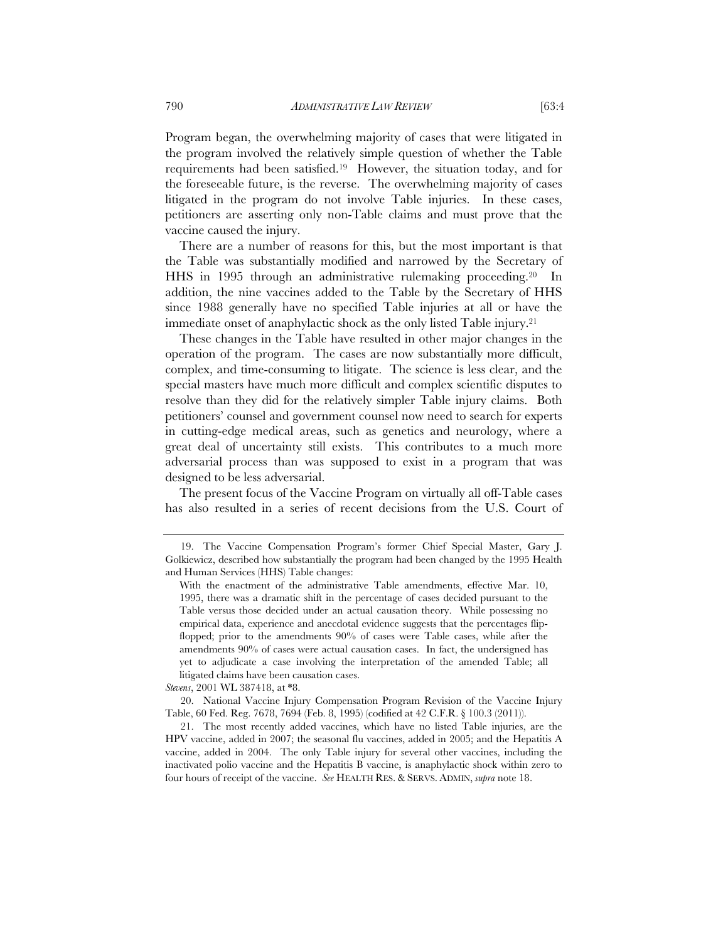Program began, the overwhelming majority of cases that were litigated in the program involved the relatively simple question of whether the Table requirements had been satisfied.19 However, the situation today, and for the foreseeable future, is the reverse. The overwhelming majority of cases litigated in the program do not involve Table injuries. In these cases, petitioners are asserting only non-Table claims and must prove that the vaccine caused the injury.

There are a number of reasons for this, but the most important is that the Table was substantially modified and narrowed by the Secretary of HHS in 1995 through an administrative rulemaking proceeding.20 In addition, the nine vaccines added to the Table by the Secretary of HHS since 1988 generally have no specified Table injuries at all or have the immediate onset of anaphylactic shock as the only listed Table injury.21

These changes in the Table have resulted in other major changes in the operation of the program. The cases are now substantially more difficult, complex, and time-consuming to litigate. The science is less clear, and the special masters have much more difficult and complex scientific disputes to resolve than they did for the relatively simpler Table injury claims. Both petitioners' counsel and government counsel now need to search for experts in cutting-edge medical areas, such as genetics and neurology, where a great deal of uncertainty still exists. This contributes to a much more adversarial process than was supposed to exist in a program that was designed to be less adversarial.

The present focus of the Vaccine Program on virtually all off-Table cases has also resulted in a series of recent decisions from the U.S. Court of

*Stevens*, 2001 WL 387418, at \*8.

20. National Vaccine Injury Compensation Program Revision of the Vaccine Injury Table, 60 Fed. Reg. 7678, 7694 (Feb. 8, 1995) (codified at 42 C.F.R. § 100.3 (2011)).

21. The most recently added vaccines, which have no listed Table injuries, are the HPV vaccine, added in 2007; the seasonal flu vaccines, added in 2005; and the Hepatitis A vaccine, added in 2004. The only Table injury for several other vaccines, including the inactivated polio vaccine and the Hepatitis B vaccine, is anaphylactic shock within zero to four hours of receipt of the vaccine. *See* HEALTH RES. & SERVS. ADMIN, *supra* note 18.

<sup>19.</sup> The Vaccine Compensation Program's former Chief Special Master, Gary J. Golkiewicz, described how substantially the program had been changed by the 1995 Health and Human Services (HHS) Table changes:

With the enactment of the administrative Table amendments, effective Mar. 10, 1995, there was a dramatic shift in the percentage of cases decided pursuant to the Table versus those decided under an actual causation theory. While possessing no empirical data, experience and anecdotal evidence suggests that the percentages flipflopped; prior to the amendments 90% of cases were Table cases, while after the amendments 90% of cases were actual causation cases. In fact, the undersigned has yet to adjudicate a case involving the interpretation of the amended Table; all litigated claims have been causation cases.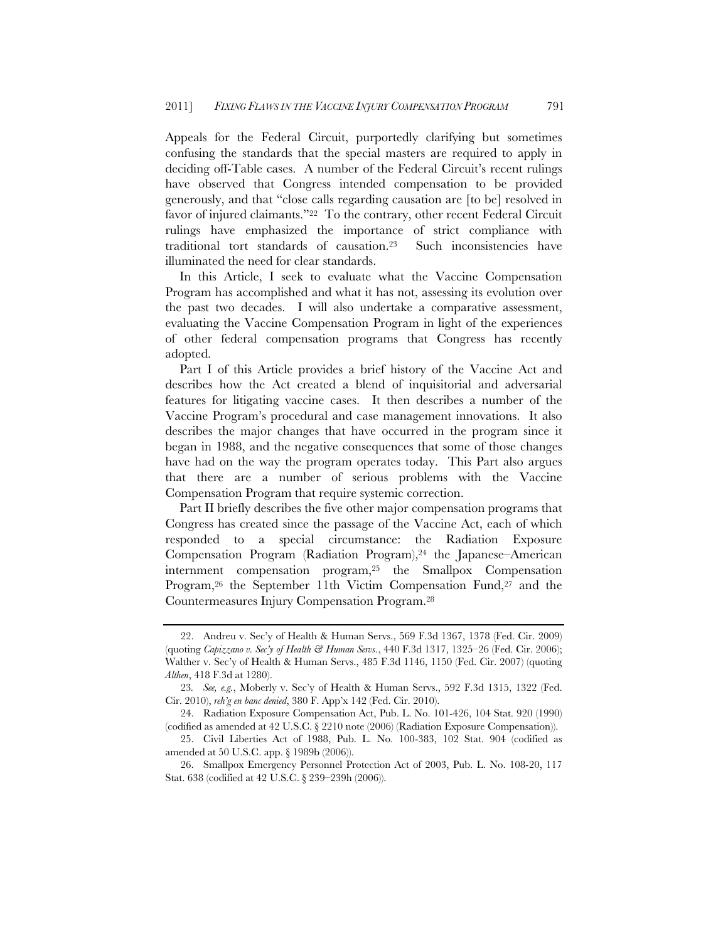Appeals for the Federal Circuit, purportedly clarifying but sometimes confusing the standards that the special masters are required to apply in deciding off-Table cases. A number of the Federal Circuit's recent rulings have observed that Congress intended compensation to be provided generously, and that "close calls regarding causation are [to be] resolved in favor of injured claimants."22 To the contrary, other recent Federal Circuit rulings have emphasized the importance of strict compliance with traditional tort standards of causation.23 Such inconsistencies have illuminated the need for clear standards.

In this Article, I seek to evaluate what the Vaccine Compensation Program has accomplished and what it has not, assessing its evolution over the past two decades. I will also undertake a comparative assessment, evaluating the Vaccine Compensation Program in light of the experiences of other federal compensation programs that Congress has recently adopted.

Part I of this Article provides a brief history of the Vaccine Act and describes how the Act created a blend of inquisitorial and adversarial features for litigating vaccine cases. It then describes a number of the Vaccine Program's procedural and case management innovations. It also describes the major changes that have occurred in the program since it began in 1988, and the negative consequences that some of those changes have had on the way the program operates today. This Part also argues that there are a number of serious problems with the Vaccine Compensation Program that require systemic correction.

Part II briefly describes the five other major compensation programs that Congress has created since the passage of the Vaccine Act, each of which responded to a special circumstance: the Radiation Exposure Compensation Program (Radiation Program), $24$  the Japanese–American internment compensation program,25 the Smallpox Compensation Program,<sup>26</sup> the September 11th Victim Compensation Fund,<sup>27</sup> and the Countermeasures Injury Compensation Program.28

<sup>22.</sup> Andreu v. Sec'y of Health & Human Servs., 569 F.3d 1367, 1378 (Fed. Cir. 2009) (quoting *Capizzano v. Sec'y of Health & Human Servs*., 440 F.3d 1317, 1325–26 (Fed. Cir. 2006); Walther v. Sec'y of Health & Human Servs., 485 F.3d 1146, 1150 (Fed. Cir. 2007) (quoting *Althen*, 418 F.3d at 1280).

<sup>23</sup>*. See, e.g.*, Moberly v. Sec'y of Health & Human Servs., 592 F.3d 1315, 1322 (Fed. Cir. 2010), *reh'g en banc denied*, 380 F. App'x 142 (Fed. Cir. 2010).

<sup>24.</sup> Radiation Exposure Compensation Act, Pub. L. No. 101-426, 104 Stat. 920 (1990) (codified as amended at 42 U.S.C. § 2210 note (2006) (Radiation Exposure Compensation)).

<sup>25.</sup> Civil Liberties Act of 1988, Pub. L. No. 100-383, 102 Stat. 904 (codified as amended at 50 U.S.C. app. § 1989b (2006)).

<sup>26.</sup> Smallpox Emergency Personnel Protection Act of 2003, Pub. L. No. 108-20, 117 Stat. 638 (codified at 42 U.S.C. § 239–239h (2006)).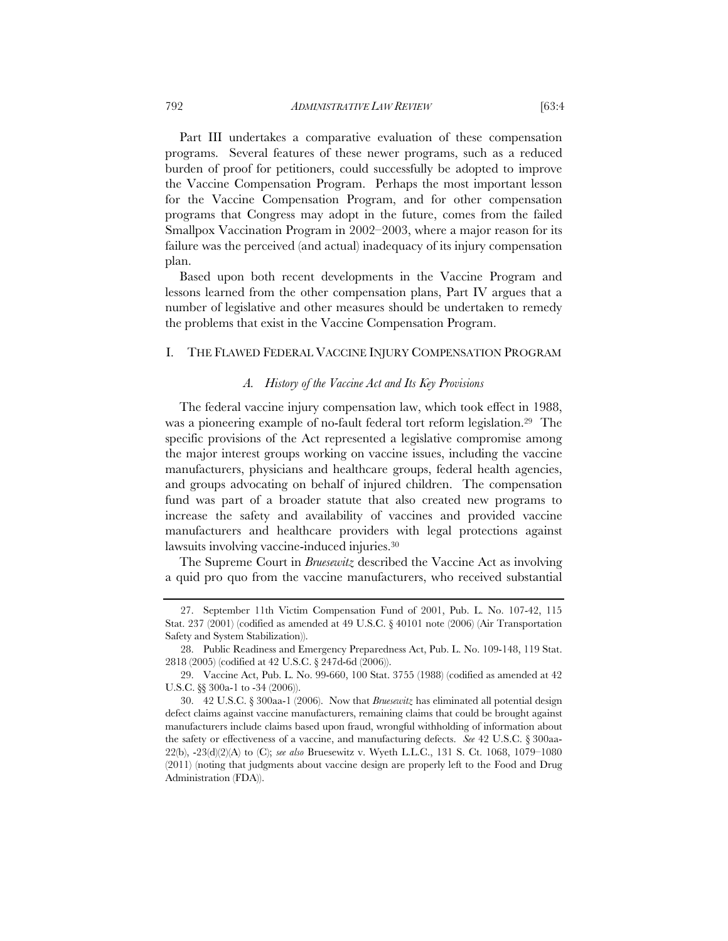Part III undertakes a comparative evaluation of these compensation programs. Several features of these newer programs, such as a reduced burden of proof for petitioners, could successfully be adopted to improve the Vaccine Compensation Program. Perhaps the most important lesson for the Vaccine Compensation Program, and for other compensation programs that Congress may adopt in the future, comes from the failed Smallpox Vaccination Program in 2002–2003, where a major reason for its failure was the perceived (and actual) inadequacy of its injury compensation plan.

Based upon both recent developments in the Vaccine Program and lessons learned from the other compensation plans, Part IV argues that a number of legislative and other measures should be undertaken to remedy the problems that exist in the Vaccine Compensation Program.

# I. THE FLAWED FEDERAL VACCINE INJURY COMPENSATION PROGRAM

#### *A. History of the Vaccine Act and Its Key Provisions*

The federal vaccine injury compensation law, which took effect in 1988, was a pioneering example of no-fault federal tort reform legislation.29 The specific provisions of the Act represented a legislative compromise among the major interest groups working on vaccine issues, including the vaccine manufacturers, physicians and healthcare groups, federal health agencies, and groups advocating on behalf of injured children. The compensation fund was part of a broader statute that also created new programs to increase the safety and availability of vaccines and provided vaccine manufacturers and healthcare providers with legal protections against lawsuits involving vaccine-induced injuries.30

The Supreme Court in *Bruesewitz* described the Vaccine Act as involving a quid pro quo from the vaccine manufacturers, who received substantial

<sup>27.</sup> September 11th Victim Compensation Fund of 2001, Pub. L. No. 107-42, 115 Stat. 237 (2001) (codified as amended at 49 U.S.C.  $\S$  40101 note (2006) (Air Transportation Safety and System Stabilization)).

<sup>28.</sup> Public Readiness and Emergency Preparedness Act, Pub. L. No. 109-148, 119 Stat. 2818 (2005) (codified at 42 U.S.C. § 247d-6d (2006)).

<sup>29.</sup> Vaccine Act, Pub. L. No. 99-660, 100 Stat. 3755 (1988) (codified as amended at 42 U.S.C. §§ 300a-1 to -34 (2006)).

<sup>30. 42</sup> U.S.C. § 300aa-1 (2006). Now that *Bruesewitz* has eliminated all potential design defect claims against vaccine manufacturers, remaining claims that could be brought against manufacturers include claims based upon fraud, wrongful withholding of information about the safety or effectiveness of a vaccine, and manufacturing defects. *See* 42 U.S.C. § 300aa-22(b), -23(d)(2)(A) to (C); *see also* Bruesewitz v. Wyeth L.L.C., 131 S. Ct. 1068, 1079–1080 (2011) (noting that judgments about vaccine design are properly left to the Food and Drug Administration (FDA)).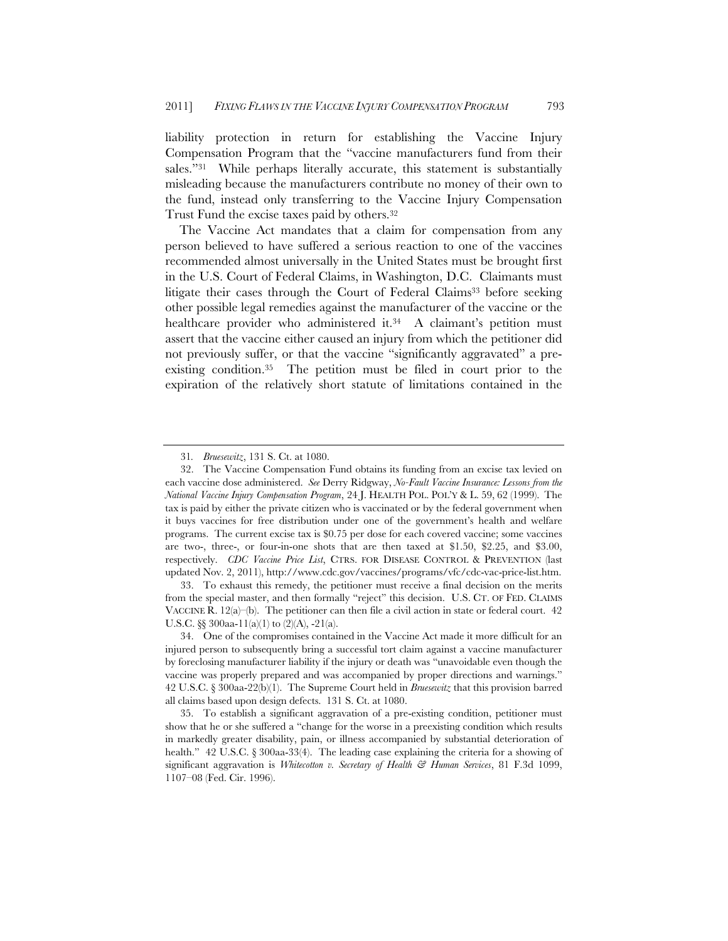liability protection in return for establishing the Vaccine Injury Compensation Program that the "vaccine manufacturers fund from their sales."<sup>31</sup> While perhaps literally accurate, this statement is substantially misleading because the manufacturers contribute no money of their own to the fund, instead only transferring to the Vaccine Injury Compensation Trust Fund the excise taxes paid by others.32

The Vaccine Act mandates that a claim for compensation from any person believed to have suffered a serious reaction to one of the vaccines recommended almost universally in the United States must be brought first in the U.S. Court of Federal Claims, in Washington, D.C. Claimants must litigate their cases through the Court of Federal Claims<sup>33</sup> before seeking other possible legal remedies against the manufacturer of the vaccine or the healthcare provider who administered it.<sup>34</sup> A claimant's petition must assert that the vaccine either caused an injury from which the petitioner did not previously suffer, or that the vaccine "significantly aggravated" a preexisting condition.35 The petition must be filed in court prior to the expiration of the relatively short statute of limitations contained in the

33. To exhaust this remedy, the petitioner must receive a final decision on the merits from the special master, and then formally "reject" this decision. U.S. CT. OF FED. CLAIMS VACCINE R.  $12(a)$ –(b). The petitioner can then file a civil action in state or federal court. 42 U.S.C.  $\S$  300aa-11(a)(1) to (2)(A), -21(a).

<sup>31</sup>*. Bruesewitz*, 131 S. Ct. at 1080.

<sup>32.</sup> The Vaccine Compensation Fund obtains its funding from an excise tax levied on each vaccine dose administered. *See* Derry Ridgway, *No-Fault Vaccine Insurance: Lessons from the National Vaccine Injury Compensation Program*, 24 J. HEALTH POL. POL'Y & L. 59, 62 (1999). The tax is paid by either the private citizen who is vaccinated or by the federal government when it buys vaccines for free distribution under one of the government's health and welfare programs. The current excise tax is \$0.75 per dose for each covered vaccine; some vaccines are two-, three-, or four-in-one shots that are then taxed at \$1.50, \$2.25, and \$3.00, respectively. *CDC Vaccine Price List*, CTRS. FOR DISEASE CONTROL & PREVENTION (last updated Nov. 2, 2011), http://www.cdc.gov/vaccines/programs/vfc/cdc-vac-price-list.htm.

<sup>34.</sup> One of the compromises contained in the Vaccine Act made it more difficult for an injured person to subsequently bring a successful tort claim against a vaccine manufacturer by foreclosing manufacturer liability if the injury or death was "unavoidable even though the vaccine was properly prepared and was accompanied by proper directions and warnings." 42 U.S.C. § 300aa-22(b)(1). The Supreme Court held in *Bruesewitz* that this provision barred all claims based upon design defects. 131 S. Ct. at 1080.

<sup>35.</sup> To establish a significant aggravation of a pre-existing condition, petitioner must show that he or she suffered a "change for the worse in a preexisting condition which results in markedly greater disability, pain, or illness accompanied by substantial deterioration of health." 42 U.S.C. § 300aa-33(4). The leading case explaining the criteria for a showing of significant aggravation is *Whitecotton v. Secretary of Health & Human Services*, 81 F.3d 1099, 1107–08 (Fed. Cir. 1996).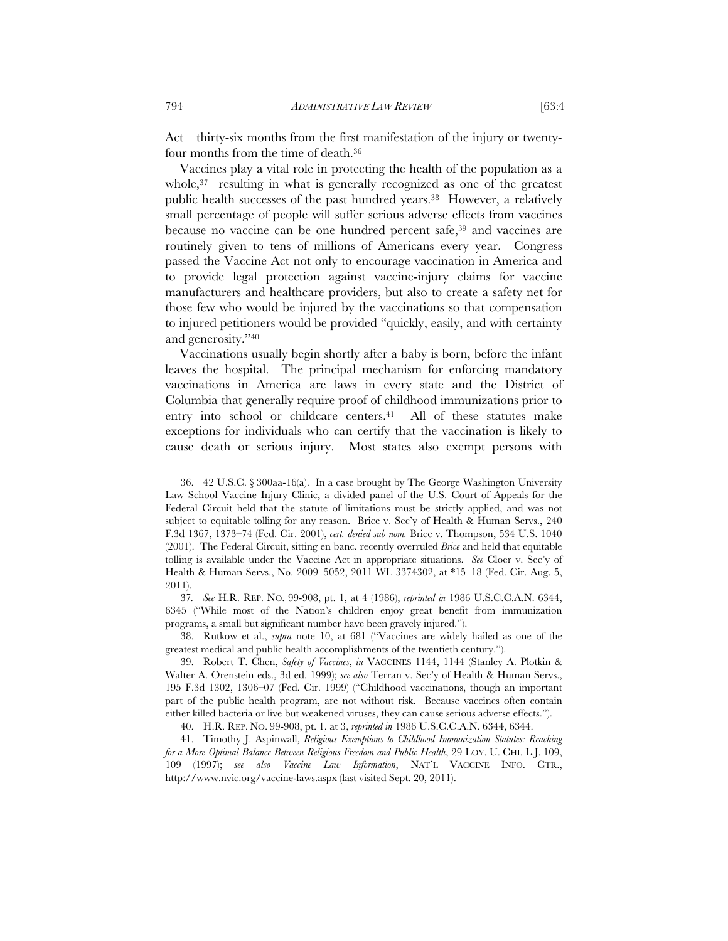Act—thirty-six months from the first manifestation of the injury or twentyfour months from the time of death.36

Vaccines play a vital role in protecting the health of the population as a whole, $37$  resulting in what is generally recognized as one of the greatest public health successes of the past hundred years.<sup>38</sup> However, a relatively small percentage of people will suffer serious adverse effects from vaccines because no vaccine can be one hundred percent safe,39 and vaccines are routinely given to tens of millions of Americans every year. Congress passed the Vaccine Act not only to encourage vaccination in America and to provide legal protection against vaccine-injury claims for vaccine manufacturers and healthcare providers, but also to create a safety net for those few who would be injured by the vaccinations so that compensation to injured petitioners would be provided "quickly, easily, and with certainty and generosity."40

Vaccinations usually begin shortly after a baby is born, before the infant leaves the hospital. The principal mechanism for enforcing mandatory vaccinations in America are laws in every state and the District of Columbia that generally require proof of childhood immunizations prior to entry into school or childcare centers.<sup>41</sup> All of these statutes make exceptions for individuals who can certify that the vaccination is likely to cause death or serious injury. Most states also exempt persons with

37*. See* H.R. REP. NO. 99-908, pt. 1, at 4 (1986), *reprinted in* 1986 U.S.C.C.A.N. 6344, 6345 ("While most of the Nation's children enjoy great benefit from immunization programs, a small but significant number have been gravely injured.").

38. Rutkow et al., *supra* note 10, at 681 ("Vaccines are widely hailed as one of the greatest medical and public health accomplishments of the twentieth century.").

39. Robert T. Chen, *Safety of Vaccines*, *in* VACCINES 1144, 1144 (Stanley A. Plotkin & Walter A. Orenstein eds., 3d ed. 1999); *see also* Terran v. Sec'y of Health & Human Servs., 195 F.3d 1302, 1306–07 (Fed. Cir. 1999) ("Childhood vaccinations, though an important part of the public health program, are not without risk. Because vaccines often contain either killed bacteria or live but weakened viruses, they can cause serious adverse effects.").

40. H.R. REP. NO. 99-908, pt. 1, at 3, *reprinted in* 1986 U.S.C.C.A.N. 6344, 6344.

41. Timothy J. Aspinwall, *Religious Exemptions to Childhood Immunization Statutes: Reaching for a More Optimal Balance Between Religious Freedom and Public Health*, 29 LOY. U. CHI. L.J. 109, 109 (1997); *see also Vaccine Law Information*, NAT'L VACCINE INFO. CTR., http://www.nvic.org/vaccine-laws.aspx (last visited Sept. 20, 2011).

<sup>36. 42</sup> U.S.C. § 300aa-16(a). In a case brought by The George Washington University Law School Vaccine Injury Clinic, a divided panel of the U.S. Court of Appeals for the Federal Circuit held that the statute of limitations must be strictly applied, and was not subject to equitable tolling for any reason. Brice v. Sec'y of Health & Human Servs., 240 F.3d 1367, 1373–74 (Fed. Cir. 2001), *cert. denied sub nom.* Brice v. Thompson, 534 U.S. 1040 (2001). The Federal Circuit, sitting en banc, recently overruled *Brice* and held that equitable tolling is available under the Vaccine Act in appropriate situations. *See* Cloer v. Sec'y of Health & Human Servs., No. 2009–5052, 2011 WL 3374302, at \*15–18 (Fed. Cir. Aug. 5, 2011).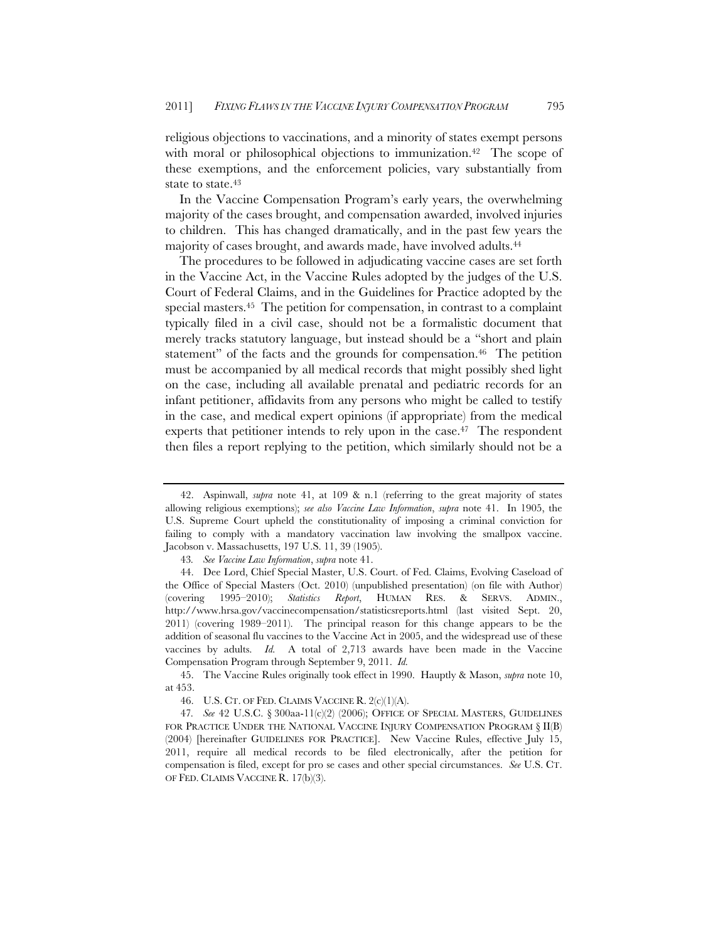religious objections to vaccinations, and a minority of states exempt persons with moral or philosophical objections to immunization.<sup>42</sup> The scope of these exemptions, and the enforcement policies, vary substantially from state to state.<sup>43</sup>

In the Vaccine Compensation Program's early years, the overwhelming majority of the cases brought, and compensation awarded, involved injuries to children. This has changed dramatically, and in the past few years the majority of cases brought, and awards made, have involved adults.44

The procedures to be followed in adjudicating vaccine cases are set forth in the Vaccine Act, in the Vaccine Rules adopted by the judges of the U.S. Court of Federal Claims, and in the Guidelines for Practice adopted by the special masters.45 The petition for compensation, in contrast to a complaint typically filed in a civil case, should not be a formalistic document that merely tracks statutory language, but instead should be a "short and plain statement" of the facts and the grounds for compensation.<sup>46</sup> The petition must be accompanied by all medical records that might possibly shed light on the case, including all available prenatal and pediatric records for an infant petitioner, affidavits from any persons who might be called to testify in the case, and medical expert opinions (if appropriate) from the medical experts that petitioner intends to rely upon in the case.<sup>47</sup> The respondent then files a report replying to the petition, which similarly should not be a

<sup>42.</sup> Aspinwall, *supra* note 41, at 109 & n.1 (referring to the great majority of states allowing religious exemptions); *see also Vaccine Law Information*, *supra* note 41. In 1905, the U.S. Supreme Court upheld the constitutionality of imposing a criminal conviction for failing to comply with a mandatory vaccination law involving the smallpox vaccine. Jacobson v. Massachusetts, 197 U.S. 11, 39 (1905).

<sup>43</sup>*. See Vaccine Law Information*, *supra* note 41.

<sup>44.</sup> Dee Lord, Chief Special Master, U.S. Court. of Fed. Claims, Evolving Caseload of the Office of Special Masters (Oct. 2010) (unpublished presentation) (on file with Author) (covering 1995–2010); *Statistics Report*, HUMAN RES. & SERVS. ADMIN., http://www.hrsa.gov/vaccinecompensation/statisticsreports.html (last visited Sept. 20, 2011) (covering 1989–2011). The principal reason for this change appears to be the addition of seasonal flu vaccines to the Vaccine Act in 2005, and the widespread use of these vaccines by adults. *Id.* A total of 2,713 awards have been made in the Vaccine Compensation Program through September 9, 2011. *Id.*

<sup>45.</sup> The Vaccine Rules originally took effect in 1990. Hauptly & Mason, *supra* note 10, at 453.

<sup>46.</sup> U.S. CT. OF FED. CLAIMS VACCINE R. 2(c)(1)(A).

<sup>47</sup>*. See* 42 U.S.C. § 300aa-11(c)(2) (2006); OFFICE OF SPECIAL MASTERS, GUIDELINES FOR PRACTICE UNDER THE NATIONAL VACCINE INJURY COMPENSATION PROGRAM § II(B) (2004) [hereinafter GUIDELINES FOR PRACTICE]. New Vaccine Rules, effective July 15, 2011, require all medical records to be filed electronically, after the petition for compensation is filed, except for pro se cases and other special circumstances. *See* U.S. CT. OF FED. CLAIMS VACCINE R. 17(b)(3).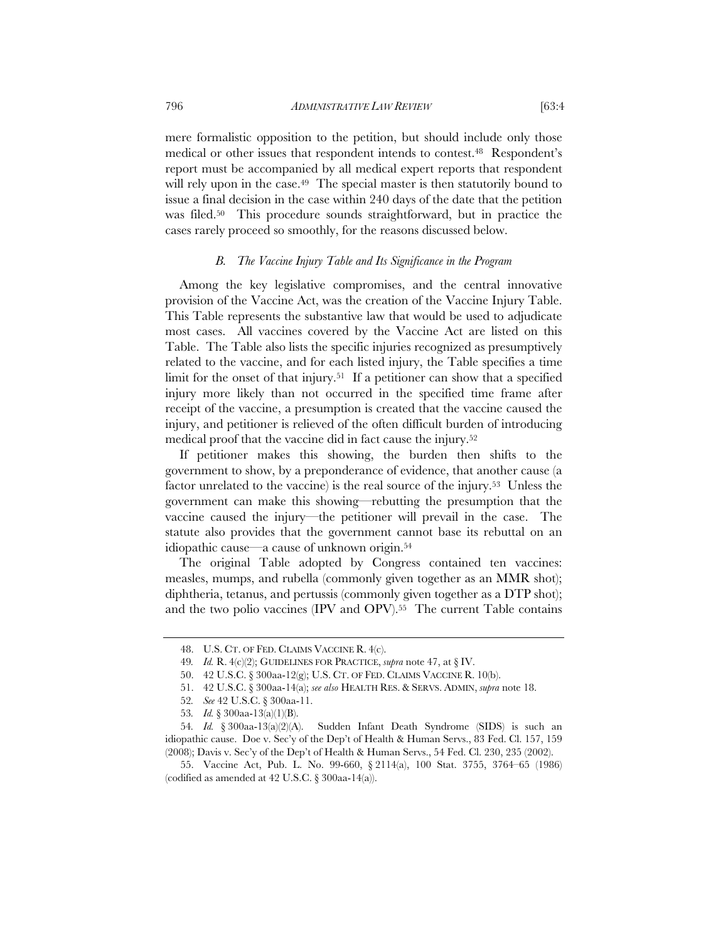796 *ADMINISTRATIVE LAW REVIEW* [63:4

mere formalistic opposition to the petition, but should include only those medical or other issues that respondent intends to contest.48 Respondent's report must be accompanied by all medical expert reports that respondent will rely upon in the case.<sup>49</sup> The special master is then statutorily bound to issue a final decision in the case within 240 days of the date that the petition was filed.50 This procedure sounds straightforward, but in practice the cases rarely proceed so smoothly, for the reasons discussed below.

# *B. The Vaccine Injury Table and Its Significance in the Program*

Among the key legislative compromises, and the central innovative provision of the Vaccine Act, was the creation of the Vaccine Injury Table. This Table represents the substantive law that would be used to adjudicate most cases. All vaccines covered by the Vaccine Act are listed on this Table. The Table also lists the specific injuries recognized as presumptively related to the vaccine, and for each listed injury, the Table specifies a time limit for the onset of that injury.<sup>51</sup> If a petitioner can show that a specified injury more likely than not occurred in the specified time frame after receipt of the vaccine, a presumption is created that the vaccine caused the injury, and petitioner is relieved of the often difficult burden of introducing medical proof that the vaccine did in fact cause the injury.52

If petitioner makes this showing, the burden then shifts to the government to show, by a preponderance of evidence, that another cause (a factor unrelated to the vaccine) is the real source of the injury.53 Unless the government can make this showing—rebutting the presumption that the vaccine caused the injury—the petitioner will prevail in the case. The statute also provides that the government cannot base its rebuttal on an idiopathic cause—a cause of unknown origin.54

The original Table adopted by Congress contained ten vaccines: measles, mumps, and rubella (commonly given together as an MMR shot); diphtheria, tetanus, and pertussis (commonly given together as a DTP shot); and the two polio vaccines (IPV and OPV).<sup>55</sup> The current Table contains

<sup>48.</sup> U.S. CT. OF FED. CLAIMS VACCINE R. 4(c).

<sup>49</sup>*. Id.* R. 4(c)(2); GUIDELINES FOR PRACTICE, *supra* note 47, at § IV.

<sup>50. 42</sup> U.S.C. § 300aa-12(g); U.S. CT. OF FED. CLAIMS VACCINE R. 10(b).

<sup>51.</sup> 42 U.S.C. § 300aa-14(a); *see also* HEALTH RES. & SERVS. ADMIN, *supra* note 18.

<sup>52</sup>*. See* 42 U.S.C. § 300aa-11.

<sup>53</sup>*. Id.* § 300aa-13(a)(1)(B).

<sup>54</sup>*. Id.* § 300aa-13(a)(2)(A). Sudden Infant Death Syndrome (SIDS) is such an idiopathic cause. Doe v. Sec'y of the Dep't of Health & Human Servs., 83 Fed. Cl. 157, 159 (2008); Davis v. Sec'y of the Dep't of Health & Human Servs., 54 Fed. Cl. 230, 235 (2002).

<sup>55.</sup> Vaccine Act, Pub. L. No. 99-660, § 2114(a), 100 Stat. 3755, 3764–65 (1986) (codified as amended at  $42$  U.S.C. § 300aa-14(a)).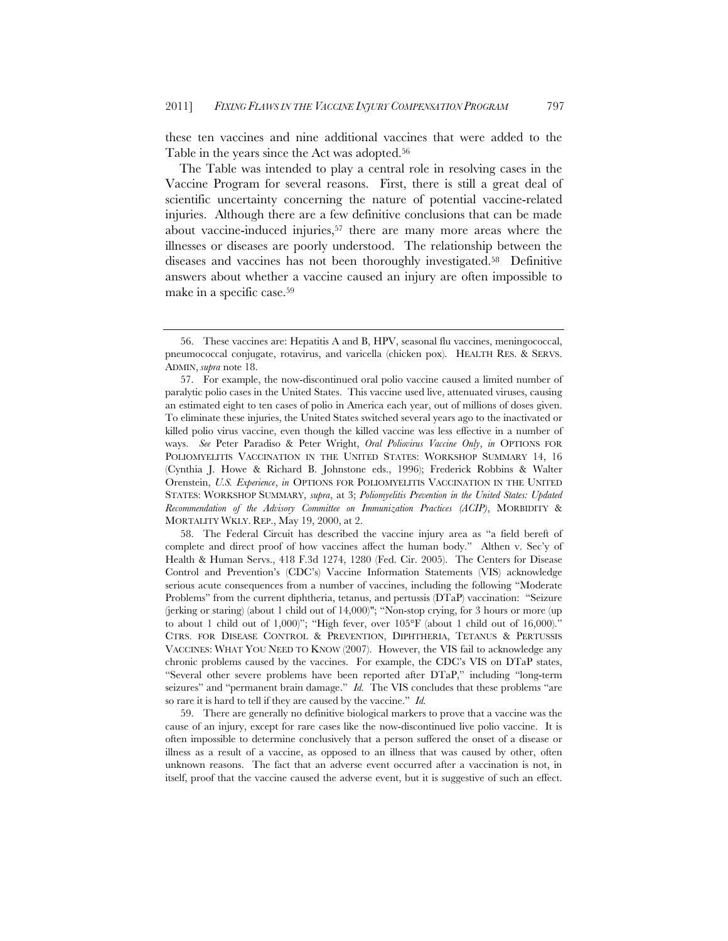these ten vaccines and nine additional vaccines that were added to the Table in the years since the Act was adopted.<sup>56</sup>

The Table was intended to play a central role in resolving cases in the Vaccine Program for several reasons. First, there is still a great deal of scientific uncertainty concerning the nature of potential vaccine-related injuries. Although there are a few definitive conclusions that can be made about vaccine-induced injuries,57 there are many more areas where the illnesses or diseases are poorly understood. The relationship between the diseases and vaccines has not been thoroughly investigated.58 Definitive answers about whether a vaccine caused an injury are often impossible to make in a specific case.59

58. The Federal Circuit has described the vaccine injury area as "a field bereft of complete and direct proof of how vaccines affect the human body." Althen v. Sec'y of Health & Human Servs., 418 F.3d 1274, 1280 (Fed. Cir. 2005). The Centers for Disease Control and Prevention's (CDC's) Vaccine Information Statements (VIS) acknowledge serious acute consequences from a number of vaccines, including the following "Moderate Problems" from the current diphtheria, tetanus, and pertussis (DTaP) vaccination: "Seizure (jerking or staring) (about 1 child out of 14,000)"; "Non-stop crying, for 3 hours or more (up to about 1 child out of 1,000)"; "High fever, over  $105^{\circ}$ F (about 1 child out of 16,000)." CTRS. FOR DISEASE CONTROL & PREVENTION, DIPHTHERIA, TETANUS & PERTUSSIS VACCINES: WHAT YOU NEED TO KNOW (2007). However, the VIS fail to acknowledge any chronic problems caused by the vaccines. For example, the CDC's VIS on DTaP states, "Several other severe problems have been reported after DTaP," including "long-term seizures" and "permanent brain damage." *Id.* The VIS concludes that these problems "are so rare it is hard to tell if they are caused by the vaccine." *Id.*

59. There are generally no definitive biological markers to prove that a vaccine was the cause of an injury, except for rare cases like the now-discontinued live polio vaccine. It is often impossible to determine conclusively that a person suffered the onset of a disease or illness as a result of a vaccine, as opposed to an illness that was caused by other, often unknown reasons. The fact that an adverse event occurred after a vaccination is not, in itself, proof that the vaccine caused the adverse event, but it is suggestive of such an effect.

<sup>56.</sup> These vaccines are: Hepatitis A and B, HPV, seasonal flu vaccines, meningococcal, pneumococcal conjugate, rotavirus, and varicella (chicken pox). HEALTH RES. & SERVS. ADMIN, *supra* note 18.

<sup>57.</sup> For example, the now-discontinued oral polio vaccine caused a limited number of paralytic polio cases in the United States. This vaccine used live, attenuated viruses, causing an estimated eight to ten cases of polio in America each year, out of millions of doses given. To eliminate these injuries, the United States switched several years ago to the inactivated or killed polio virus vaccine, even though the killed vaccine was less effective in a number of ways. *See* Peter Paradiso & Peter Wright, *Oral Poliovirus Vaccine Only*, *in* OPTIONS FOR POLIOMYELITIS VACCINATION IN THE UNITED STATES: WORKSHOP SUMMARY 14, 16 (Cynthia J. Howe & Richard B. Johnstone eds., 1996); Frederick Robbins & Walter Orenstein, *U.S. Experience*, *in* OPTIONS FOR POLIOMYELITIS VACCINATION IN THE UNITED STATES: WORKSHOP SUMMARY, *supra*, at 3; *Poliomyelitis Prevention in the United States: Updated Recommendation of the Advisory Committee on Immunization Practices (ACIP)*, MORBIDITY & MORTALITY WKLY. REP., May 19, 2000, at 2.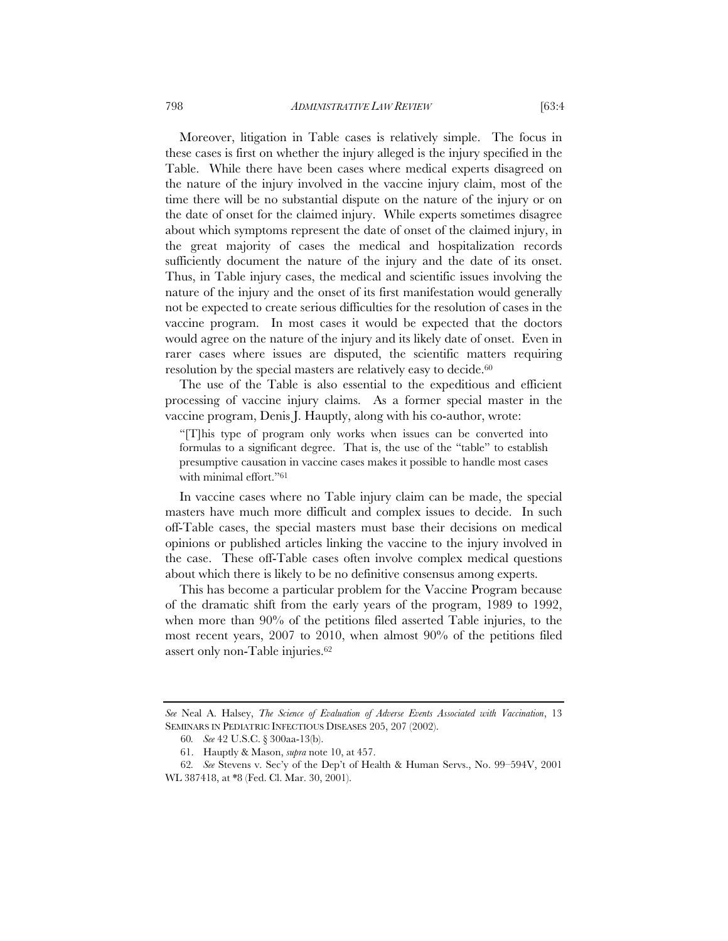Moreover, litigation in Table cases is relatively simple. The focus in these cases is first on whether the injury alleged is the injury specified in the Table. While there have been cases where medical experts disagreed on the nature of the injury involved in the vaccine injury claim, most of the time there will be no substantial dispute on the nature of the injury or on the date of onset for the claimed injury. While experts sometimes disagree about which symptoms represent the date of onset of the claimed injury, in the great majority of cases the medical and hospitalization records sufficiently document the nature of the injury and the date of its onset. Thus, in Table injury cases, the medical and scientific issues involving the nature of the injury and the onset of its first manifestation would generally not be expected to create serious difficulties for the resolution of cases in the vaccine program. In most cases it would be expected that the doctors would agree on the nature of the injury and its likely date of onset. Even in rarer cases where issues are disputed, the scientific matters requiring resolution by the special masters are relatively easy to decide.<sup>60</sup>

The use of the Table is also essential to the expeditious and efficient processing of vaccine injury claims. As a former special master in the vaccine program, Denis J. Hauptly, along with his co-author, wrote:

"[T]his type of program only works when issues can be converted into formulas to a significant degree. That is, the use of the "table" to establish presumptive causation in vaccine cases makes it possible to handle most cases with minimal effort."61

In vaccine cases where no Table injury claim can be made, the special masters have much more difficult and complex issues to decide. In such off-Table cases, the special masters must base their decisions on medical opinions or published articles linking the vaccine to the injury involved in the case. These off-Table cases often involve complex medical questions about which there is likely to be no definitive consensus among experts.

This has become a particular problem for the Vaccine Program because of the dramatic shift from the early years of the program, 1989 to 1992, when more than 90% of the petitions filed asserted Table injuries, to the most recent years, 2007 to 2010, when almost 90% of the petitions filed assert only non-Table injuries.62

*See* Neal A. Halsey, *The Science of Evaluation of Adverse Events Associated with Vaccination*, 13 SEMINARS IN PEDIATRIC INFECTIOUS DISEASES 205, 207 (2002).

<sup>60</sup>*. See* 42 U.S.C. § 300aa-13(b).

<sup>61.</sup> Hauptly & Mason, *supra* note 10, at 457.

<sup>62</sup>*. See* Stevens v. Sec'y of the Dep't of Health & Human Servs., No. 99–594V, 2001 WL 387418, at \*8 (Fed. Cl. Mar. 30, 2001).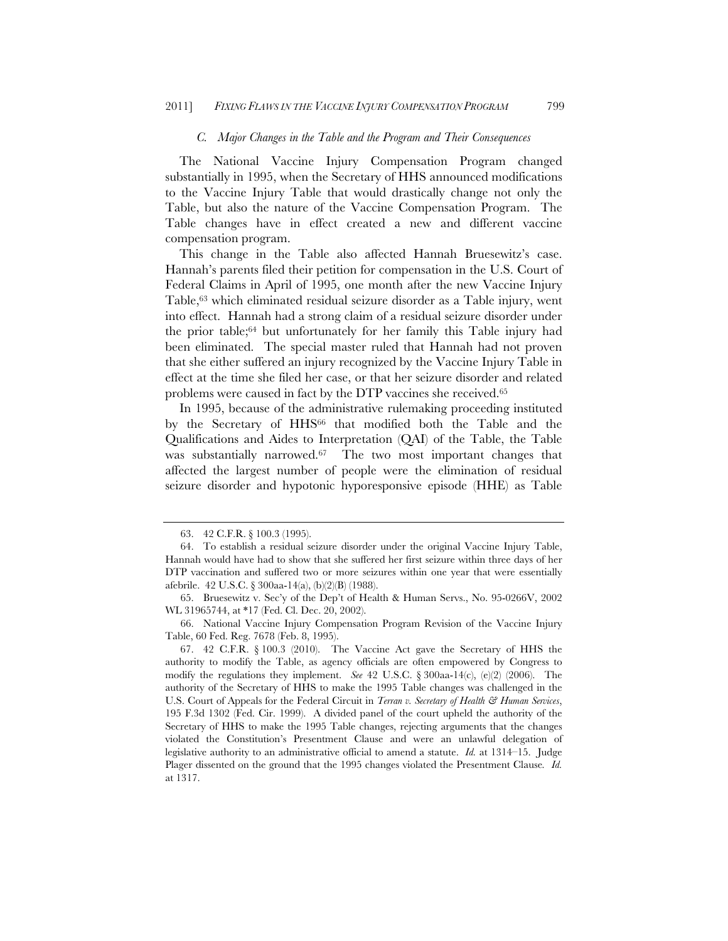#### *C. Major Changes in the Table and the Program and Their Consequences*

The National Vaccine Injury Compensation Program changed substantially in 1995, when the Secretary of HHS announced modifications to the Vaccine Injury Table that would drastically change not only the Table, but also the nature of the Vaccine Compensation Program. The Table changes have in effect created a new and different vaccine compensation program.

This change in the Table also affected Hannah Bruesewitz's case. Hannah's parents filed their petition for compensation in the U.S. Court of Federal Claims in April of 1995, one month after the new Vaccine Injury Table,<sup>63</sup> which eliminated residual seizure disorder as a Table injury, went into effect. Hannah had a strong claim of a residual seizure disorder under the prior table;64 but unfortunately for her family this Table injury had been eliminated. The special master ruled that Hannah had not proven that she either suffered an injury recognized by the Vaccine Injury Table in effect at the time she filed her case, or that her seizure disorder and related problems were caused in fact by the DTP vaccines she received.65

In 1995, because of the administrative rulemaking proceeding instituted by the Secretary of HHS<sup>66</sup> that modified both the Table and the Qualifications and Aides to Interpretation (QAI) of the Table, the Table was substantially narrowed.<sup>67</sup> The two most important changes that affected the largest number of people were the elimination of residual seizure disorder and hypotonic hyporesponsive episode (HHE) as Table

<sup>63. 42</sup> C.F.R. § 100.3 (1995).

<sup>64.</sup> To establish a residual seizure disorder under the original Vaccine Injury Table, Hannah would have had to show that she suffered her first seizure within three days of her DTP vaccination and suffered two or more seizures within one year that were essentially afebrile. 42 U.S.C. § 300aa-14(a), (b)(2)(B) (1988).

<sup>65.</sup> Bruesewitz v. Sec'y of the Dep't of Health & Human Servs., No. 95-0266V, 2002 WL 31965744, at \*17 (Fed. Cl. Dec. 20, 2002).

<sup>66.</sup> National Vaccine Injury Compensation Program Revision of the Vaccine Injury Table, 60 Fed. Reg. 7678 (Feb. 8, 1995).

<sup>67. 42</sup> C.F.R. § 100.3 (2010). The Vaccine Act gave the Secretary of HHS the authority to modify the Table, as agency officials are often empowered by Congress to modify the regulations they implement. *See* 42 U.S.C. § 300aa-14(c), (e)(2) (2006). The authority of the Secretary of HHS to make the 1995 Table changes was challenged in the U.S. Court of Appeals for the Federal Circuit in *Terran v. Secretary of Health & Human Services*, 195 F.3d 1302 (Fed. Cir. 1999). A divided panel of the court upheld the authority of the Secretary of HHS to make the 1995 Table changes, rejecting arguments that the changes violated the Constitution's Presentment Clause and were an unlawful delegation of legislative authority to an administrative official to amend a statute. *Id.* at 1314–15. Judge Plager dissented on the ground that the 1995 changes violated the Presentment Clause*. Id.* at 1317.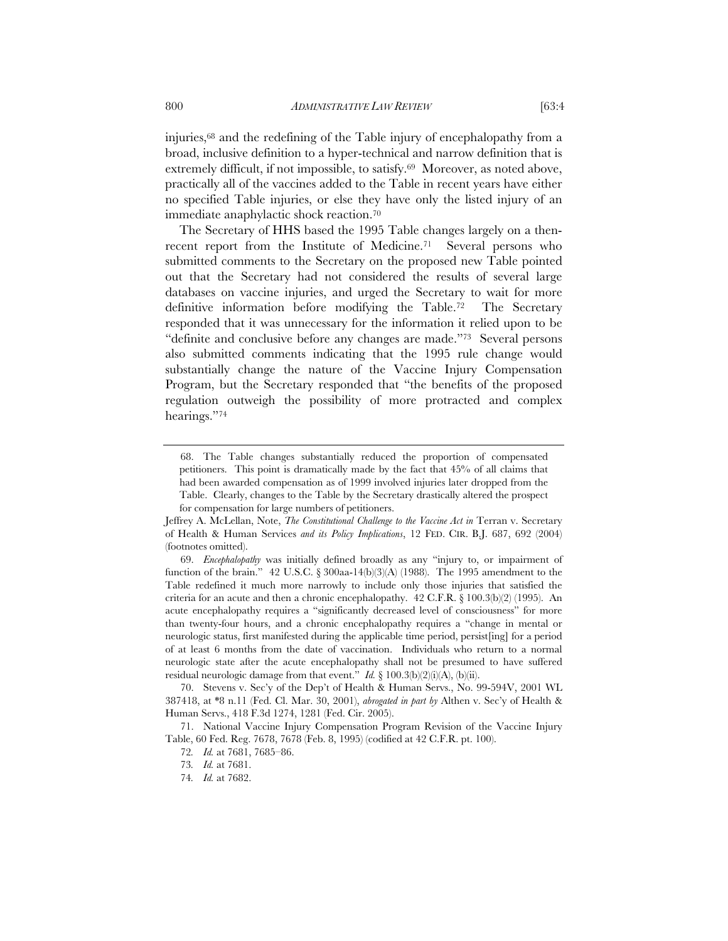injuries,68 and the redefining of the Table injury of encephalopathy from a broad, inclusive definition to a hyper-technical and narrow definition that is extremely difficult, if not impossible, to satisfy.69 Moreover, as noted above, practically all of the vaccines added to the Table in recent years have either no specified Table injuries, or else they have only the listed injury of an immediate anaphylactic shock reaction.70

The Secretary of HHS based the 1995 Table changes largely on a thenrecent report from the Institute of Medicine.71 Several persons who submitted comments to the Secretary on the proposed new Table pointed out that the Secretary had not considered the results of several large databases on vaccine injuries, and urged the Secretary to wait for more definitive information before modifying the Table.72 The Secretary responded that it was unnecessary for the information it relied upon to be "definite and conclusive before any changes are made."73 Several persons also submitted comments indicating that the 1995 rule change would substantially change the nature of the Vaccine Injury Compensation Program, but the Secretary responded that "the benefits of the proposed regulation outweigh the possibility of more protracted and complex hearings."74

 <sup>68.</sup> The Table changes substantially reduced the proportion of compensated petitioners. This point is dramatically made by the fact that 45% of all claims that had been awarded compensation as of 1999 involved injuries later dropped from the Table. Clearly, changes to the Table by the Secretary drastically altered the prospect for compensation for large numbers of petitioners.

Jeffrey A. McLellan, Note, *The Constitutional Challenge to the Vaccine Act in* Terran v. Secretary of Health & Human Services *and its Policy Implications*, 12 FED. CIR. B.J. 687, 692 (2004) (footnotes omitted).

<sup>69.</sup> *Encephalopathy* was initially defined broadly as any "injury to, or impairment of function of the brain."  $42$  U.S.C. § 300aa-14(b)(3)(A) (1988). The 1995 amendment to the Table redefined it much more narrowly to include only those injuries that satisfied the criteria for an acute and then a chronic encephalopathy.  $42$  C.F.R. § 100.3(b)(2) (1995). An acute encephalopathy requires a "significantly decreased level of consciousness" for more than twenty-four hours, and a chronic encephalopathy requires a "change in mental or neurologic status, first manifested during the applicable time period, persist[ing] for a period of at least 6 months from the date of vaccination. Individuals who return to a normal neurologic state after the acute encephalopathy shall not be presumed to have suffered residual neurologic damage from that event." *Id.* § 100.3(b)(2)(i)(A), (b)(ii).

<sup>70.</sup> Stevens v. Sec'y of the Dep't of Health & Human Servs., No. 99-594V, 2001 WL 387418, at \*8 n.11 (Fed. Cl. Mar. 30, 2001), *abrogated in part by* Althen v. Sec'y of Health & Human Servs., 418 F.3d 1274, 1281 (Fed. Cir. 2005).

<sup>71.</sup> National Vaccine Injury Compensation Program Revision of the Vaccine Injury Table, 60 Fed. Reg. 7678, 7678 (Feb. 8, 1995) (codified at 42 C.F.R. pt. 100).

<sup>72</sup>*. Id.* at 7681, 7685–86.

<sup>73</sup>*. Id.* at 7681.

<sup>74</sup>*. Id.* at 7682.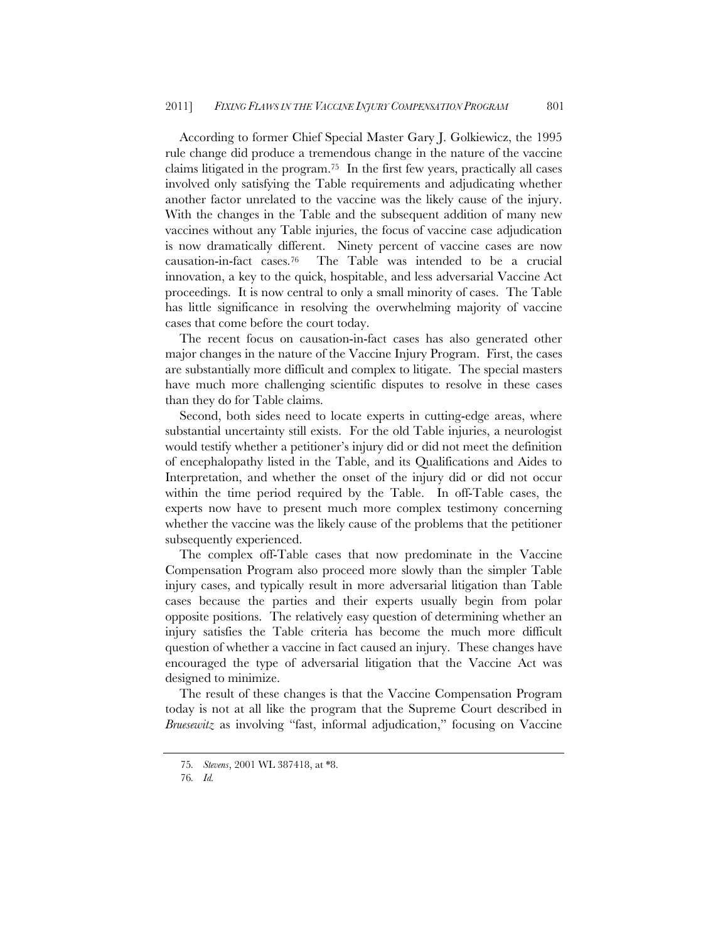According to former Chief Special Master Gary J. Golkiewicz, the 1995 rule change did produce a tremendous change in the nature of the vaccine claims litigated in the program.75 In the first few years, practically all cases involved only satisfying the Table requirements and adjudicating whether another factor unrelated to the vaccine was the likely cause of the injury. With the changes in the Table and the subsequent addition of many new vaccines without any Table injuries, the focus of vaccine case adjudication is now dramatically different. Ninety percent of vaccine cases are now causation-in-fact cases.76 The Table was intended to be a crucial innovation, a key to the quick, hospitable, and less adversarial Vaccine Act proceedings. It is now central to only a small minority of cases. The Table has little significance in resolving the overwhelming majority of vaccine cases that come before the court today.

The recent focus on causation-in-fact cases has also generated other major changes in the nature of the Vaccine Injury Program. First, the cases are substantially more difficult and complex to litigate. The special masters have much more challenging scientific disputes to resolve in these cases than they do for Table claims.

Second, both sides need to locate experts in cutting-edge areas, where substantial uncertainty still exists. For the old Table injuries, a neurologist would testify whether a petitioner's injury did or did not meet the definition of encephalopathy listed in the Table, and its Qualifications and Aides to Interpretation, and whether the onset of the injury did or did not occur within the time period required by the Table. In off-Table cases, the experts now have to present much more complex testimony concerning whether the vaccine was the likely cause of the problems that the petitioner subsequently experienced.

The complex off-Table cases that now predominate in the Vaccine Compensation Program also proceed more slowly than the simpler Table injury cases, and typically result in more adversarial litigation than Table cases because the parties and their experts usually begin from polar opposite positions. The relatively easy question of determining whether an injury satisfies the Table criteria has become the much more difficult question of whether a vaccine in fact caused an injury. These changes have encouraged the type of adversarial litigation that the Vaccine Act was designed to minimize.

The result of these changes is that the Vaccine Compensation Program today is not at all like the program that the Supreme Court described in *Bruesewitz* as involving "fast, informal adjudication," focusing on Vaccine

<sup>75</sup>*. Stevens*, 2001 WL 387418, at \*8.

<sup>76</sup>*. Id.*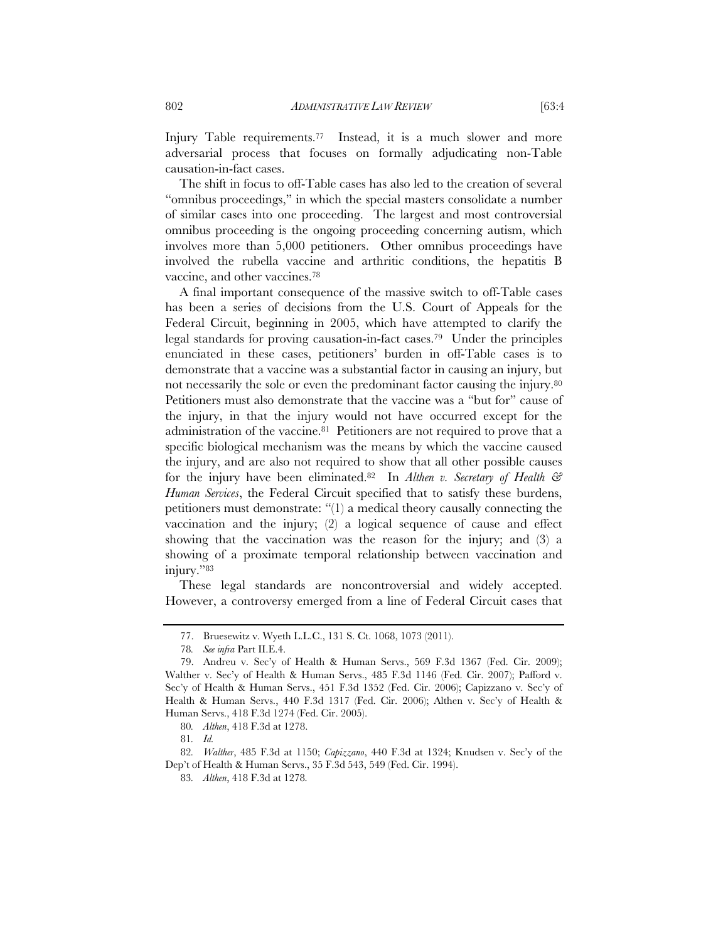Injury Table requirements.<sup>77</sup> Instead, it is a much slower and more adversarial process that focuses on formally adjudicating non-Table causation-in-fact cases.

The shift in focus to off-Table cases has also led to the creation of several "omnibus proceedings," in which the special masters consolidate a number of similar cases into one proceeding. The largest and most controversial omnibus proceeding is the ongoing proceeding concerning autism, which involves more than 5,000 petitioners. Other omnibus proceedings have involved the rubella vaccine and arthritic conditions, the hepatitis B vaccine, and other vaccines.78

A final important consequence of the massive switch to off-Table cases has been a series of decisions from the U.S. Court of Appeals for the Federal Circuit, beginning in 2005, which have attempted to clarify the legal standards for proving causation-in-fact cases.79 Under the principles enunciated in these cases, petitioners' burden in off-Table cases is to demonstrate that a vaccine was a substantial factor in causing an injury, but not necessarily the sole or even the predominant factor causing the injury.<sup>80</sup> Petitioners must also demonstrate that the vaccine was a "but for" cause of the injury, in that the injury would not have occurred except for the administration of the vaccine.81 Petitioners are not required to prove that a specific biological mechanism was the means by which the vaccine caused the injury, and are also not required to show that all other possible causes for the injury have been eliminated.<sup>82</sup> In Althen v. Secretary of Health & *Human Services*, the Federal Circuit specified that to satisfy these burdens, petitioners must demonstrate: "(1) a medical theory causally connecting the vaccination and the injury; (2) a logical sequence of cause and effect showing that the vaccination was the reason for the injury; and (3) a showing of a proximate temporal relationship between vaccination and injury."83

These legal standards are noncontroversial and widely accepted. However, a controversy emerged from a line of Federal Circuit cases that

<sup>77.</sup> Bruesewitz v. Wyeth L.L.C., 131 S. Ct. 1068, 1073 (2011).

<sup>78</sup>*. See infra* Part II.E.4.

<sup>79.</sup> Andreu v. Sec'y of Health & Human Servs., 569 F.3d 1367 (Fed. Cir. 2009); Walther v. Sec'y of Health & Human Servs., 485 F.3d 1146 (Fed. Cir. 2007); Pafford v. Sec'y of Health & Human Servs., 451 F.3d 1352 (Fed. Cir. 2006); Capizzano v. Sec'y of Health & Human Servs., 440 F.3d 1317 (Fed. Cir. 2006); Althen v. Sec'y of Health & Human Servs., 418 F.3d 1274 (Fed. Cir. 2005).

<sup>80</sup>*. Althen*, 418 F.3d at 1278.

<sup>81</sup>*. Id.*

<sup>82</sup>*. Walther*, 485 F.3d at 1150; *Capizzano*, 440 F.3d at 1324; Knudsen v. Sec'y of the Dep't of Health & Human Servs., 35 F.3d 543, 549 (Fed. Cir. 1994).

<sup>83</sup>*. Althen*, 418 F.3d at 1278*.*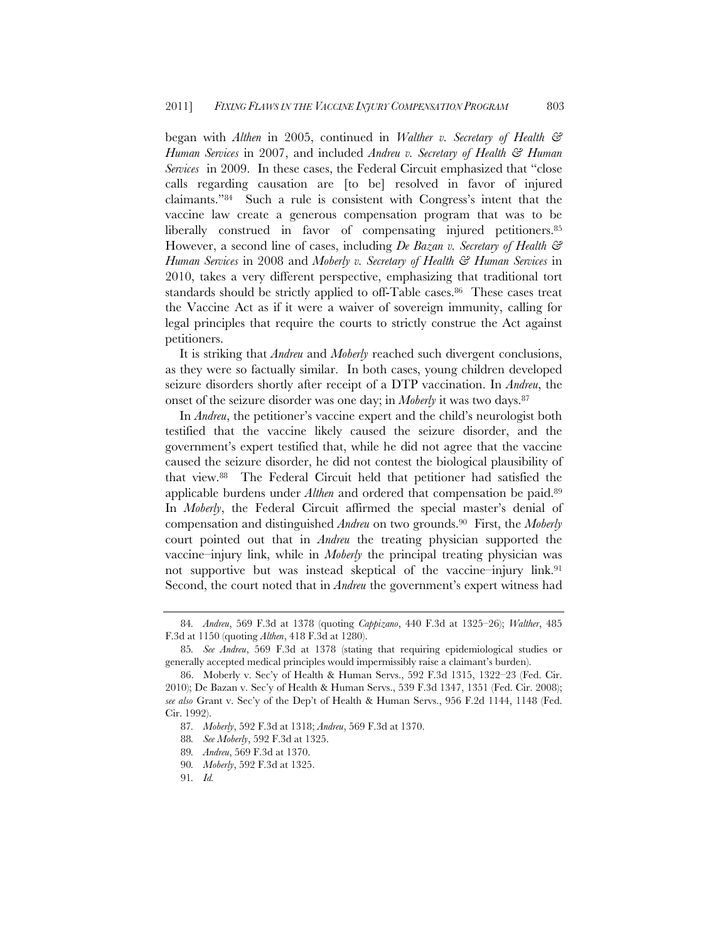began with *Althen* in 2005, continued in *Walther v. Secretary of Health & Human Services* in 2007, and included *Andreu v. Secretary of Health & Human Services* in 2009. In these cases, the Federal Circuit emphasized that "close calls regarding causation are [to be] resolved in favor of injured claimants."84 Such a rule is consistent with Congress's intent that the vaccine law create a generous compensation program that was to be liberally construed in favor of compensating injured petitioners.<sup>85</sup> However, a second line of cases, including *De Bazan v. Secretary of Health & Human Services* in 2008 and *Moberly v. Secretary of Health & Human Services* in 2010, takes a very different perspective, emphasizing that traditional tort standards should be strictly applied to off-Table cases.<sup>86</sup> These cases treat the Vaccine Act as if it were a waiver of sovereign immunity, calling for legal principles that require the courts to strictly construe the Act against petitioners.

It is striking that *Andreu* and *Moberly* reached such divergent conclusions, as they were so factually similar. In both cases, young children developed seizure disorders shortly after receipt of a DTP vaccination. In *Andreu*, the onset of the seizure disorder was one day; in *Moberly* it was two days.87

In *Andreu*, the petitioner's vaccine expert and the child's neurologist both testified that the vaccine likely caused the seizure disorder, and the government's expert testified that, while he did not agree that the vaccine caused the seizure disorder, he did not contest the biological plausibility of that view.88 The Federal Circuit held that petitioner had satisfied the applicable burdens under *Althen* and ordered that compensation be paid.89 In *Moberly*, the Federal Circuit affirmed the special master's denial of compensation and distinguished *Andreu* on two grounds.90 First, the *Moberly* court pointed out that in *Andreu* the treating physician supported the vaccine–injury link, while in *Moberly* the principal treating physician was not supportive but was instead skeptical of the vaccine–injury link.91 Second, the court noted that in *Andreu* the government's expert witness had

<sup>84</sup>*. Andreu*, 569 F.3d at 1378 (quoting *Cappizano*, 440 F.3d at 1325–26); *Walther*, 485 F.3d at 1150 (quoting *Althen*, 418 F.3d at 1280).

<sup>85</sup>*. See Andreu*, 569 F.3d at 1378 (stating that requiring epidemiological studies or generally accepted medical principles would impermissibly raise a claimant's burden).

<sup>86.</sup> Moberly v. Sec'y of Health & Human Servs., 592 F.3d 1315, 1322–23 (Fed. Cir. 2010); De Bazan v. Sec'y of Health & Human Servs., 539 F.3d 1347, 1351 (Fed. Cir. 2008); *see also* Grant v. Sec'y of the Dep't of Health & Human Servs., 956 F.2d 1144, 1148 (Fed. Cir. 1992).

<sup>87</sup>*. Moberly*, 592 F.3d at 1318; *Andreu*, 569 F.3d at 1370.

<sup>88</sup>*. See Moberly*, 592 F.3d at 1325.

<sup>89</sup>*. Andreu*, 569 F.3d at 1370.

<sup>90</sup>*. Moberly*, 592 F.3d at 1325.

<sup>91</sup>*. Id.*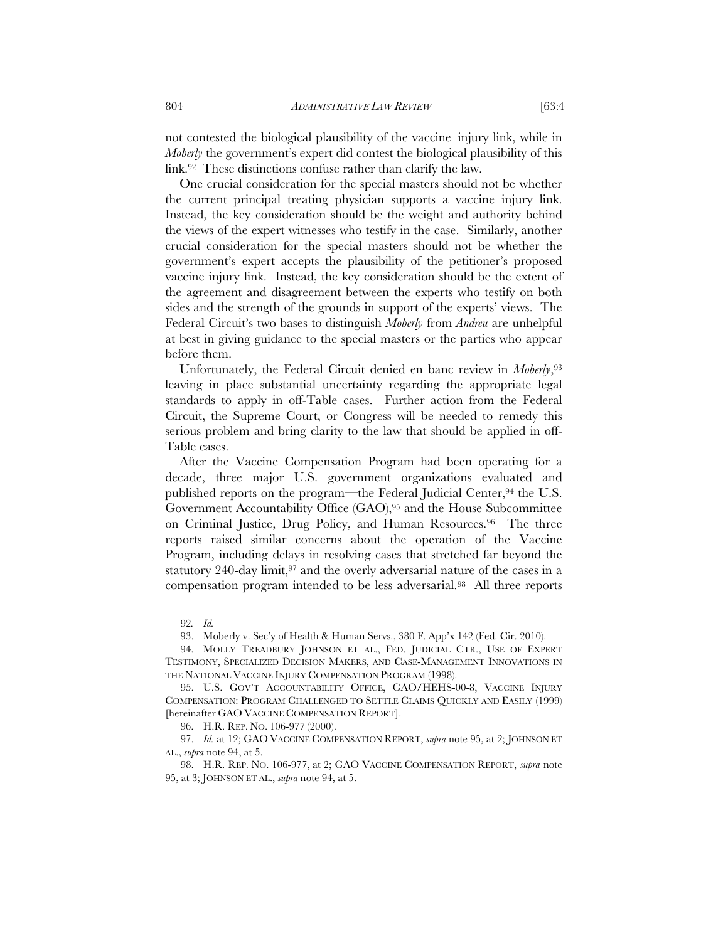not contested the biological plausibility of the vaccine–injury link, while in *Moberly* the government's expert did contest the biological plausibility of this link.92 These distinctions confuse rather than clarify the law.

One crucial consideration for the special masters should not be whether the current principal treating physician supports a vaccine injury link. Instead, the key consideration should be the weight and authority behind the views of the expert witnesses who testify in the case. Similarly, another crucial consideration for the special masters should not be whether the government's expert accepts the plausibility of the petitioner's proposed vaccine injury link. Instead, the key consideration should be the extent of the agreement and disagreement between the experts who testify on both sides and the strength of the grounds in support of the experts' views. The Federal Circuit's two bases to distinguish *Moberly* from *Andreu* are unhelpful at best in giving guidance to the special masters or the parties who appear before them.

Unfortunately, the Federal Circuit denied en banc review in *Moberly*,93 leaving in place substantial uncertainty regarding the appropriate legal standards to apply in off-Table cases. Further action from the Federal Circuit, the Supreme Court, or Congress will be needed to remedy this serious problem and bring clarity to the law that should be applied in off-Table cases.

After the Vaccine Compensation Program had been operating for a decade, three major U.S. government organizations evaluated and published reports on the program—the Federal Judicial Center,<sup>94</sup> the U.S. Government Accountability Office (GAO),95 and the House Subcommittee on Criminal Justice, Drug Policy, and Human Resources.96 The three reports raised similar concerns about the operation of the Vaccine Program, including delays in resolving cases that stretched far beyond the statutory 240-day limit, $97$  and the overly adversarial nature of the cases in a compensation program intended to be less adversarial.98 All three reports

<sup>92</sup>*. Id.*

<sup>93.</sup> Moberly v. Sec'y of Health & Human Servs., 380 F. App'x 142 (Fed. Cir. 2010).

<sup>94.</sup> MOLLY TREADBURY JOHNSON ET AL., FED. JUDICIAL CTR., USE OF EXPERT TESTIMONY, SPECIALIZED DECISION MAKERS, AND CASE-MANAGEMENT INNOVATIONS IN THE NATIONAL VACCINE INJURY COMPENSATION PROGRAM (1998).

<sup>95.</sup> U.S. GOV'T ACCOUNTABILITY OFFICE, GAO/HEHS-00-8, VACCINE INJURY COMPENSATION: PROGRAM CHALLENGED TO SETTLE CLAIMS QUICKLY AND EASILY (1999) [hereinafter GAO VACCINE COMPENSATION REPORT].

<sup>96.</sup> H.R. REP. NO. 106-977 (2000).

<sup>97.</sup> *Id.* at 12; GAO VACCINE COMPENSATION REPORT, *supra* note 95, at 2; JOHNSON ET AL., *supra* note 94, at 5.

<sup>98.</sup> H.R. REP. NO. 106-977, at 2; GAO VACCINE COMPENSATION REPORT, *supra* note 95, at 3; JOHNSON ET AL., *supra* note 94, at 5.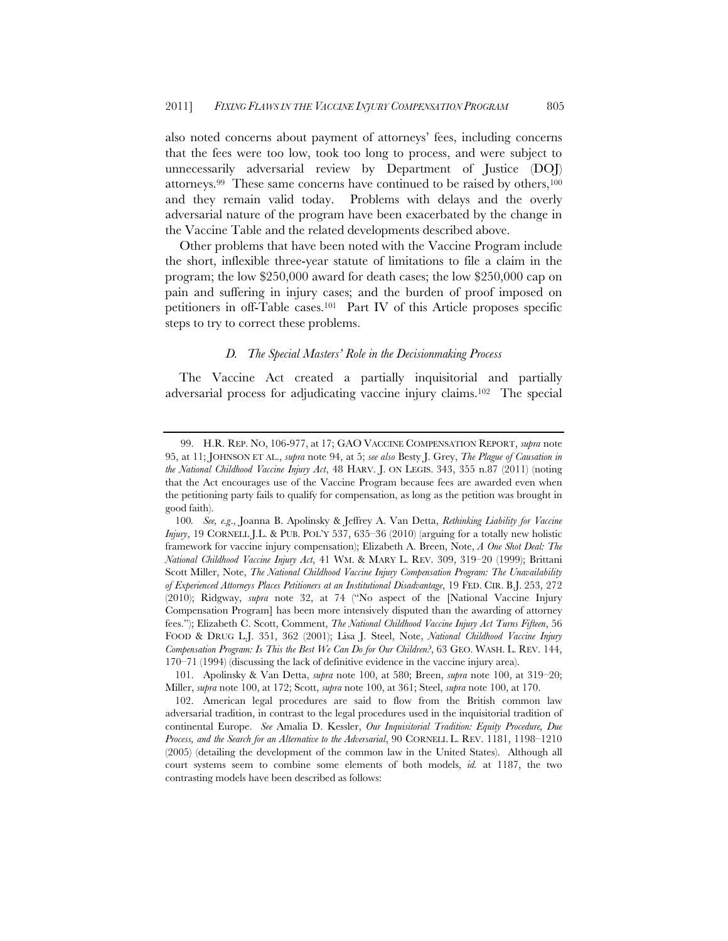also noted concerns about payment of attorneys' fees, including concerns that the fees were too low, took too long to process, and were subject to unnecessarily adversarial review by Department of Justice (DOJ) attorneys.99 These same concerns have continued to be raised by others,100 and they remain valid today. Problems with delays and the overly adversarial nature of the program have been exacerbated by the change in the Vaccine Table and the related developments described above.

Other problems that have been noted with the Vaccine Program include the short, inflexible three-year statute of limitations to file a claim in the program; the low \$250,000 award for death cases; the low \$250,000 cap on pain and suffering in injury cases; and the burden of proof imposed on petitioners in off-Table cases.101 Part IV of this Article proposes specific steps to try to correct these problems.

# *D. The Special Masters' Role in the Decisionmaking Process*

The Vaccine Act created a partially inquisitorial and partially adversarial process for adjudicating vaccine injury claims.102 The special

<sup>99.</sup> H.R. REP. NO, 106-977, at 17; GAO VACCINE COMPENSATION REPORT, *supra* note 95, at 11; JOHNSON ET AL., *supra* note 94, at 5; *see also* Besty J. Grey, *The Plague of Causation in the National Childhood Vaccine Injury Act*, 48 HARV. J. ON LEGIS. 343, 355 n.87 (2011) (noting that the Act encourages use of the Vaccine Program because fees are awarded even when the petitioning party fails to qualify for compensation, as long as the petition was brought in good faith).

<sup>100</sup>*. See, e.g*., Joanna B. Apolinsky & Jeffrey A. Van Detta, *Rethinking Liability for Vaccine Injury*, 19 CORNELL J.L. & PUB. POL'Y 537, 635–36 (2010) (arguing for a totally new holistic framework for vaccine injury compensation); Elizabeth A. Breen, Note, *A One Shot Deal: The National Childhood Vaccine Injury Act*, 41 WM. & MARY L. REV. 309, 319–20 (1999); Brittani Scott Miller, Note, *The National Childhood Vaccine Injury Compensation Program: The Unavailability of Experienced Attorneys Places Petitioners at an Institutional Disadvantage*, 19 FED. CIR. B.J. 253, 272 (2010); Ridgway, *supra* note 32, at 74 ("No aspect of the [National Vaccine Injury Compensation Program] has been more intensively disputed than the awarding of attorney fees."); Elizabeth C. Scott, Comment, *The National Childhood Vaccine Injury Act Turns Fifteen*, 56 FOOD & DRUG L.J. 351, 362 (2001); Lisa J. Steel, Note, *National Childhood Vaccine Injury Compensation Program: Is This the Best We Can Do for Our Children?*, 63 GEO. WASH. L. REV. 144, 170–71 (1994) (discussing the lack of definitive evidence in the vaccine injury area).

 <sup>101.</sup> Apolinsky & Van Detta, *supra* note 100, at 580; Breen, *supra* note 100, at 319–20; Miller, *supra* note 100, at 172; Scott, *supra* note 100, at 361; Steel, *supra* note 100, at 170.

 <sup>102.</sup> American legal procedures are said to flow from the British common law adversarial tradition, in contrast to the legal procedures used in the inquisitorial tradition of continental Europe. *See* Amalia D. Kessler, *Our Inquisitorial Tradition: Equity Procedure, Due Process, and the Search for an Alternative to the Adversarial*, 90 CORNELL L. REV. 1181, 1198–1210 (2005) (detailing the development of the common law in the United States). Although all court systems seem to combine some elements of both models, *id.* at 1187, the two contrasting models have been described as follows: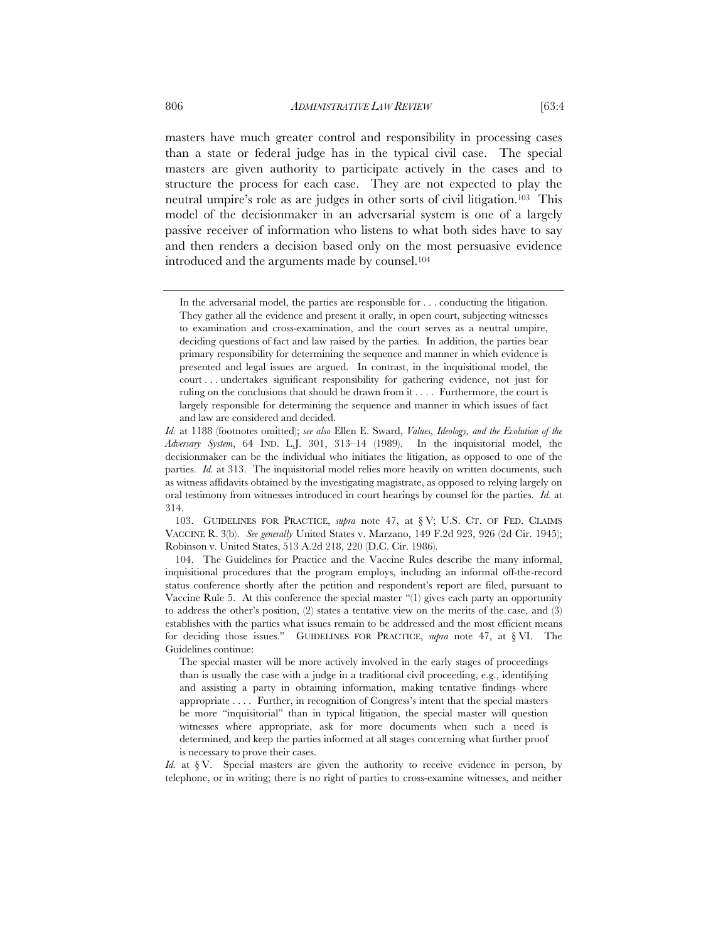masters have much greater control and responsibility in processing cases than a state or federal judge has in the typical civil case. The special masters are given authority to participate actively in the cases and to structure the process for each case. They are not expected to play the neutral umpire's role as are judges in other sorts of civil litigation.103 This model of the decisionmaker in an adversarial system is one of a largely passive receiver of information who listens to what both sides have to say and then renders a decision based only on the most persuasive evidence introduced and the arguments made by counsel.104

 103. GUIDELINES FOR PRACTICE, *supra* note 47, at § V; U.S. CT. OF FED. CLAIMS VACCINE R. 3(b). *See generally* United States v. Marzano, 149 F.2d 923, 926 (2d Cir. 1945); Robinson v. United States, 513 A.2d 218, 220 (D.C. Cir. 1986).

 104. The Guidelines for Practice and the Vaccine Rules describe the many informal, inquisitional procedures that the program employs, including an informal off-the-record status conference shortly after the petition and respondent's report are filed, pursuant to Vaccine Rule 5. At this conference the special master "(1) gives each party an opportunity to address the other's position,  $(2)$  states a tentative view on the merits of the case, and  $(3)$ establishes with the parties what issues remain to be addressed and the most efficient means for deciding those issues." GUIDELINES FOR PRACTICE, *supra* note 47, at § VI. The Guidelines continue:

The special master will be more actively involved in the early stages of proceedings than is usually the case with a judge in a traditional civil proceeding, e.g., identifying and assisting a party in obtaining information, making tentative findings where appropriate . . . . Further, in recognition of Congress's intent that the special masters be more "inquisitorial" than in typical litigation, the special master will question witnesses where appropriate, ask for more documents when such a need is determined, and keep the parties informed at all stages concerning what further proof is necessary to prove their cases.

*Id.* at § V. Special masters are given the authority to receive evidence in person, by telephone, or in writing; there is no right of parties to cross-examine witnesses, and neither

In the adversarial model, the parties are responsible for . . . conducting the litigation. They gather all the evidence and present it orally, in open court, subjecting witnesses to examination and cross-examination, and the court serves as a neutral umpire, deciding questions of fact and law raised by the parties. In addition, the parties bear primary responsibility for determining the sequence and manner in which evidence is presented and legal issues are argued. In contrast, in the inquisitional model, the court . . . undertakes significant responsibility for gathering evidence, not just for ruling on the conclusions that should be drawn from it . . . . Furthermore, the court is largely responsible for determining the sequence and manner in which issues of fact and law are considered and decided.

*Id.* at 1188 (footnotes omitted); *see also* Ellen E. Sward, *Values, Ideology, and the Evolution of the Adversary System*, 64 IND. L.J. 301, 313–14 (1989). In the inquisitorial model, the decisionmaker can be the individual who initiates the litigation, as opposed to one of the parties. *Id.* at 313. The inquisitorial model relies more heavily on written documents, such as witness affidavits obtained by the investigating magistrate, as opposed to relying largely on oral testimony from witnesses introduced in court hearings by counsel for the parties. *Id.* at 314.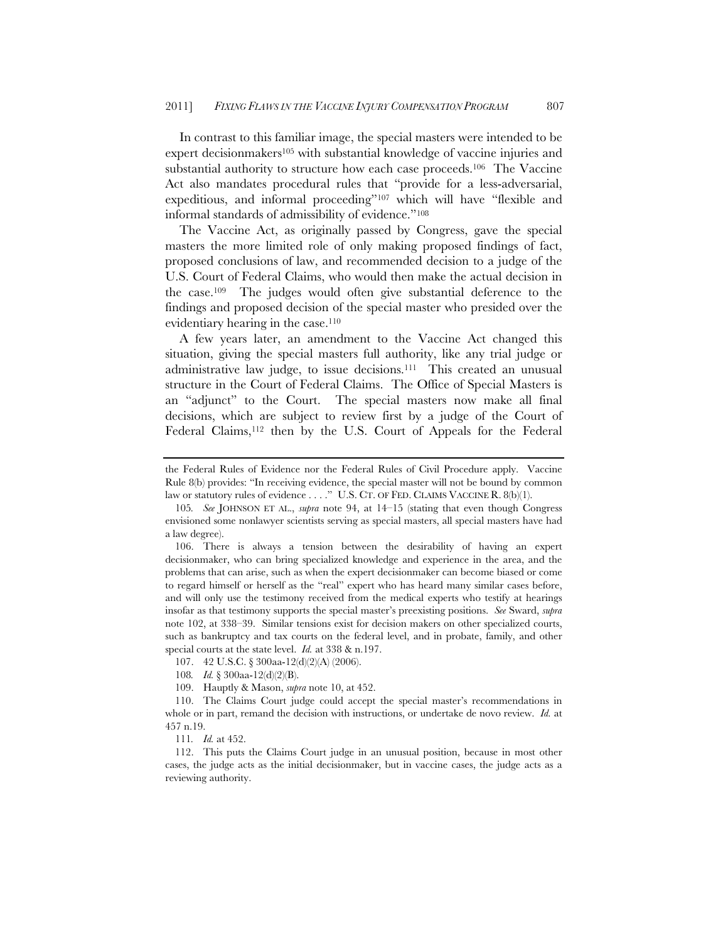In contrast to this familiar image, the special masters were intended to be expert decisionmakers<sup>105</sup> with substantial knowledge of vaccine injuries and substantial authority to structure how each case proceeds.106 The Vaccine Act also mandates procedural rules that "provide for a less-adversarial, expeditious, and informal proceeding"107 which will have "flexible and informal standards of admissibility of evidence."108

The Vaccine Act, as originally passed by Congress, gave the special masters the more limited role of only making proposed findings of fact, proposed conclusions of law, and recommended decision to a judge of the U.S. Court of Federal Claims, who would then make the actual decision in the case.109 The judges would often give substantial deference to the findings and proposed decision of the special master who presided over the evidentiary hearing in the case.<sup>110</sup>

A few years later, an amendment to the Vaccine Act changed this situation, giving the special masters full authority, like any trial judge or administrative law judge, to issue decisions.111 This created an unusual structure in the Court of Federal Claims. The Office of Special Masters is an "adjunct" to the Court. The special masters now make all final decisions, which are subject to review first by a judge of the Court of Federal Claims,<sup>112</sup> then by the U.S. Court of Appeals for the Federal

the Federal Rules of Evidence nor the Federal Rules of Civil Procedure apply. Vaccine Rule 8(b) provides: "In receiving evidence, the special master will not be bound by common law or statutory rules of evidence . . . ." U.S. CT. OF FED. CLAIMS VACCINE R. 8(b)(1).

<sup>105</sup>*. See* JOHNSON ET AL., *supra* note 94, at 14–15 (stating that even though Congress envisioned some nonlawyer scientists serving as special masters, all special masters have had a law degree).

 <sup>106.</sup> There is always a tension between the desirability of having an expert decisionmaker, who can bring specialized knowledge and experience in the area, and the problems that can arise, such as when the expert decisionmaker can become biased or come to regard himself or herself as the "real" expert who has heard many similar cases before, and will only use the testimony received from the medical experts who testify at hearings insofar as that testimony supports the special master's preexisting positions. *See* Sward, *supra*  note 102, at 338–39. Similar tensions exist for decision makers on other specialized courts, such as bankruptcy and tax courts on the federal level, and in probate, family, and other special courts at the state level. *Id.* at 338 & n.197.

<sup>107. 42</sup> U.S.C. § 300aa-12(d)(2)(A) (2006).

<sup>108</sup>*. Id.* § 300aa-12(d)(2)(B).

<sup>109.</sup> Hauptly & Mason, *supra* note 10, at 452.

<sup>110.</sup> The Claims Court judge could accept the special master's recommendations in whole or in part, remand the decision with instructions, or undertake de novo review. *Id.* at 457 n.19.

<sup>111</sup>*. Id.* at 452.

 <sup>112.</sup> This puts the Claims Court judge in an unusual position, because in most other cases, the judge acts as the initial decisionmaker, but in vaccine cases, the judge acts as a reviewing authority.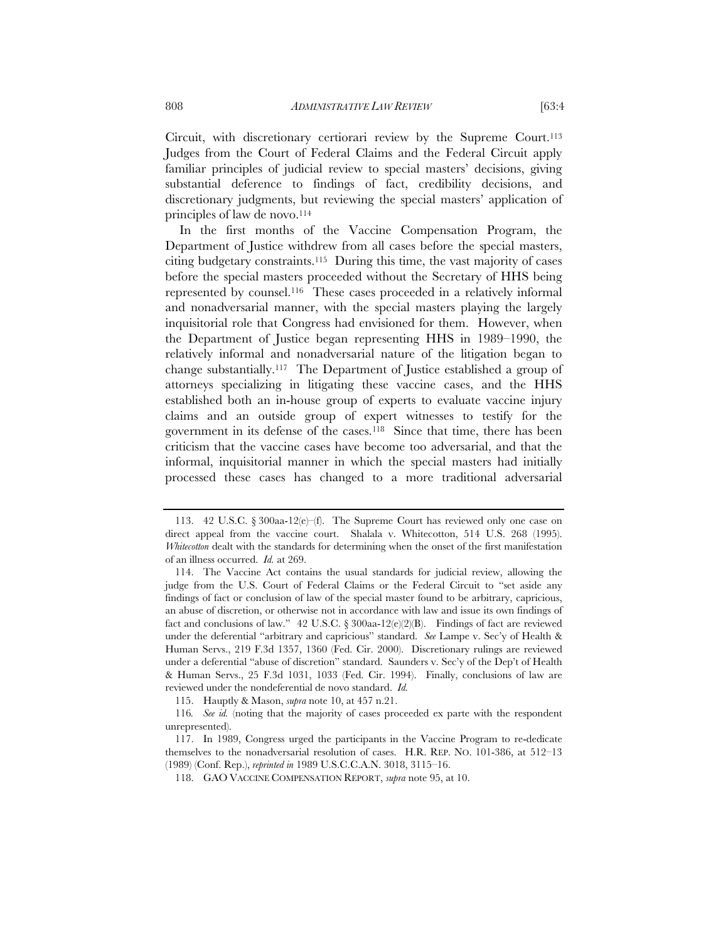Circuit, with discretionary certiorari review by the Supreme Court.<sup>113</sup> Judges from the Court of Federal Claims and the Federal Circuit apply familiar principles of judicial review to special masters' decisions, giving substantial deference to findings of fact, credibility decisions, and discretionary judgments, but reviewing the special masters' application of principles of law de novo.<sup>114</sup>

In the first months of the Vaccine Compensation Program, the Department of Justice withdrew from all cases before the special masters, citing budgetary constraints.115 During this time, the vast majority of cases before the special masters proceeded without the Secretary of HHS being represented by counsel.116 These cases proceeded in a relatively informal and nonadversarial manner, with the special masters playing the largely inquisitorial role that Congress had envisioned for them. However, when the Department of Justice began representing HHS in 1989–1990, the relatively informal and nonadversarial nature of the litigation began to change substantially.117 The Department of Justice established a group of attorneys specializing in litigating these vaccine cases, and the HHS established both an in-house group of experts to evaluate vaccine injury claims and an outside group of expert witnesses to testify for the government in its defense of the cases.118 Since that time, there has been criticism that the vaccine cases have become too adversarial, and that the informal, inquisitorial manner in which the special masters had initially processed these cases has changed to a more traditional adversarial

 <sup>113. 42</sup> U.S.C. § 300aa-12(e)–(f). The Supreme Court has reviewed only one case on direct appeal from the vaccine court. Shalala v. Whitecotton, 514 U.S. 268 (1995). *Whitecotton* dealt with the standards for determining when the onset of the first manifestation of an illness occurred. *Id.* at 269.

 <sup>114.</sup> The Vaccine Act contains the usual standards for judicial review, allowing the judge from the U.S. Court of Federal Claims or the Federal Circuit to "set aside any findings of fact or conclusion of law of the special master found to be arbitrary, capricious, an abuse of discretion, or otherwise not in accordance with law and issue its own findings of fact and conclusions of law." 42 U.S.C.  $\S 300$ aa-12(e)(2)(B). Findings of fact are reviewed under the deferential "arbitrary and capricious" standard. *See* Lampe v. Sec'y of Health & Human Servs., 219 F.3d 1357, 1360 (Fed. Cir. 2000). Discretionary rulings are reviewed under a deferential "abuse of discretion" standard. Saunders v. Sec'y of the Dep't of Health & Human Servs., 25 F.3d 1031, 1033 (Fed. Cir. 1994). Finally, conclusions of law are reviewed under the nondeferential de novo standard. *Id.*

<sup>115.</sup> Hauptly & Mason, *supra* note 10, at 457 n.21.

<sup>116</sup>*. See id.* (noting that the majority of cases proceeded ex parte with the respondent unrepresented).

<sup>117.</sup> In 1989, Congress urged the participants in the Vaccine Program to re-dedicate themselves to the nonadversarial resolution of cases. H.R. REP. NO. 101-386, at 512–13 (1989) (Conf. Rep.), *reprinted in* 1989 U.S.C.C.A.N. 3018, 3115–16.

 <sup>118.</sup> GAO VACCINE COMPENSATION REPORT, *supra* note 95, at 10.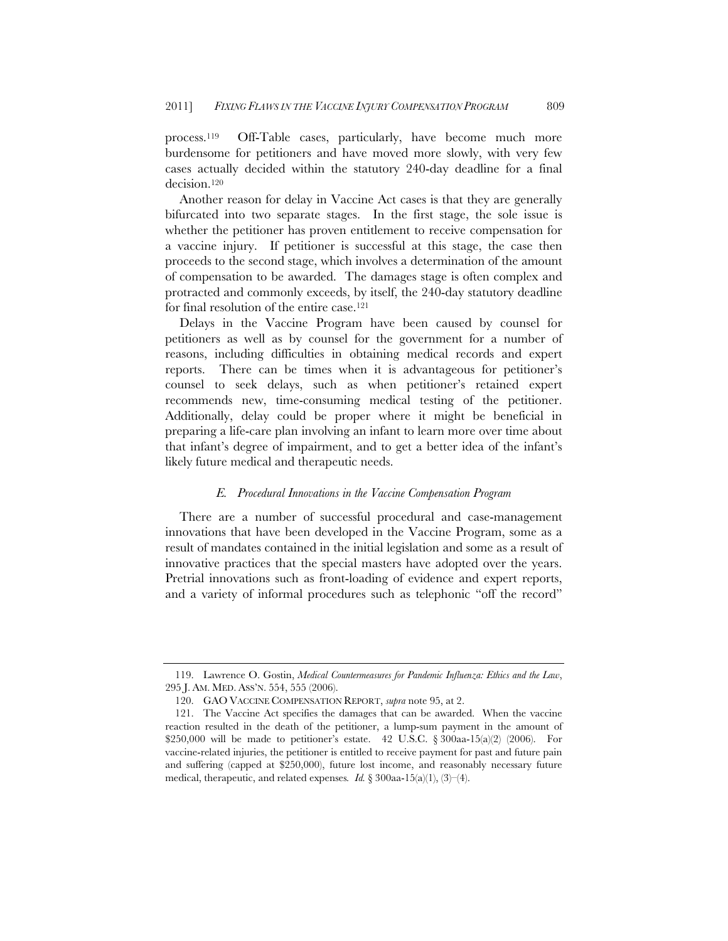process.119 Off-Table cases, particularly, have become much more burdensome for petitioners and have moved more slowly, with very few cases actually decided within the statutory 240-day deadline for a final decision.120

Another reason for delay in Vaccine Act cases is that they are generally bifurcated into two separate stages. In the first stage, the sole issue is whether the petitioner has proven entitlement to receive compensation for a vaccine injury. If petitioner is successful at this stage, the case then proceeds to the second stage, which involves a determination of the amount of compensation to be awarded. The damages stage is often complex and protracted and commonly exceeds, by itself, the 240-day statutory deadline for final resolution of the entire case.121

Delays in the Vaccine Program have been caused by counsel for petitioners as well as by counsel for the government for a number of reasons, including difficulties in obtaining medical records and expert reports. There can be times when it is advantageous for petitioner's counsel to seek delays, such as when petitioner's retained expert recommends new, time-consuming medical testing of the petitioner. Additionally, delay could be proper where it might be beneficial in preparing a life-care plan involving an infant to learn more over time about that infant's degree of impairment, and to get a better idea of the infant's likely future medical and therapeutic needs.

# *E. Procedural Innovations in the Vaccine Compensation Program*

There are a number of successful procedural and case-management innovations that have been developed in the Vaccine Program, some as a result of mandates contained in the initial legislation and some as a result of innovative practices that the special masters have adopted over the years. Pretrial innovations such as front-loading of evidence and expert reports, and a variety of informal procedures such as telephonic "off the record"

 <sup>119.</sup> Lawrence O. Gostin, *Medical Countermeasures for Pandemic Influenza: Ethics and the Law*, 295 J. AM. MED. ASS'N. 554, 555 (2006).

 <sup>120.</sup> GAO VACCINE COMPENSATION REPORT, *supra* note 95, at 2.

 <sup>121.</sup> The Vaccine Act specifies the damages that can be awarded. When the vaccine reaction resulted in the death of the petitioner, a lump-sum payment in the amount of \$250,000 will be made to petitioner's estate. 42 U.S.C.  $\S 300aa-15(a)(2)$  (2006). For vaccine-related injuries, the petitioner is entitled to receive payment for past and future pain and suffering (capped at \$250,000), future lost income, and reasonably necessary future medical, therapeutic, and related expenses*. Id.* § 300aa-15(a)(1), (3)–(4).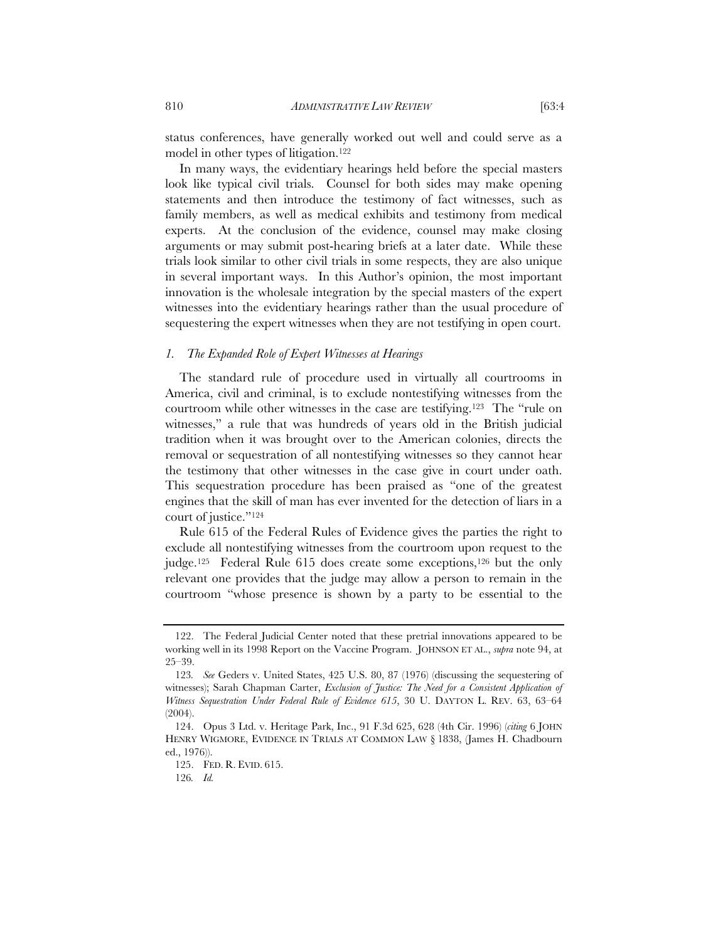status conferences, have generally worked out well and could serve as a model in other types of litigation.<sup>122</sup>

In many ways, the evidentiary hearings held before the special masters look like typical civil trials. Counsel for both sides may make opening statements and then introduce the testimony of fact witnesses, such as family members, as well as medical exhibits and testimony from medical experts. At the conclusion of the evidence, counsel may make closing arguments or may submit post-hearing briefs at a later date. While these trials look similar to other civil trials in some respects, they are also unique in several important ways. In this Author's opinion, the most important innovation is the wholesale integration by the special masters of the expert witnesses into the evidentiary hearings rather than the usual procedure of sequestering the expert witnesses when they are not testifying in open court.

# *1. The Expanded Role of Expert Witnesses at Hearings*

The standard rule of procedure used in virtually all courtrooms in America, civil and criminal, is to exclude nontestifying witnesses from the courtroom while other witnesses in the case are testifying.123 The "rule on witnesses," a rule that was hundreds of years old in the British judicial tradition when it was brought over to the American colonies, directs the removal or sequestration of all nontestifying witnesses so they cannot hear the testimony that other witnesses in the case give in court under oath. This sequestration procedure has been praised as "one of the greatest engines that the skill of man has ever invented for the detection of liars in a court of justice."124

Rule 615 of the Federal Rules of Evidence gives the parties the right to exclude all nontestifying witnesses from the courtroom upon request to the judge.125 Federal Rule 615 does create some exceptions,126 but the only relevant one provides that the judge may allow a person to remain in the courtroom "whose presence is shown by a party to be essential to the

 <sup>122.</sup> The Federal Judicial Center noted that these pretrial innovations appeared to be working well in its 1998 Report on the Vaccine Program. JOHNSON ET AL., *supra* note 94, at 25–39.

<sup>123</sup>*. See* Geders v. United States, 425 U.S. 80, 87 (1976) (discussing the sequestering of witnesses); Sarah Chapman Carter, *Exclusion of Justice: The Need for a Consistent Application of Witness Sequestration Under Federal Rule of Evidence 615*, 30 U. DAYTON L. REV. 63, 63–64  $(2004)$ .

 <sup>124.</sup> Opus 3 Ltd. v. Heritage Park, Inc., 91 F.3d 625, 628 (4th Cir. 1996) (*citing* 6 JOHN HENRY WIGMORE, EVIDENCE IN TRIALS AT COMMON LAW § 1838, (James H. Chadbourn ed., 1976)).

 <sup>125.</sup> FED. R. EVID. 615.

<sup>126</sup>*. Id.*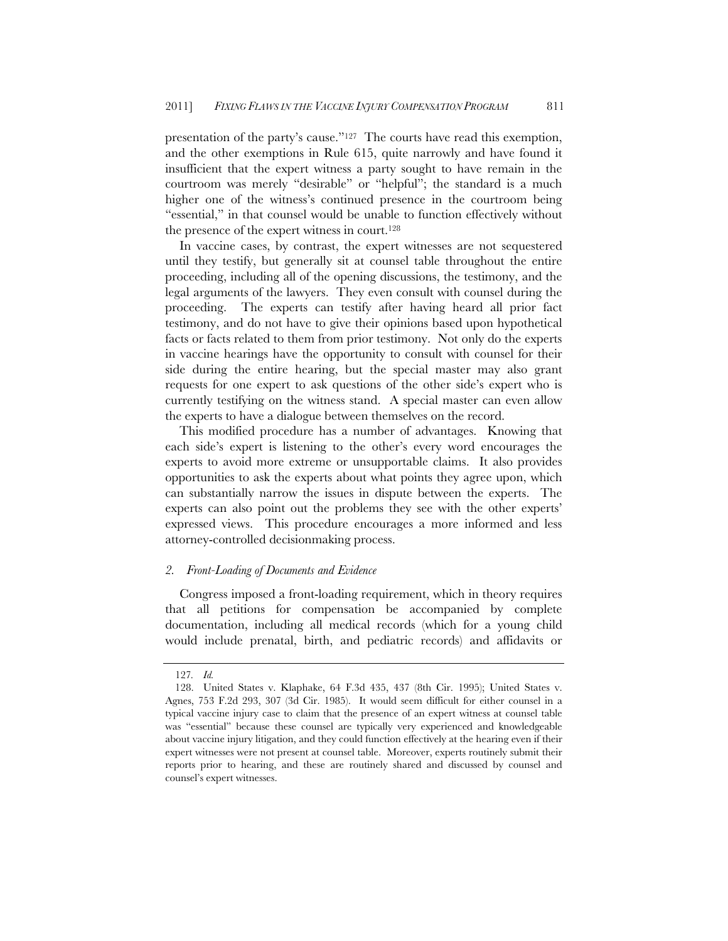presentation of the party's cause."127 The courts have read this exemption, and the other exemptions in Rule 615, quite narrowly and have found it insufficient that the expert witness a party sought to have remain in the courtroom was merely "desirable" or "helpful"; the standard is a much higher one of the witness's continued presence in the courtroom being "essential," in that counsel would be unable to function effectively without the presence of the expert witness in court.128

In vaccine cases, by contrast, the expert witnesses are not sequestered until they testify, but generally sit at counsel table throughout the entire proceeding, including all of the opening discussions, the testimony, and the legal arguments of the lawyers. They even consult with counsel during the proceeding. The experts can testify after having heard all prior fact testimony, and do not have to give their opinions based upon hypothetical facts or facts related to them from prior testimony. Not only do the experts in vaccine hearings have the opportunity to consult with counsel for their side during the entire hearing, but the special master may also grant requests for one expert to ask questions of the other side's expert who is currently testifying on the witness stand. A special master can even allow the experts to have a dialogue between themselves on the record.

This modified procedure has a number of advantages. Knowing that each side's expert is listening to the other's every word encourages the experts to avoid more extreme or unsupportable claims. It also provides opportunities to ask the experts about what points they agree upon, which can substantially narrow the issues in dispute between the experts. The experts can also point out the problems they see with the other experts' expressed views. This procedure encourages a more informed and less attorney-controlled decisionmaking process.

# *2. Front-Loading of Documents and Evidence*

Congress imposed a front-loading requirement, which in theory requires that all petitions for compensation be accompanied by complete documentation, including all medical records (which for a young child would include prenatal, birth, and pediatric records) and affidavits or

<sup>127</sup>*. Id.*

<sup>128.</sup> United States v. Klaphake, 64 F.3d 435, 437 (8th Cir. 1995); United States v. Agnes, 753 F.2d 293, 307 (3d Cir. 1985). It would seem difficult for either counsel in a typical vaccine injury case to claim that the presence of an expert witness at counsel table was "essential" because these counsel are typically very experienced and knowledgeable about vaccine injury litigation, and they could function effectively at the hearing even if their expert witnesses were not present at counsel table. Moreover, experts routinely submit their reports prior to hearing, and these are routinely shared and discussed by counsel and counsel's expert witnesses.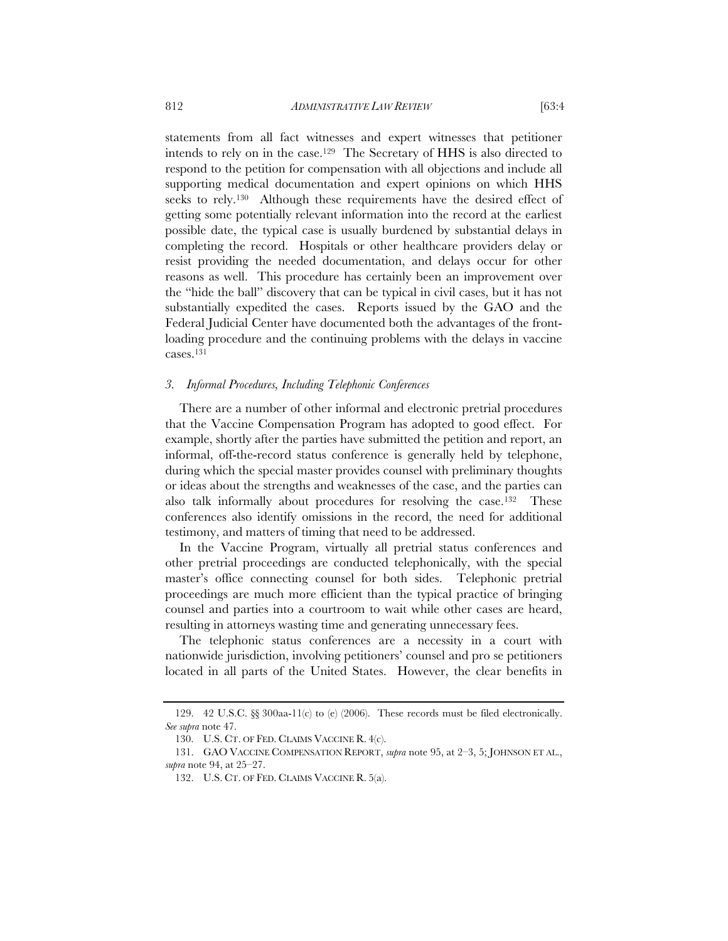statements from all fact witnesses and expert witnesses that petitioner intends to rely on in the case.129 The Secretary of HHS is also directed to respond to the petition for compensation with all objections and include all supporting medical documentation and expert opinions on which HHS seeks to rely.130 Although these requirements have the desired effect of getting some potentially relevant information into the record at the earliest possible date, the typical case is usually burdened by substantial delays in completing the record. Hospitals or other healthcare providers delay or resist providing the needed documentation, and delays occur for other reasons as well. This procedure has certainly been an improvement over the "hide the ball" discovery that can be typical in civil cases, but it has not substantially expedited the cases. Reports issued by the GAO and the Federal Judicial Center have documented both the advantages of the frontloading procedure and the continuing problems with the delays in vaccine cases.131

#### *3. Informal Procedures, Including Telephonic Conferences*

There are a number of other informal and electronic pretrial procedures that the Vaccine Compensation Program has adopted to good effect. For example, shortly after the parties have submitted the petition and report, an informal, off-the-record status conference is generally held by telephone, during which the special master provides counsel with preliminary thoughts or ideas about the strengths and weaknesses of the case, and the parties can also talk informally about procedures for resolving the case.132 These conferences also identify omissions in the record, the need for additional testimony, and matters of timing that need to be addressed.

In the Vaccine Program, virtually all pretrial status conferences and other pretrial proceedings are conducted telephonically, with the special master's office connecting counsel for both sides. Telephonic pretrial proceedings are much more efficient than the typical practice of bringing counsel and parties into a courtroom to wait while other cases are heard, resulting in attorneys wasting time and generating unnecessary fees.

The telephonic status conferences are a necessity in a court with nationwide jurisdiction, involving petitioners' counsel and pro se petitioners located in all parts of the United States. However, the clear benefits in

 <sup>129. 42</sup> U.S.C. §§ 300aa-11(c) to (e) (2006). These records must be filed electronically. *See supra* note 47.

 <sup>130.</sup> U.S. CT. OF FED. CLAIMS VACCINE R. 4(c).

 <sup>131.</sup> GAO VACCINE COMPENSATION REPORT, *supra* note 95, at 2–3, 5; JOHNSON ET AL., *supra* note 94, at 25–27.

 <sup>132.</sup> U.S. CT. OF FED. CLAIMS VACCINE R. 5(a).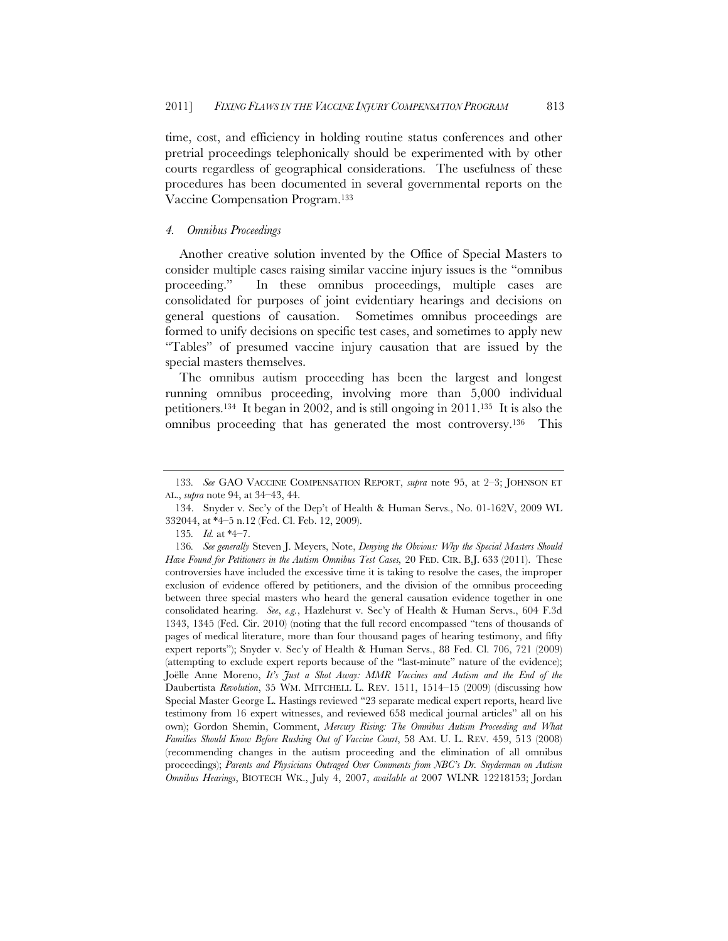time, cost, and efficiency in holding routine status conferences and other pretrial proceedings telephonically should be experimented with by other courts regardless of geographical considerations. The usefulness of these procedures has been documented in several governmental reports on the Vaccine Compensation Program.133

# *4. Omnibus Proceedings*

Another creative solution invented by the Office of Special Masters to consider multiple cases raising similar vaccine injury issues is the "omnibus proceeding." In these omnibus proceedings, multiple cases are consolidated for purposes of joint evidentiary hearings and decisions on general questions of causation. Sometimes omnibus proceedings are formed to unify decisions on specific test cases, and sometimes to apply new "Tables" of presumed vaccine injury causation that are issued by the special masters themselves.

The omnibus autism proceeding has been the largest and longest running omnibus proceeding, involving more than 5,000 individual petitioners.134 It began in 2002, and is still ongoing in 2011.135 It is also the omnibus proceeding that has generated the most controversy.136 This

<sup>133</sup>*. See* GAO VACCINE COMPENSATION REPORT, *supra* note 95, at 2–3; JOHNSON ET AL., *supra* note 94, at 34–43, 44.

 <sup>134.</sup> Snyder v. Sec'y of the Dep't of Health & Human Servs., No. 01-162V, 2009 WL 332044, at \*4–5 n.12 (Fed. Cl. Feb. 12, 2009).

<sup>135</sup>*. Id.* at \*4–7.

<sup>136</sup>*. See generally* Steven J. Meyers, Note, *Denying the Obvious: Why the Special Masters Should Have Found for Petitioners in the Autism Omnibus Test Cases,* 20 FED. CIR. B.J. 633 (2011). These controversies have included the excessive time it is taking to resolve the cases, the improper exclusion of evidence offered by petitioners, and the division of the omnibus proceeding between three special masters who heard the general causation evidence together in one consolidated hearing. *See*, *e.g.*, Hazlehurst v. Sec'y of Health & Human Servs., 604 F.3d 1343, 1345 (Fed. Cir. 2010) (noting that the full record encompassed "tens of thousands of pages of medical literature, more than four thousand pages of hearing testimony, and fifty expert reports"); Snyder v. Sec'y of Health & Human Servs., 88 Fed. Cl. 706, 721 (2009) (attempting to exclude expert reports because of the "last-minute" nature of the evidence); Joëlle Anne Moreno, *It's Just a Shot Away: MMR Vaccines and Autism and the End of the*  Daubertista *Revolution*, 35 WM. MITCHELL L. REV. 1511, 1514–15 (2009) (discussing how Special Master George L. Hastings reviewed "23 separate medical expert reports, heard live testimony from 16 expert witnesses, and reviewed 658 medical journal articles" all on his own); Gordon Shemin, Comment, *Mercury Rising: The Omnibus Autism Proceeding and What Families Should Know Before Rushing Out of Vaccine Court*, 58 AM. U. L. REV. 459, 513 (2008) (recommending changes in the autism proceeding and the elimination of all omnibus proceedings); *Parents and Physicians Outraged Over Comments from NBC's Dr. Snyderman on Autism Omnibus Hearings*, BIOTECH WK., July 4, 2007, *available at* 2007 WLNR 12218153; Jordan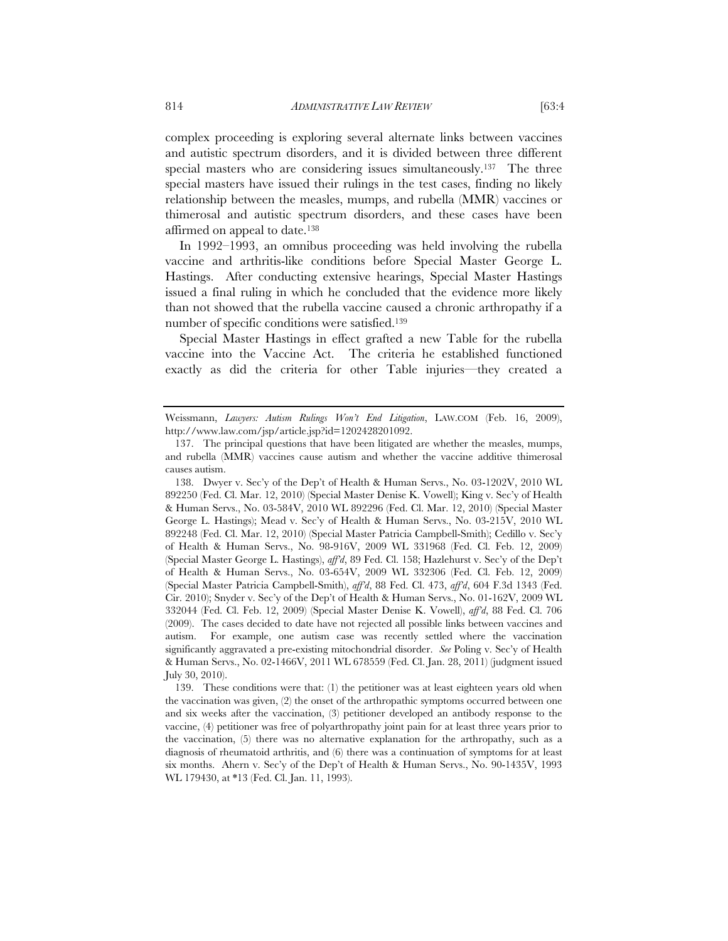complex proceeding is exploring several alternate links between vaccines and autistic spectrum disorders, and it is divided between three different special masters who are considering issues simultaneously.<sup>137</sup> The three special masters have issued their rulings in the test cases, finding no likely relationship between the measles, mumps, and rubella (MMR) vaccines or thimerosal and autistic spectrum disorders, and these cases have been affirmed on appeal to date.138

In 1992–1993, an omnibus proceeding was held involving the rubella vaccine and arthritis-like conditions before Special Master George L. Hastings. After conducting extensive hearings, Special Master Hastings issued a final ruling in which he concluded that the evidence more likely than not showed that the rubella vaccine caused a chronic arthropathy if a number of specific conditions were satisfied.<sup>139</sup>

Special Master Hastings in effect grafted a new Table for the rubella vaccine into the Vaccine Act. The criteria he established functioned exactly as did the criteria for other Table injuries—they created a

Weissmann, *Lawyers: Autism Rulings Won't End Litigation*, LAW.COM (Feb. 16, 2009), http://www.law.com/jsp/article.jsp?id=1202428201092.

 <sup>137.</sup> The principal questions that have been litigated are whether the measles, mumps, and rubella (MMR) vaccines cause autism and whether the vaccine additive thimerosal causes autism.

 <sup>138.</sup> Dwyer v. Sec'y of the Dep't of Health & Human Servs., No. 03-1202V, 2010 WL 892250 (Fed. Cl. Mar. 12, 2010) (Special Master Denise K. Vowell); King v. Sec'y of Health & Human Servs., No. 03-584V, 2010 WL 892296 (Fed. Cl. Mar. 12, 2010) (Special Master George L. Hastings); Mead v. Sec'y of Health & Human Servs., No. 03-215V, 2010 WL 892248 (Fed. Cl. Mar. 12, 2010) (Special Master Patricia Campbell-Smith); Cedillo v. Sec'y of Health & Human Servs., No. 98-916V, 2009 WL 331968 (Fed. Cl. Feb. 12, 2009) (Special Master George L. Hastings), *aff'd*, 89 Fed. Cl. 158; Hazlehurst v. Sec'y of the Dep't of Health & Human Servs., No. 03-654V, 2009 WL 332306 (Fed. Cl. Feb. 12, 2009) (Special Master Patricia Campbell-Smith), *aff'd*, 88 Fed. Cl. 473, *aff'd*, 604 F.3d 1343 (Fed. Cir. 2010); Snyder v. Sec'y of the Dep't of Health & Human Servs., No. 01-162V, 2009 WL 332044 (Fed. Cl. Feb. 12, 2009) (Special Master Denise K. Vowell), *aff'd*, 88 Fed. Cl. 706 (2009). The cases decided to date have not rejected all possible links between vaccines and autism. For example, one autism case was recently settled where the vaccination significantly aggravated a pre-existing mitochondrial disorder. *See* Poling v. Sec'y of Health & Human Servs., No. 02-1466V, 2011 WL 678559 (Fed. Cl. Jan. 28, 2011) (judgment issued July 30, 2010).

 <sup>139.</sup> These conditions were that: (1) the petitioner was at least eighteen years old when the vaccination was given, (2) the onset of the arthropathic symptoms occurred between one and six weeks after the vaccination, (3) petitioner developed an antibody response to the vaccine, (4) petitioner was free of polyarthropathy joint pain for at least three years prior to the vaccination, (5) there was no alternative explanation for the arthropathy, such as a diagnosis of rheumatoid arthritis, and (6) there was a continuation of symptoms for at least six months. Ahern v. Sec'y of the Dep't of Health & Human Servs., No. 90-1435V, 1993 WL 179430, at \*13 (Fed. Cl. Jan. 11, 1993).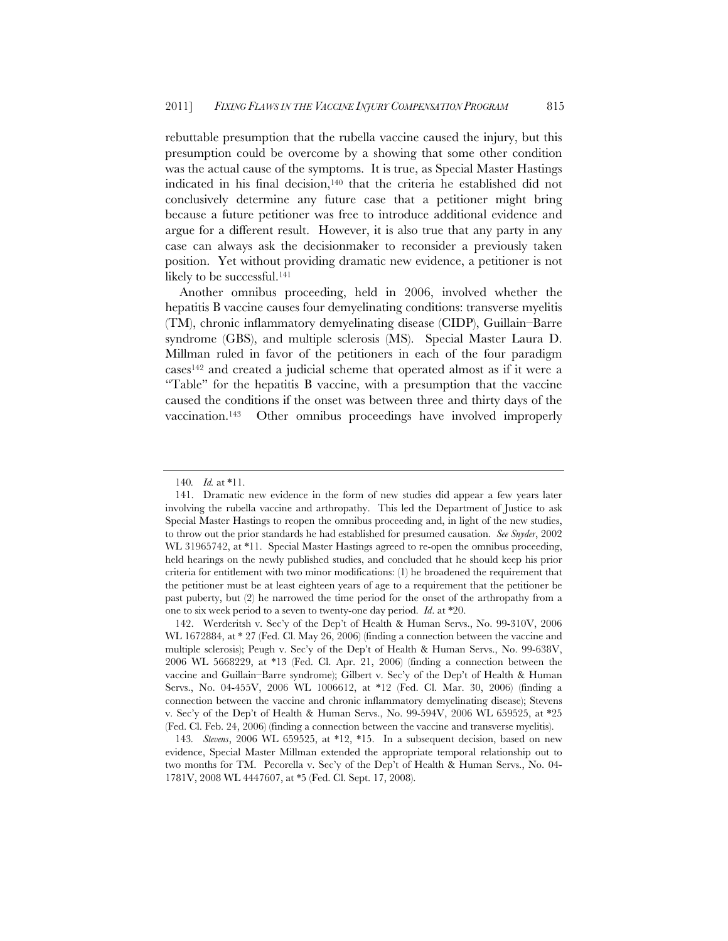rebuttable presumption that the rubella vaccine caused the injury, but this presumption could be overcome by a showing that some other condition was the actual cause of the symptoms. It is true, as Special Master Hastings indicated in his final decision, $140$  that the criteria he established did not conclusively determine any future case that a petitioner might bring because a future petitioner was free to introduce additional evidence and argue for a different result. However, it is also true that any party in any case can always ask the decisionmaker to reconsider a previously taken position. Yet without providing dramatic new evidence, a petitioner is not likely to be successful.<sup>141</sup>

Another omnibus proceeding, held in 2006, involved whether the hepatitis B vaccine causes four demyelinating conditions: transverse myelitis (TM), chronic inflammatory demyelinating disease (CIDP), Guillain–Barre syndrome (GBS), and multiple sclerosis (MS). Special Master Laura D. Millman ruled in favor of the petitioners in each of the four paradigm cases142 and created a judicial scheme that operated almost as if it were a "Table" for the hepatitis B vaccine, with a presumption that the vaccine caused the conditions if the onset was between three and thirty days of the vaccination.143 Other omnibus proceedings have involved improperly

<sup>140</sup>*. Id.* at \*11.

<sup>141.</sup> Dramatic new evidence in the form of new studies did appear a few years later involving the rubella vaccine and arthropathy. This led the Department of Justice to ask Special Master Hastings to reopen the omnibus proceeding and, in light of the new studies, to throw out the prior standards he had established for presumed causation. *See Snyder*, 2002 WL 31965742, at \*11. Special Master Hastings agreed to re-open the omnibus proceeding, held hearings on the newly published studies, and concluded that he should keep his prior criteria for entitlement with two minor modifications: (1) he broadened the requirement that the petitioner must be at least eighteen years of age to a requirement that the petitioner be past puberty, but (2) he narrowed the time period for the onset of the arthropathy from a one to six week period to a seven to twenty-one day period. *Id*. at \*20.

<sup>142.</sup> Werderitsh v. Sec'y of the Dep't of Health & Human Servs., No. 99-310V, 2006 WL 1672884, at \* 27 (Fed. Cl. May 26, 2006) (finding a connection between the vaccine and multiple sclerosis); Peugh v. Sec'y of the Dep't of Health & Human Servs., No. 99-638V, 2006 WL 5668229, at \*13 (Fed. Cl. Apr. 21, 2006) (finding a connection between the vaccine and Guillain–Barre syndrome); Gilbert v. Sec'y of the Dep't of Health & Human Servs., No. 04-455V, 2006 WL 1006612, at \*12 (Fed. Cl. Mar. 30, 2006) (finding a connection between the vaccine and chronic inflammatory demyelinating disease); Stevens v. Sec'y of the Dep't of Health & Human Servs., No. 99-594V, 2006 WL 659525, at \*25 (Fed. Cl. Feb. 24, 2006) (finding a connection between the vaccine and transverse myelitis).

<sup>143</sup>*. Stevens*, 2006 WL 659525, at \*12, \*15. In a subsequent decision, based on new evidence, Special Master Millman extended the appropriate temporal relationship out to two months for TM. Pecorella v. Sec'y of the Dep't of Health & Human Servs., No. 04- 1781V, 2008 WL 4447607, at \*5 (Fed. Cl. Sept. 17, 2008).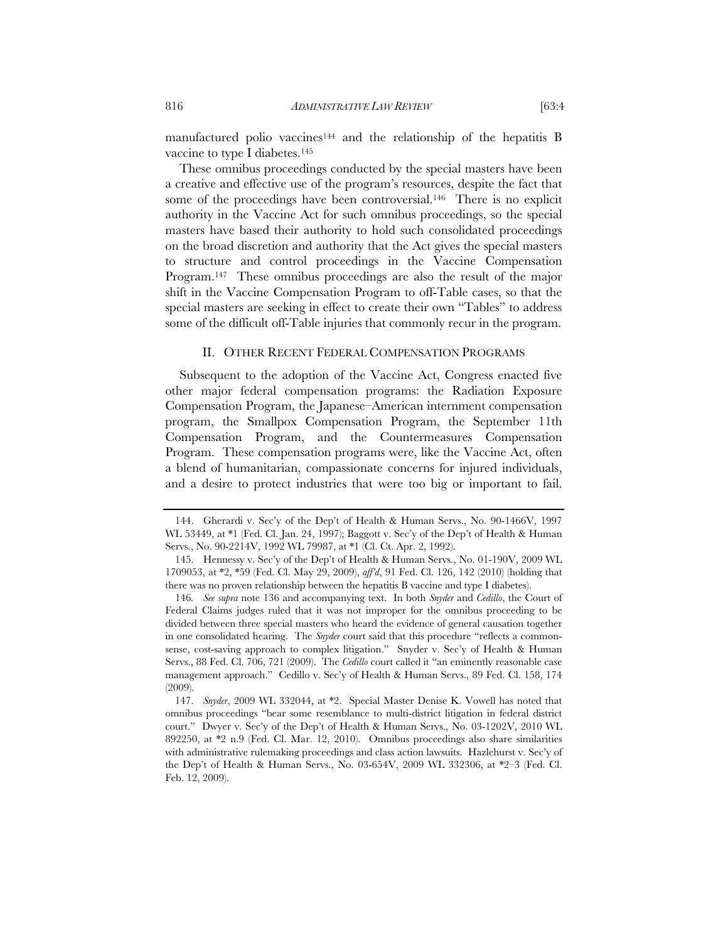manufactured polio vaccines<sup>144</sup> and the relationship of the hepatitis B vaccine to type I diabetes.145

These omnibus proceedings conducted by the special masters have been a creative and effective use of the program's resources, despite the fact that some of the proceedings have been controversial.<sup>146</sup> There is no explicit authority in the Vaccine Act for such omnibus proceedings, so the special masters have based their authority to hold such consolidated proceedings on the broad discretion and authority that the Act gives the special masters to structure and control proceedings in the Vaccine Compensation Program.147 These omnibus proceedings are also the result of the major shift in the Vaccine Compensation Program to off-Table cases, so that the special masters are seeking in effect to create their own "Tables" to address some of the difficult off-Table injuries that commonly recur in the program.

# II. OTHER RECENT FEDERAL COMPENSATION PROGRAMS

Subsequent to the adoption of the Vaccine Act, Congress enacted five other major federal compensation programs: the Radiation Exposure Compensation Program, the Japanese–American internment compensation program, the Smallpox Compensation Program, the September 11th Compensation Program, and the Countermeasures Compensation Program. These compensation programs were, like the Vaccine Act, often a blend of humanitarian, compassionate concerns for injured individuals, and a desire to protect industries that were too big or important to fail.

 <sup>144.</sup> Gherardi v. Sec'y of the Dep't of Health & Human Servs., No. 90-1466V, 1997 WL 53449, at \*1 (Fed. Cl. Jan. 24, 1997); Baggott v. Sec'y of the Dep't of Health & Human Servs., No. 90-2214V, 1992 WL 79987, at \*1 (Cl. Ct. Apr. 2, 1992).

 <sup>145.</sup> Hennessy v. Sec'y of the Dep't of Health & Human Servs., No. 01-190V, 2009 WL 1709053, at \*2, \*59 (Fed. Cl. May 29, 2009), *aff'd*, 91 Fed. Cl. 126, 142 (2010) (holding that there was no proven relationship between the hepatitis B vaccine and type I diabetes).

<sup>146</sup>*. See supra* note 136 and accompanying text. In both *Snyder* and *Cedillo*, the Court of Federal Claims judges ruled that it was not improper for the omnibus proceeding to be divided between three special masters who heard the evidence of general causation together in one consolidated hearing. The *Snyder* court said that this procedure "reflects a commonsense, cost-saving approach to complex litigation." Snyder v. Sec'y of Health & Human Servs., 88 Fed. Cl. 706, 721 (2009). The *Cedillo* court called it "an eminently reasonable case management approach." Cedillo v. Sec'y of Health & Human Servs., 89 Fed. Cl. 158, 174 (2009).

 <sup>147.</sup> *Snyder*, 2009 WL 332044, at \*2. Special Master Denise K. Vowell has noted that omnibus proceedings "bear some resemblance to multi-district litigation in federal district court." Dwyer v. Sec'y of the Dep't of Health & Human Servs., No. 03-1202V, 2010 WL 892250, at \*2 n.9 (Fed. Cl. Mar. 12, 2010). Omnibus proceedings also share similarities with administrative rulemaking proceedings and class action lawsuits. Hazlehurst v. Sec'y of the Dep't of Health & Human Servs., No. 03-654V, 2009 WL 332306, at \*2–3 (Fed. Cl. Feb. 12, 2009).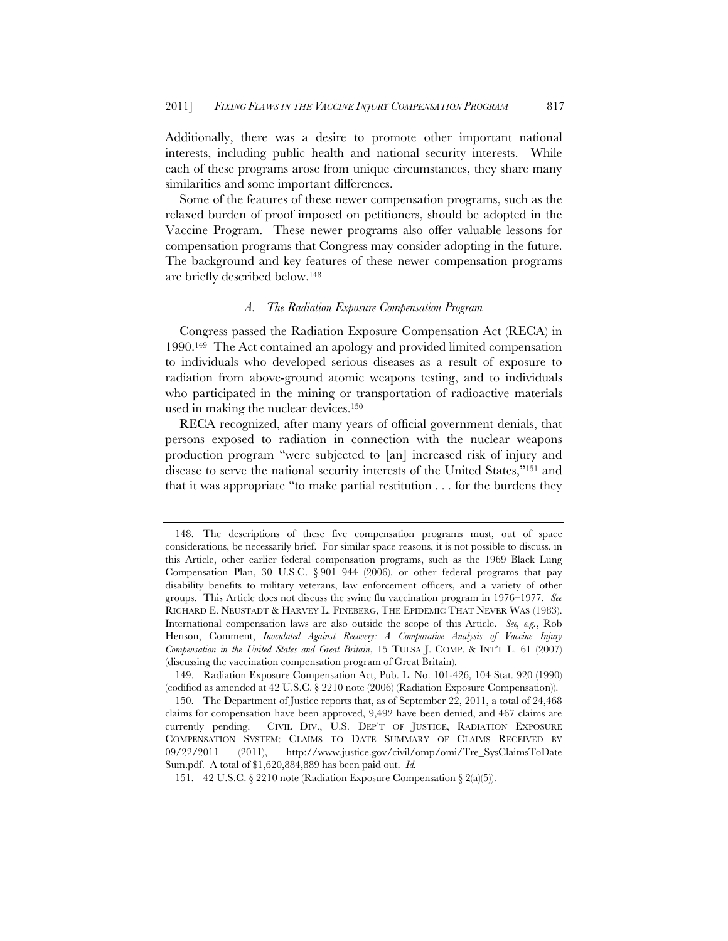Additionally, there was a desire to promote other important national interests, including public health and national security interests. While each of these programs arose from unique circumstances, they share many similarities and some important differences.

Some of the features of these newer compensation programs, such as the relaxed burden of proof imposed on petitioners, should be adopted in the Vaccine Program. These newer programs also offer valuable lessons for compensation programs that Congress may consider adopting in the future. The background and key features of these newer compensation programs are briefly described below.148

# *A. The Radiation Exposure Compensation Program*

Congress passed the Radiation Exposure Compensation Act (RECA) in 1990.149 The Act contained an apology and provided limited compensation to individuals who developed serious diseases as a result of exposure to radiation from above-ground atomic weapons testing, and to individuals who participated in the mining or transportation of radioactive materials used in making the nuclear devices.150

RECA recognized, after many years of official government denials, that persons exposed to radiation in connection with the nuclear weapons production program "were subjected to [an] increased risk of injury and disease to serve the national security interests of the United States,"151 and that it was appropriate "to make partial restitution . . . for the burdens they

 <sup>148.</sup> The descriptions of these five compensation programs must, out of space considerations, be necessarily brief. For similar space reasons, it is not possible to discuss, in this Article, other earlier federal compensation programs, such as the 1969 Black Lung Compensation Plan, 30 U.S.C.  $\S 901-944$  (2006), or other federal programs that pay disability benefits to military veterans, law enforcement officers, and a variety of other groups. This Article does not discuss the swine flu vaccination program in 1976–1977. *See* RICHARD E. NEUSTADT & HARVEY L. FINEBERG, THE EPIDEMIC THAT NEVER WAS (1983). International compensation laws are also outside the scope of this Article. *See, e.g.*, Rob Henson, Comment, *Inoculated Against Recovery: A Comparative Analysis of Vaccine Injury Compensation in the United States and Great Britain*, 15 TULSA J. COMP. & INT'L L. 61 (2007) (discussing the vaccination compensation program of Great Britain).

 <sup>149.</sup> Radiation Exposure Compensation Act, Pub. L. No. 101-426, 104 Stat. 920 (1990) (codified as amended at 42 U.S.C. § 2210 note (2006) (Radiation Exposure Compensation)).

 <sup>150.</sup> The Department of Justice reports that, as of September 22, 2011, a total of 24,468 claims for compensation have been approved, 9,492 have been denied, and 467 claims are currently pending. CIVIL DIV., U.S. DEP'T OF JUSTICE, RADIATION EXPOSURE COMPENSATION SYSTEM: CLAIMS TO DATE SUMMARY OF CLAIMS RECEIVED BY 09/22/2011 (2011), http://www.justice.gov/civil/omp/omi/Tre\_SysClaimsToDate Sum.pdf. A total of \$1,620,884,889 has been paid out. *Id.*

<sup>151. 42</sup> U.S.C. § 2210 note (Radiation Exposure Compensation § 2(a)(5)).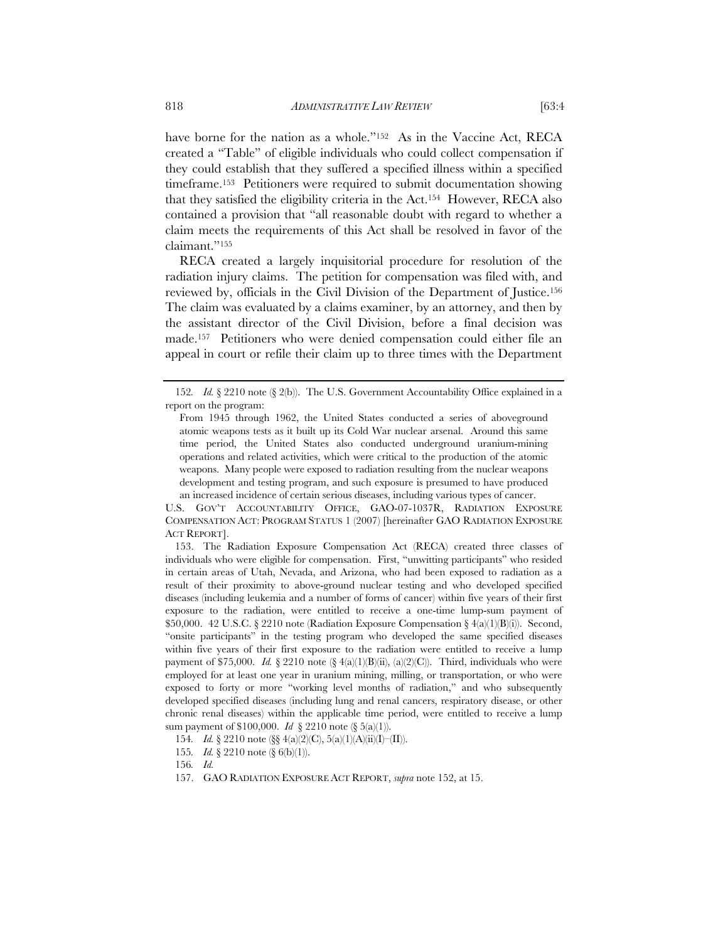have borne for the nation as a whole."<sup>152</sup> As in the Vaccine Act, RECA created a "Table" of eligible individuals who could collect compensation if they could establish that they suffered a specified illness within a specified timeframe.153 Petitioners were required to submit documentation showing that they satisfied the eligibility criteria in the Act.154 However, RECA also contained a provision that "all reasonable doubt with regard to whether a claim meets the requirements of this Act shall be resolved in favor of the claimant."155

RECA created a largely inquisitorial procedure for resolution of the radiation injury claims. The petition for compensation was filed with, and reviewed by, officials in the Civil Division of the Department of Justice.156 The claim was evaluated by a claims examiner, by an attorney, and then by the assistant director of the Civil Division, before a final decision was made.157 Petitioners who were denied compensation could either file an appeal in court or refile their claim up to three times with the Department

U.S. GOV'T ACCOUNTABILITY OFFICE, GAO-07-1037R, RADIATION EXPOSURE COMPENSATION ACT: PROGRAM STATUS 1 (2007) [hereinafter GAO RADIATION EXPOSURE ACT REPORT].

 153. The Radiation Exposure Compensation Act (RECA) created three classes of individuals who were eligible for compensation. First, "unwitting participants" who resided in certain areas of Utah, Nevada, and Arizona, who had been exposed to radiation as a result of their proximity to above-ground nuclear testing and who developed specified diseases (including leukemia and a number of forms of cancer) within five years of their first exposure to the radiation, were entitled to receive a one-time lump-sum payment of \$50,000. 42 U.S.C. § 2210 note (Radiation Exposure Compensation §  $4(a)(1)(B)(i)$ ). Second, "onsite participants" in the testing program who developed the same specified diseases within five years of their first exposure to the radiation were entitled to receive a lump payment of \$75,000. *Id.* § 2210 note (§  $4(a)(1)(B)(ii)$ ,  $(a)(2)(C)$ ). Third, individuals who were employed for at least one year in uranium mining, milling, or transportation, or who were exposed to forty or more "working level months of radiation," and who subsequently developed specified diseases (including lung and renal cancers, respiratory disease, or other chronic renal diseases) within the applicable time period, were entitled to receive a lump sum payment of \$100,000. *Id* § 2210 note (§ 5(a)(1)).

154*. Id.* § 2210 note (§§ 4(a)(2)(C), 5(a)(1)(A)(ii)(I)–(II)).

<sup>152</sup>*. Id.* § 2210 note (§ 2(b)). The U.S. Government Accountability Office explained in a report on the program:

From 1945 through 1962, the United States conducted a series of aboveground atomic weapons tests as it built up its Cold War nuclear arsenal. Around this same time period, the United States also conducted underground uranium-mining operations and related activities, which were critical to the production of the atomic weapons. Many people were exposed to radiation resulting from the nuclear weapons development and testing program, and such exposure is presumed to have produced an increased incidence of certain serious diseases, including various types of cancer.

<sup>155</sup>*. Id.* § 2210 note (§ 6(b)(1)).

<sup>156</sup>*. Id.*

 <sup>157.</sup> GAO RADIATION EXPOSURE ACT REPORT, *supra* note 152, at 15.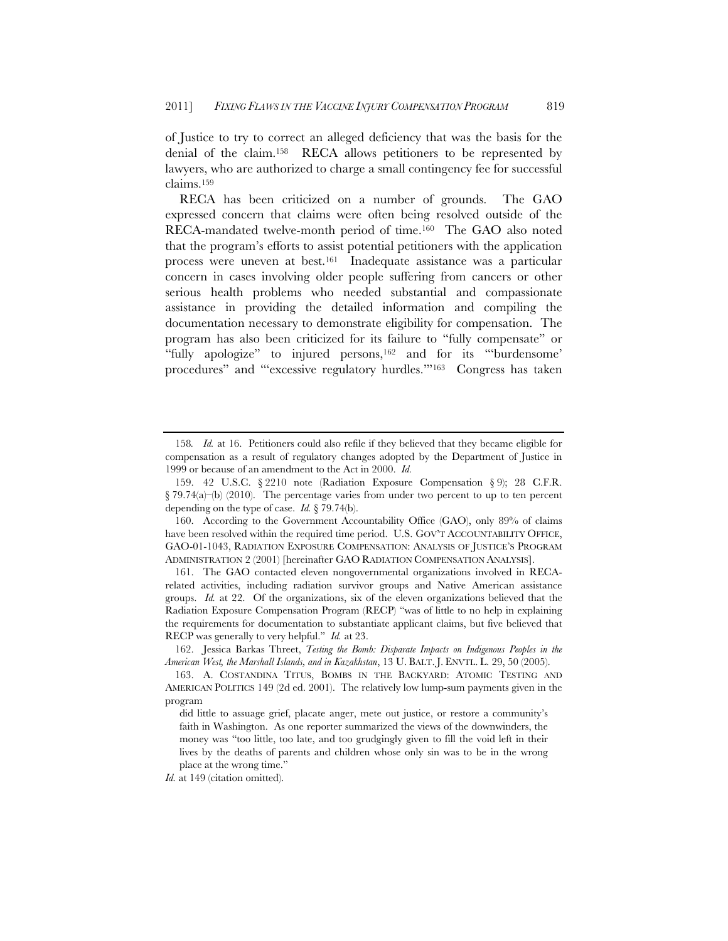of Justice to try to correct an alleged deficiency that was the basis for the denial of the claim.158 RECA allows petitioners to be represented by lawyers, who are authorized to charge a small contingency fee for successful claims.159

RECA has been criticized on a number of grounds. The GAO expressed concern that claims were often being resolved outside of the RECA-mandated twelve-month period of time.160 The GAO also noted that the program's efforts to assist potential petitioners with the application process were uneven at best.161 Inadequate assistance was a particular concern in cases involving older people suffering from cancers or other serious health problems who needed substantial and compassionate assistance in providing the detailed information and compiling the documentation necessary to demonstrate eligibility for compensation. The program has also been criticized for its failure to "fully compensate" or "fully apologize" to injured persons,162 and for its "'burdensome' procedures" and "'excessive regulatory hurdles.'"163 Congress has taken

<sup>158</sup>*. Id.* at 16. Petitioners could also refile if they believed that they became eligible for compensation as a result of regulatory changes adopted by the Department of Justice in 1999 or because of an amendment to the Act in 2000. *Id.*

<sup>159. 42</sup> U.S.C. § 2210 note (Radiation Exposure Compensation § 9); 28 C.F.R.  $\S 79.74(a)$ –(b) (2010). The percentage varies from under two percent to up to ten percent depending on the type of case. *Id.* § 79.74(b).

 <sup>160.</sup> According to the Government Accountability Office (GAO), only 89% of claims have been resolved within the required time period. U.S. GOV'T ACCOUNTABILITY OFFICE, GAO-01-1043, RADIATION EXPOSURE COMPENSATION: ANALYSIS OF JUSTICE'S PROGRAM ADMINISTRATION 2 (2001) [hereinafter GAO RADIATION COMPENSATION ANALYSIS].

 <sup>161.</sup> The GAO contacted eleven nongovernmental organizations involved in RECArelated activities, including radiation survivor groups and Native American assistance groups. *Id.* at 22. Of the organizations, six of the eleven organizations believed that the Radiation Exposure Compensation Program (RECP) "was of little to no help in explaining the requirements for documentation to substantiate applicant claims, but five believed that RECP was generally to very helpful." *Id.* at 23.

 <sup>162.</sup> Jessica Barkas Threet, *Testing the Bomb: Disparate Impacts on Indigenous Peoples in the American West, the Marshall Islands, and in Kazakhstan*, 13 U. BALT. J. ENVTL. L. 29, 50 (2005).

 <sup>163.</sup> A. COSTANDINA TITUS, BOMBS IN THE BACKYARD: ATOMIC TESTING AND AMERICAN POLITICS 149 (2d ed. 2001). The relatively low lump-sum payments given in the program

did little to assuage grief, placate anger, mete out justice, or restore a community's faith in Washington. As one reporter summarized the views of the downwinders, the money was "too little, too late, and too grudgingly given to fill the void left in their lives by the deaths of parents and children whose only sin was to be in the wrong place at the wrong time."

*Id.* at 149 (citation omitted).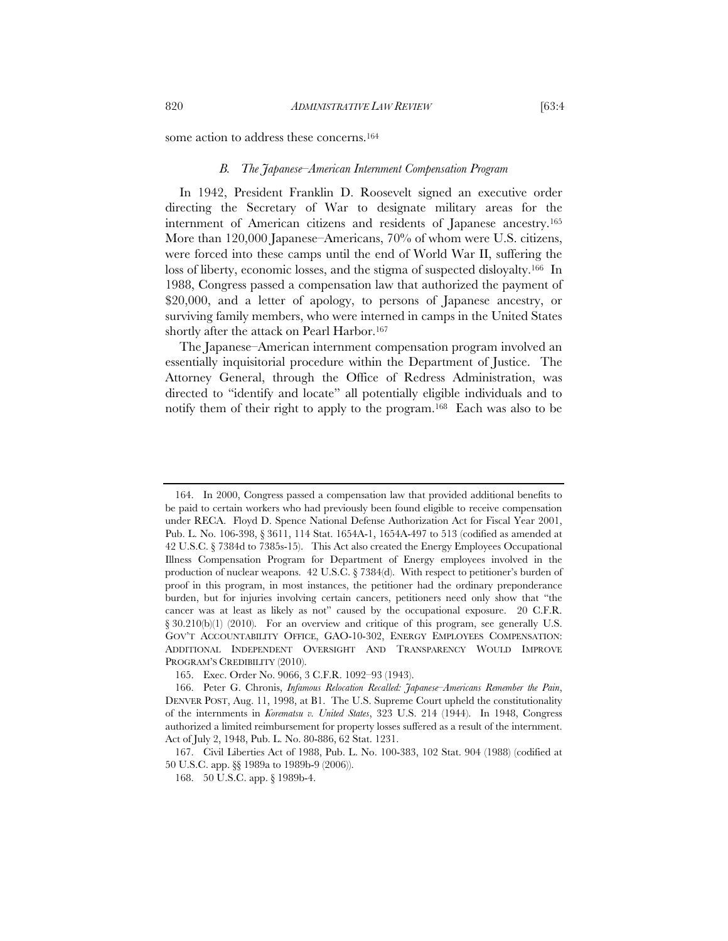some action to address these concerns.<sup>164</sup>

# *B. The Japanese–American Internment Compensation Program*

In 1942, President Franklin D. Roosevelt signed an executive order directing the Secretary of War to designate military areas for the internment of American citizens and residents of Japanese ancestry.165 More than 120,000 Japanese–Americans, 70% of whom were U.S. citizens, were forced into these camps until the end of World War II, suffering the loss of liberty, economic losses, and the stigma of suspected disloyalty.166 In 1988, Congress passed a compensation law that authorized the payment of \$20,000, and a letter of apology, to persons of Japanese ancestry, or surviving family members, who were interned in camps in the United States shortly after the attack on Pearl Harbor.<sup>167</sup>

The Japanese–American internment compensation program involved an essentially inquisitorial procedure within the Department of Justice. The Attorney General, through the Office of Redress Administration, was directed to "identify and locate" all potentially eligible individuals and to notify them of their right to apply to the program.<sup>168</sup> Each was also to be

 <sup>164.</sup> In 2000, Congress passed a compensation law that provided additional benefits to be paid to certain workers who had previously been found eligible to receive compensation under RECA. Floyd D. Spence National Defense Authorization Act for Fiscal Year 2001, Pub. L. No. 106-398, § 3611, 114 Stat. 1654A-1, 1654A-497 to 513 (codified as amended at 42 U.S.C. § 7384d to 7385s-15). This Act also created the Energy Employees Occupational Illness Compensation Program for Department of Energy employees involved in the production of nuclear weapons. 42 U.S.C. § 7384(d). With respect to petitioner's burden of proof in this program, in most instances, the petitioner had the ordinary preponderance burden, but for injuries involving certain cancers, petitioners need only show that "the cancer was at least as likely as not" caused by the occupational exposure. 20 C.F.R. § 30.210(b)(1) (2010). For an overview and critique of this program, see generally U.S. GOV'T ACCOUNTABILITY OFFICE, GAO-10-302, ENERGY EMPLOYEES COMPENSATION: ADDITIONAL INDEPENDENT OVERSIGHT AND TRANSPARENCY WOULD IMPROVE PROGRAM'S CREDIBILITY (2010).

<sup>165.</sup> Exec. Order No. 9066, 3 C.F.R. 1092–93 (1943).

 <sup>166.</sup> Peter G. Chronis, *Infamous Relocation Recalled: Japanese–Americans Remember the Pain*, DENVER POST, Aug. 11, 1998, at B1. The U.S. Supreme Court upheld the constitutionality of the internments in *Korematsu v. United States*, 323 U.S. 214 (1944). In 1948, Congress authorized a limited reimbursement for property losses suffered as a result of the internment. Act of July 2, 1948, Pub. L. No. 80-886, 62 Stat. 1231.

<sup>167.</sup> Civil Liberties Act of 1988, Pub. L. No. 100-383, 102 Stat. 904 (1988) (codified at 50 U.S.C. app. §§ 1989a to 1989b-9 (2006)).

<sup>168. 50</sup> U.S.C. app. § 1989b-4.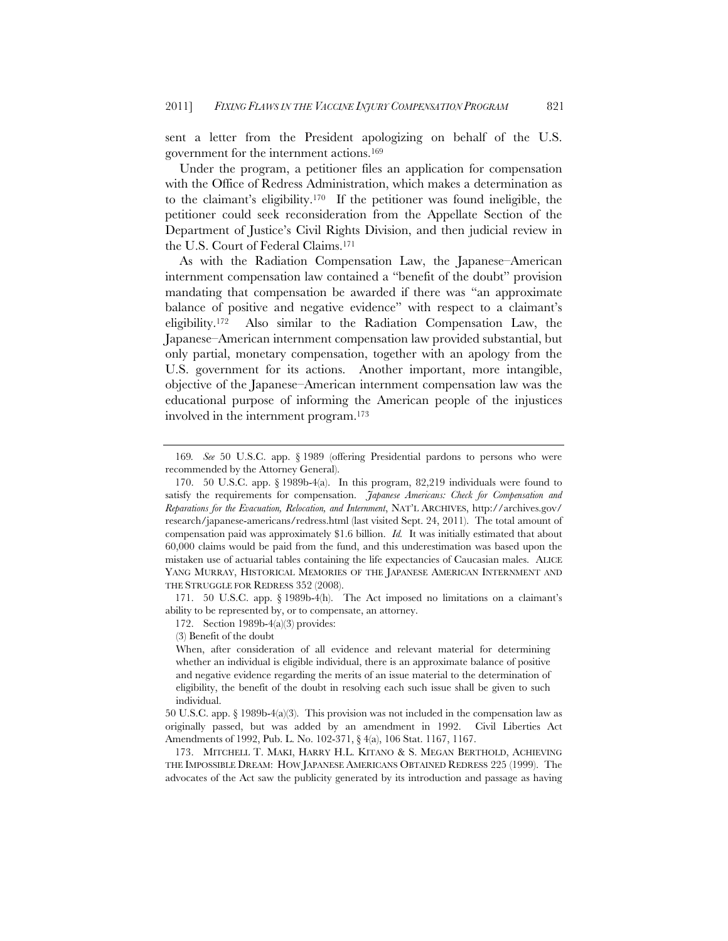sent a letter from the President apologizing on behalf of the U.S. government for the internment actions.169

Under the program, a petitioner files an application for compensation with the Office of Redress Administration, which makes a determination as to the claimant's eligibility.170 If the petitioner was found ineligible, the petitioner could seek reconsideration from the Appellate Section of the Department of Justice's Civil Rights Division, and then judicial review in the U.S. Court of Federal Claims.171

As with the Radiation Compensation Law, the Japanese–American internment compensation law contained a "benefit of the doubt" provision mandating that compensation be awarded if there was "an approximate balance of positive and negative evidence" with respect to a claimant's eligibility.172 Also similar to the Radiation Compensation Law, the Japanese–American internment compensation law provided substantial, but only partial, monetary compensation, together with an apology from the U.S. government for its actions. Another important, more intangible, objective of the Japanese–American internment compensation law was the educational purpose of informing the American people of the injustices involved in the internment program.173

<sup>169</sup>*. See* 50 U.S.C. app. § 1989 (offering Presidential pardons to persons who were recommended by the Attorney General).

 <sup>170. 50</sup> U.S.C. app. § 1989b-4(a). In this program, 82,219 individuals were found to satisfy the requirements for compensation. *Japanese Americans: Check for Compensation and Reparations for the Evacuation, Relocation, and Internment*, NAT'L ARCHIVES, http://archives.gov/ research/japanese-americans/redress.html (last visited Sept. 24, 2011). The total amount of compensation paid was approximately \$1.6 billion. *Id.* It was initially estimated that about 60,000 claims would be paid from the fund, and this underestimation was based upon the mistaken use of actuarial tables containing the life expectancies of Caucasian males. ALICE YANG MURRAY, HISTORICAL MEMORIES OF THE JAPANESE AMERICAN INTERNMENT AND THE STRUGGLE FOR REDRESS 352 (2008).

 <sup>171. 50</sup> U.S.C. app. § 1989b-4(h).The Act imposed no limitations on a claimant's ability to be represented by, or to compensate, an attorney.

<sup>172.</sup> Section 1989b-4(a)(3) provides:

<sup>(3)</sup> Benefit of the doubt

When, after consideration of all evidence and relevant material for determining whether an individual is eligible individual, there is an approximate balance of positive and negative evidence regarding the merits of an issue material to the determination of eligibility, the benefit of the doubt in resolving each such issue shall be given to such individual.

<sup>50</sup> U.S.C. app. § 1989b-4(a)(3). This provision was not included in the compensation law as originally passed, but was added by an amendment in 1992. Civil Liberties Act Amendments of 1992, Pub. L. No. 102-371, § 4(a), 106 Stat. 1167, 1167.

 <sup>173.</sup> MITCHELL T. MAKI, HARRY H.L. KITANO & S. MEGAN BERTHOLD, ACHIEVING THE IMPOSSIBLE DREAM: HOW JAPANESE AMERICANS OBTAINED REDRESS 225 (1999). The advocates of the Act saw the publicity generated by its introduction and passage as having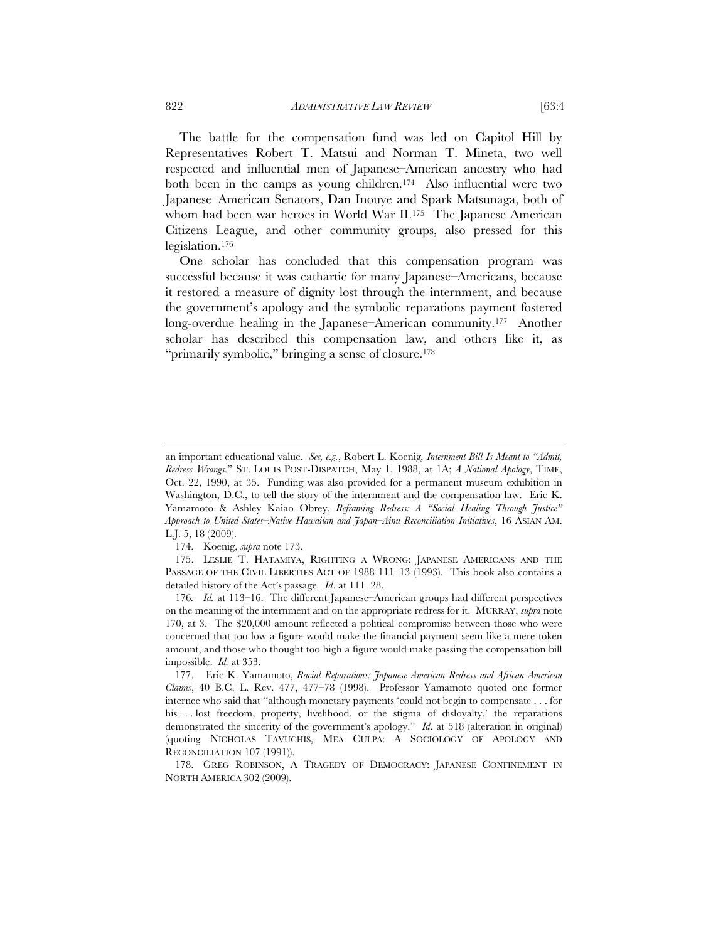The battle for the compensation fund was led on Capitol Hill by Representatives Robert T. Matsui and Norman T. Mineta, two well respected and influential men of Japanese–American ancestry who had both been in the camps as young children.<sup>174</sup> Also influential were two Japanese–American Senators, Dan Inouye and Spark Matsunaga, both of whom had been war heroes in World War II.175 The Japanese American Citizens League, and other community groups, also pressed for this legislation.176

One scholar has concluded that this compensation program was successful because it was cathartic for many Japanese–Americans, because it restored a measure of dignity lost through the internment, and because the government's apology and the symbolic reparations payment fostered long-overdue healing in the Japanese–American community.177 Another scholar has described this compensation law, and others like it, as "primarily symbolic," bringing a sense of closure.178

an important educational value. *See, e.g.*, Robert L. Koenig*, Internment Bill Is Meant to "Admit, Redress Wrongs.*" ST. LOUIS POST-DISPATCH, May 1, 1988, at 1A; *A National Apology*, TIME, Oct. 22, 1990, at 35. Funding was also provided for a permanent museum exhibition in Washington, D.C., to tell the story of the internment and the compensation law. Eric K. Yamamoto & Ashley Kaiao Obrey, *Reframing Redress: A "Social Healing Through Justice" Approach to United States–Native Hawaiian and Japan–Ainu Reconciliation Initiatives*, 16 ASIAN AM. L.J. 5, 18 (2009).

 <sup>174.</sup> Koenig, *supra* note 173.

 <sup>175.</sup> LESLIE T. HATAMIYA, RIGHTING A WRONG: JAPANESE AMERICANS AND THE PASSAGE OF THE CIVIL LIBERTIES ACT OF 1988 111-13 (1993). This book also contains a detailed history of the Act's passage*. Id*. at 111–28.

<sup>176</sup>*. Id.* at 113–16. The different Japanese–American groups had different perspectives on the meaning of the internment and on the appropriate redress for it. MURRAY, *supra* note 170, at 3. The \$20,000 amount reflected a political compromise between those who were concerned that too low a figure would make the financial payment seem like a mere token amount, and those who thought too high a figure would make passing the compensation bill impossible. *Id.* at 353.

 <sup>177.</sup> Eric K. Yamamoto, *Racial Reparations: Japanese American Redress and African American Claims*, 40 B.C. L. Rev. 477, 477–78 (1998). Professor Yamamoto quoted one former internee who said that "although monetary payments 'could not begin to compensate . . . for his . . . lost freedom, property, livelihood, or the stigma of disloyalty,' the reparations demonstrated the sincerity of the government's apology." *Id*. at 518 (alteration in original) (quoting NICHOLAS TAVUCHIS, MEA CULPA: A SOCIOLOGY OF APOLOGY AND RECONCILIATION 107 (1991)).

 <sup>178.</sup> GREG ROBINSON, A TRAGEDY OF DEMOCRACY: JAPANESE CONFINEMENT IN NORTH AMERICA 302 (2009).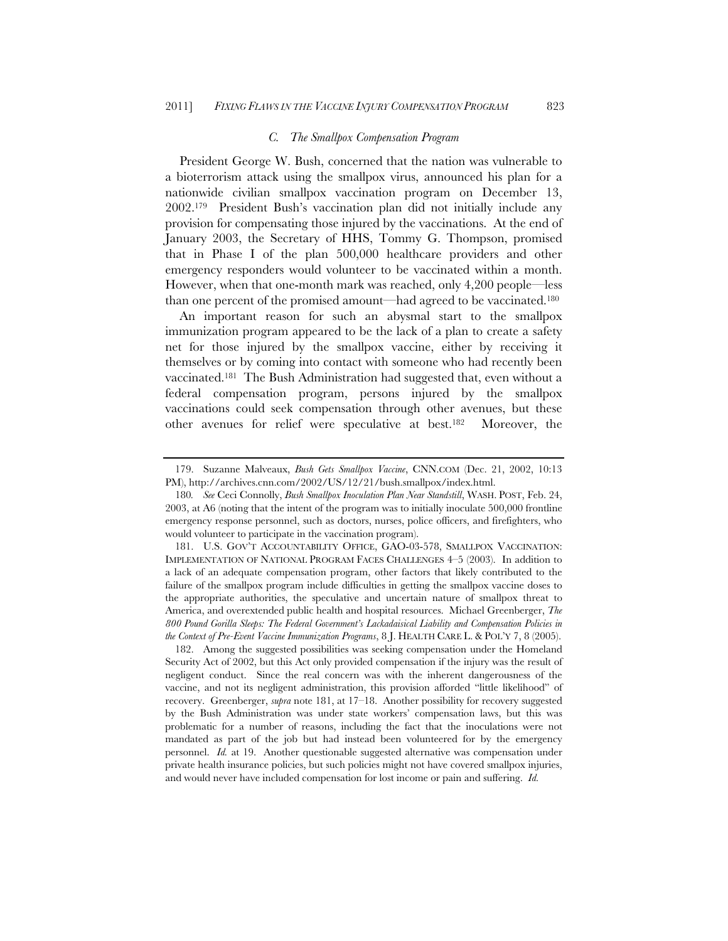# *C. The Smallpox Compensation Program*

President George W. Bush, concerned that the nation was vulnerable to a bioterrorism attack using the smallpox virus, announced his plan for a nationwide civilian smallpox vaccination program on December 13, 2002.179 President Bush's vaccination plan did not initially include any provision for compensating those injured by the vaccinations. At the end of January 2003, the Secretary of HHS, Tommy G. Thompson, promised that in Phase I of the plan 500,000 healthcare providers and other emergency responders would volunteer to be vaccinated within a month. However, when that one-month mark was reached, only 4,200 people—less than one percent of the promised amount—had agreed to be vaccinated.180

An important reason for such an abysmal start to the smallpox immunization program appeared to be the lack of a plan to create a safety net for those injured by the smallpox vaccine, either by receiving it themselves or by coming into contact with someone who had recently been vaccinated.181 The Bush Administration had suggested that, even without a federal compensation program, persons injured by the smallpox vaccinations could seek compensation through other avenues, but these other avenues for relief were speculative at best.182 Moreover, the

 182. Among the suggested possibilities was seeking compensation under the Homeland Security Act of 2002, but this Act only provided compensation if the injury was the result of negligent conduct. Since the real concern was with the inherent dangerousness of the vaccine, and not its negligent administration, this provision afforded "little likelihood" of recovery. Greenberger, *supra* note 181, at 17–18. Another possibility for recovery suggested by the Bush Administration was under state workers' compensation laws, but this was problematic for a number of reasons, including the fact that the inoculations were not mandated as part of the job but had instead been volunteered for by the emergency personnel. *Id.* at 19. Another questionable suggested alternative was compensation under private health insurance policies, but such policies might not have covered smallpox injuries, and would never have included compensation for lost income or pain and suffering. *Id.*

 <sup>179.</sup> Suzanne Malveaux, *Bush Gets Smallpox Vaccine*, CNN.COM (Dec. 21, 2002, 10:13 PM), http://archives.cnn.com/2002/US/12/21/bush.smallpox/index.html.

<sup>180</sup>*. See* Ceci Connolly, *Bush Smallpox Inoculation Plan Near Standstill*, WASH. POST, Feb. 24, 2003, at A6 (noting that the intent of the program was to initially inoculate 500,000 frontline emergency response personnel, such as doctors, nurses, police officers, and firefighters, who would volunteer to participate in the vaccination program).

 <sup>181.</sup> U.S. GOV'T ACCOUNTABILITY OFFICE, GAO-03-578, SMALLPOX VACCINATION: IMPLEMENTATION OF NATIONAL PROGRAM FACES CHALLENGES 4–5 (2003). In addition to a lack of an adequate compensation program, other factors that likely contributed to the failure of the smallpox program include difficulties in getting the smallpox vaccine doses to the appropriate authorities, the speculative and uncertain nature of smallpox threat to America, and overextended public health and hospital resources. Michael Greenberger, *The 800 Pound Gorilla Sleeps: The Federal Government's Lackadaisical Liability and Compensation Policies in the Context of Pre-Event Vaccine Immunization Programs*, 8 J. HEALTH CARE L. & POL'Y 7, 8 (2005).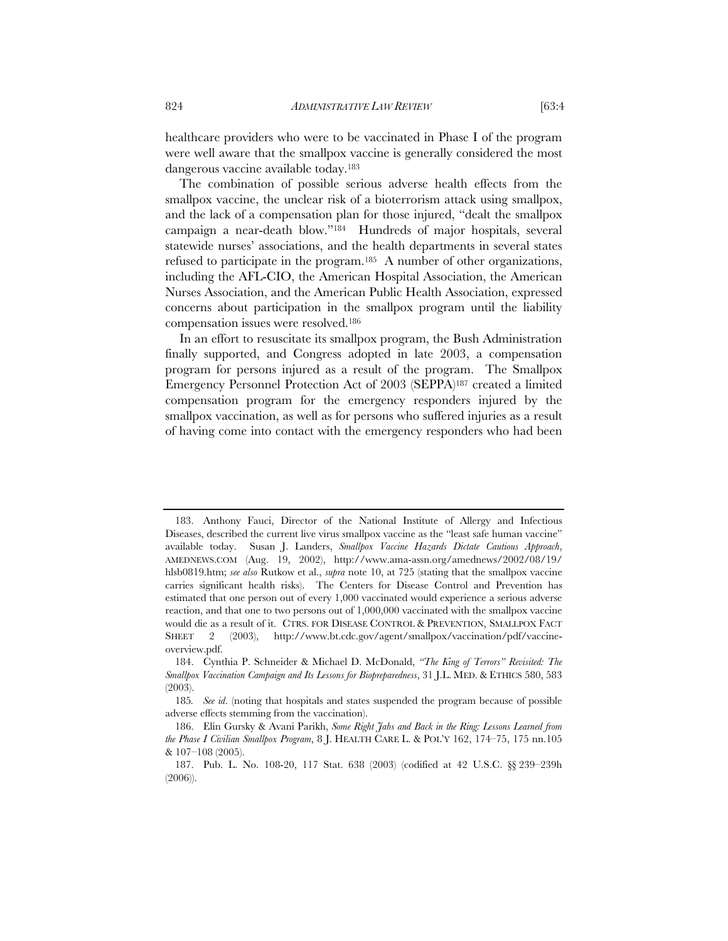healthcare providers who were to be vaccinated in Phase I of the program were well aware that the smallpox vaccine is generally considered the most dangerous vaccine available today.183

The combination of possible serious adverse health effects from the smallpox vaccine, the unclear risk of a bioterrorism attack using smallpox, and the lack of a compensation plan for those injured, "dealt the smallpox campaign a near-death blow."184 Hundreds of major hospitals, several statewide nurses' associations, and the health departments in several states refused to participate in the program.185 A number of other organizations, including the AFL-CIO, the American Hospital Association, the American Nurses Association, and the American Public Health Association, expressed concerns about participation in the smallpox program until the liability compensation issues were resolved.186

In an effort to resuscitate its smallpox program, the Bush Administration finally supported, and Congress adopted in late 2003, a compensation program for persons injured as a result of the program. The Smallpox Emergency Personnel Protection Act of 2003 (SEPPA)187 created a limited compensation program for the emergency responders injured by the smallpox vaccination, as well as for persons who suffered injuries as a result of having come into contact with the emergency responders who had been

 <sup>183.</sup> Anthony Fauci, Director of the National Institute of Allergy and Infectious Diseases, described the current live virus smallpox vaccine as the "least safe human vaccine" available today. Susan J. Landers, *Smallpox Vaccine Hazards Dictate Cautious Approach*, AMEDNEWS.COM (Aug. 19, 2002), http://www.ama-assn.org/amednews/2002/08/19/ hlsb0819.htm; *see also* Rutkow et al., *supra* note 10, at 725 (stating that the smallpox vaccine carries significant health risks). The Centers for Disease Control and Prevention has estimated that one person out of every 1,000 vaccinated would experience a serious adverse reaction, and that one to two persons out of 1,000,000 vaccinated with the smallpox vaccine would die as a result of it. CTRS. FOR DISEASE CONTROL & PREVENTION, SMALLPOX FACT SHEET 2 (2003), http://www.bt.cdc.gov/agent/smallpox/vaccination/pdf/vaccineoverview.pdf.

 <sup>184.</sup> Cynthia P. Schneider & Michael D. McDonald, *"The King of Terrors" Revisited: The Smallpox Vaccination Campaign and Its Lessons for Biopreparedness*, 31 J.L. MED. & ETHICS 580, 583 (2003).

<sup>185</sup>*. See id*. (noting that hospitals and states suspended the program because of possible adverse effects stemming from the vaccination).

 <sup>186.</sup> Elin Gursky & Avani Parikh, *Some Right Jabs and Back in the Ring: Lessons Learned from the Phase I Civilian Smallpox Program*, 8 J. HEALTH CARE L. & POL'Y 162, 174–75, 175 nn.105 & 107–108 (2005).

 <sup>187.</sup> Pub. L. No. 108-20, 117 Stat. 638 (2003) (codified at 42 U.S.C. §§ 239–239h (2006)).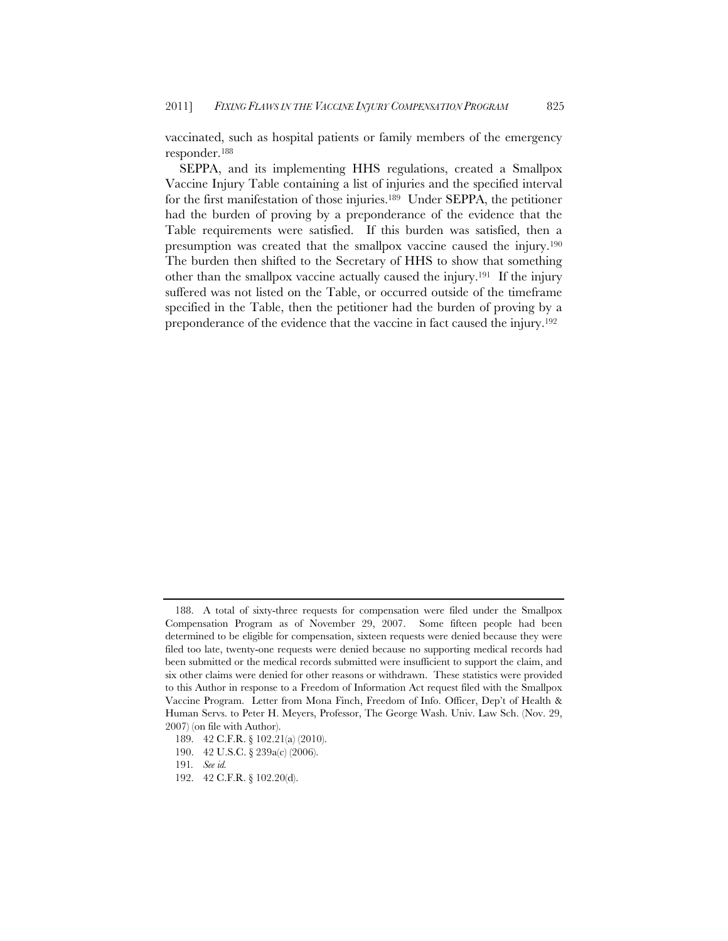vaccinated, such as hospital patients or family members of the emergency responder.188

SEPPA, and its implementing HHS regulations, created a Smallpox Vaccine Injury Table containing a list of injuries and the specified interval for the first manifestation of those injuries.189 Under SEPPA, the petitioner had the burden of proving by a preponderance of the evidence that the Table requirements were satisfied. If this burden was satisfied, then a presumption was created that the smallpox vaccine caused the injury.190 The burden then shifted to the Secretary of HHS to show that something other than the smallpox vaccine actually caused the injury.191 If the injury suffered was not listed on the Table, or occurred outside of the timeframe specified in the Table, then the petitioner had the burden of proving by a preponderance of the evidence that the vaccine in fact caused the injury.192

 <sup>188.</sup> A total of sixty-three requests for compensation were filed under the Smallpox Compensation Program as of November 29, 2007. Some fifteen people had been determined to be eligible for compensation, sixteen requests were denied because they were filed too late, twenty-one requests were denied because no supporting medical records had been submitted or the medical records submitted were insufficient to support the claim, and six other claims were denied for other reasons or withdrawn. These statistics were provided to this Author in response to a Freedom of Information Act request filed with the Smallpox Vaccine Program. Letter from Mona Finch, Freedom of Info. Officer, Dep't of Health & Human Servs. to Peter H. Meyers, Professor, The George Wash. Univ. Law Sch. (Nov. 29, 2007) (on file with Author).

<sup>189. 42</sup> C.F.R. § 102.21(a) (2010).

<sup>190. 42</sup> U.S.C. § 239a(c) (2006).

<sup>191</sup>*. See id.* 

<sup>192. 42</sup> C.F.R. § 102.20(d).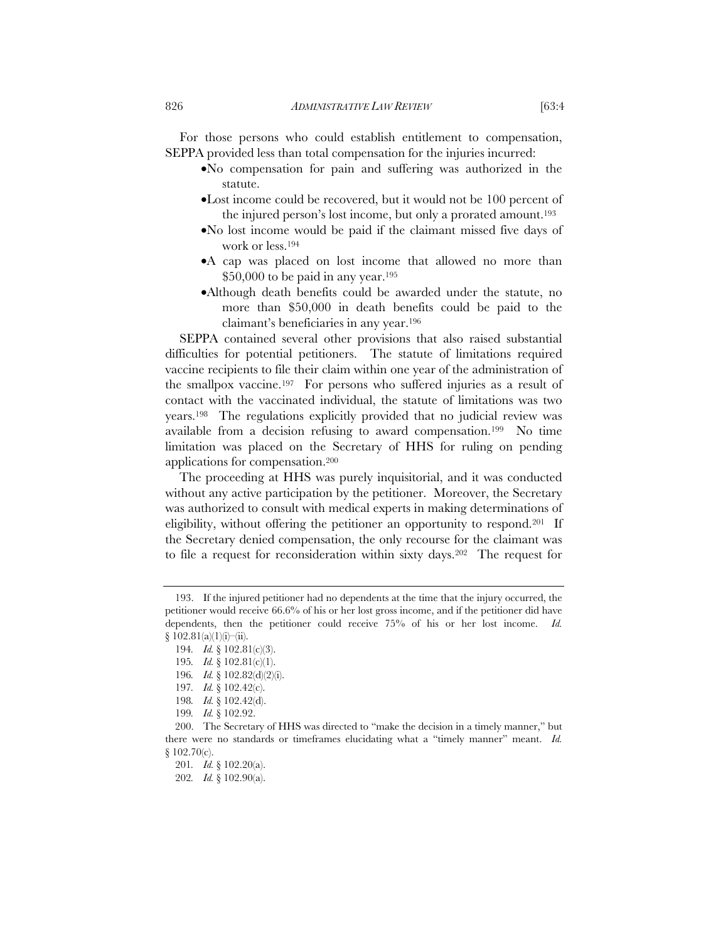For those persons who could establish entitlement to compensation, SEPPA provided less than total compensation for the injuries incurred:

- No compensation for pain and suffering was authorized in the statute.
- Lost income could be recovered, but it would not be 100 percent of the injured person's lost income, but only a prorated amount.193
- No lost income would be paid if the claimant missed five days of work or less.194
- A cap was placed on lost income that allowed no more than  $$50,000$  to be paid in any year.<sup>195</sup>
- Although death benefits could be awarded under the statute, no more than \$50,000 in death benefits could be paid to the claimant's beneficiaries in any year.196

SEPPA contained several other provisions that also raised substantial difficulties for potential petitioners. The statute of limitations required vaccine recipients to file their claim within one year of the administration of the smallpox vaccine.197 For persons who suffered injuries as a result of contact with the vaccinated individual, the statute of limitations was two years.198 The regulations explicitly provided that no judicial review was available from a decision refusing to award compensation.199 No time limitation was placed on the Secretary of HHS for ruling on pending applications for compensation.200

The proceeding at HHS was purely inquisitorial, and it was conducted without any active participation by the petitioner. Moreover, the Secretary was authorized to consult with medical experts in making determinations of eligibility, without offering the petitioner an opportunity to respond.201 If the Secretary denied compensation, the only recourse for the claimant was to file a request for reconsideration within sixty days.202 The request for

 <sup>193.</sup> If the injured petitioner had no dependents at the time that the injury occurred, the petitioner would receive 66.6% of his or her lost gross income, and if the petitioner did have dependents, then the petitioner could receive 75% of his or her lost income. *Id.*  $\{102.81(a)(1)(i)$ –(ii).

<sup>194</sup>*. Id.* § 102.81(c)(3).

<sup>195</sup>*. Id.* § 102.81(c)(1).

<sup>196</sup>*. Id.* § 102.82(d)(2)(i).

<sup>197</sup>*. Id.* § 102.42(c).

<sup>198</sup>*. Id.* § 102.42(d).

<sup>199</sup>*. Id.* § 102.92.

<sup>200.</sup> The Secretary of HHS was directed to "make the decision in a timely manner," but there were no standards or timeframes elucidating what a "timely manner" meant. *Id.* § 102.70(c).

<sup>201</sup>*. Id.* § 102.20(a).

<sup>202</sup>*. Id.* § 102.90(a).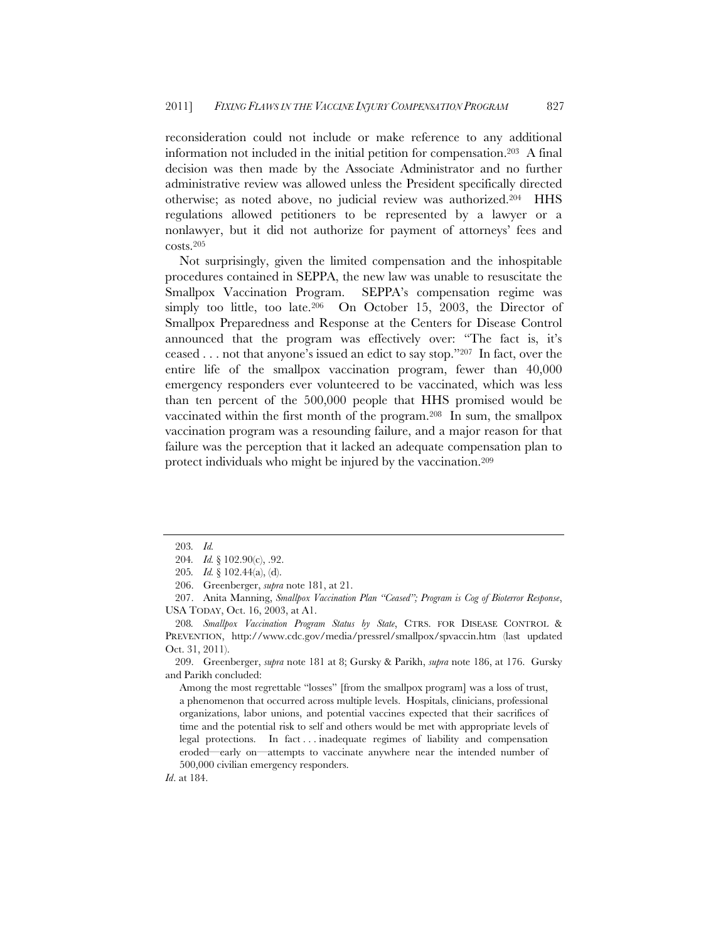reconsideration could not include or make reference to any additional information not included in the initial petition for compensation.203 A final decision was then made by the Associate Administrator and no further administrative review was allowed unless the President specifically directed otherwise; as noted above, no judicial review was authorized.204 HHS regulations allowed petitioners to be represented by a lawyer or a nonlawyer, but it did not authorize for payment of attorneys' fees and costs.205

Not surprisingly, given the limited compensation and the inhospitable procedures contained in SEPPA, the new law was unable to resuscitate the Smallpox Vaccination Program. SEPPA's compensation regime was simply too little, too late.<sup>206</sup> On October 15, 2003, the Director of Smallpox Preparedness and Response at the Centers for Disease Control announced that the program was effectively over: "The fact is, it's ceased . . . not that anyone's issued an edict to say stop."207 In fact, over the entire life of the smallpox vaccination program, fewer than 40,000 emergency responders ever volunteered to be vaccinated, which was less than ten percent of the 500,000 people that HHS promised would be vaccinated within the first month of the program.208 In sum, the smallpox vaccination program was a resounding failure, and a major reason for that failure was the perception that it lacked an adequate compensation plan to protect individuals who might be injured by the vaccination.209

 209. Greenberger, *supra* note 181 at 8; Gursky & Parikh, *supra* note 186, at 176. Gursky and Parikh concluded:

Among the most regrettable "losses" [from the smallpox program] was a loss of trust, a phenomenon that occurred across multiple levels. Hospitals, clinicians, professional organizations, labor unions, and potential vaccines expected that their sacrifices of time and the potential risk to self and others would be met with appropriate levels of legal protections. In fact . . . inadequate regimes of liability and compensation eroded—early on—attempts to vaccinate anywhere near the intended number of 500,000 civilian emergency responders.

*Id*. at 184.

<sup>203</sup>*. Id.*

<sup>204</sup>*. Id.* § 102.90(c), .92.

<sup>205</sup>*. Id.* § 102.44(a), (d).

 <sup>206.</sup> Greenberger, *supra* note 181, at 21.

 <sup>207.</sup> Anita Manning, *Smallpox Vaccination Plan "Ceased"; Program is Cog of Bioterror Response*, USA TODAY, Oct. 16, 2003, at A1.

<sup>208</sup>*. Smallpox Vaccination Program Status by State*, CTRS. FOR DISEASE CONTROL & PREVENTION, http://www.cdc.gov/media/pressrel/smallpox/spvaccin.htm (last updated Oct. 31, 2011).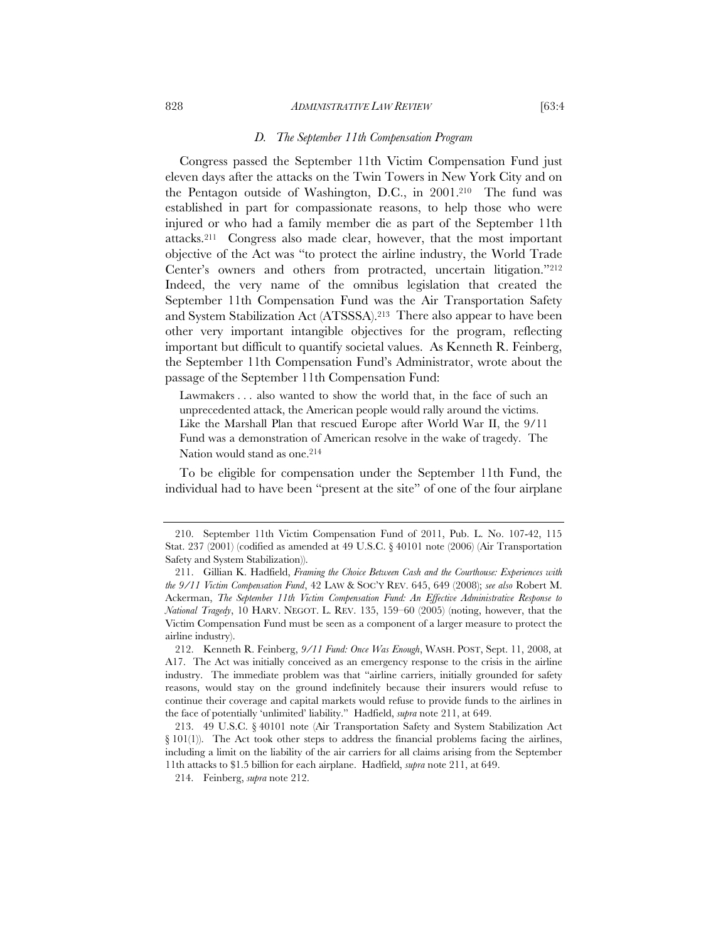#### 828 *ADMINISTRATIVE LAW REVIEW* [63:4

#### *D. The September 11th Compensation Program*

Congress passed the September 11th Victim Compensation Fund just eleven days after the attacks on the Twin Towers in New York City and on the Pentagon outside of Washington, D.C., in 2001.210 The fund was established in part for compassionate reasons, to help those who were injured or who had a family member die as part of the September 11th attacks.211 Congress also made clear, however, that the most important objective of the Act was "to protect the airline industry, the World Trade Center's owners and others from protracted, uncertain litigation."212 Indeed, the very name of the omnibus legislation that created the September 11th Compensation Fund was the Air Transportation Safety and System Stabilization Act (ATSSSA).213 There also appear to have been other very important intangible objectives for the program, reflecting important but difficult to quantify societal values. As Kenneth R. Feinberg, the September 11th Compensation Fund's Administrator, wrote about the passage of the September 11th Compensation Fund:

Lawmakers . . . also wanted to show the world that, in the face of such an unprecedented attack, the American people would rally around the victims. Like the Marshall Plan that rescued Europe after World War II, the 9/11 Fund was a demonstration of American resolve in the wake of tragedy. The Nation would stand as one.<sup>214</sup>

To be eligible for compensation under the September 11th Fund, the individual had to have been "present at the site" of one of the four airplane

 <sup>210.</sup> September 11th Victim Compensation Fund of 2011, Pub. L. No. 107-42, 115 Stat. 237 (2001) (codified as amended at 49 U.S.C. § 40101 note (2006) (Air Transportation Safety and System Stabilization)).

 <sup>211.</sup> Gillian K. Hadfield, *Framing the Choice Between Cash and the Courthouse: Experiences with the 9/11 Victim Compensation Fund*, 42 LAW & SOC'Y REV. 645, 649 (2008); *see also* Robert M. Ackerman, *The September 11th Victim Compensation Fund: An Effective Administrative Response to National Tragedy*, 10 HARV. NEGOT. L. REV. 135, 159–60 (2005) (noting, however, that the Victim Compensation Fund must be seen as a component of a larger measure to protect the airline industry).

 <sup>212.</sup> Kenneth R. Feinberg, *9/11 Fund: Once Was Enough*, WASH. POST, Sept. 11, 2008, at A17. The Act was initially conceived as an emergency response to the crisis in the airline industry. The immediate problem was that "airline carriers, initially grounded for safety reasons, would stay on the ground indefinitely because their insurers would refuse to continue their coverage and capital markets would refuse to provide funds to the airlines in the face of potentially 'unlimited' liability." Hadfield, *supra* note 211, at 649.

<sup>213. 49</sup> U.S.C. § 40101 note (Air Transportation Safety and System Stabilization Act  $\S$  101(1)). The Act took other steps to address the financial problems facing the airlines, including a limit on the liability of the air carriers for all claims arising from the September 11th attacks to \$1.5 billion for each airplane. Hadfield, *supra* note 211, at 649.

 <sup>214.</sup> Feinberg, *supra* note 212.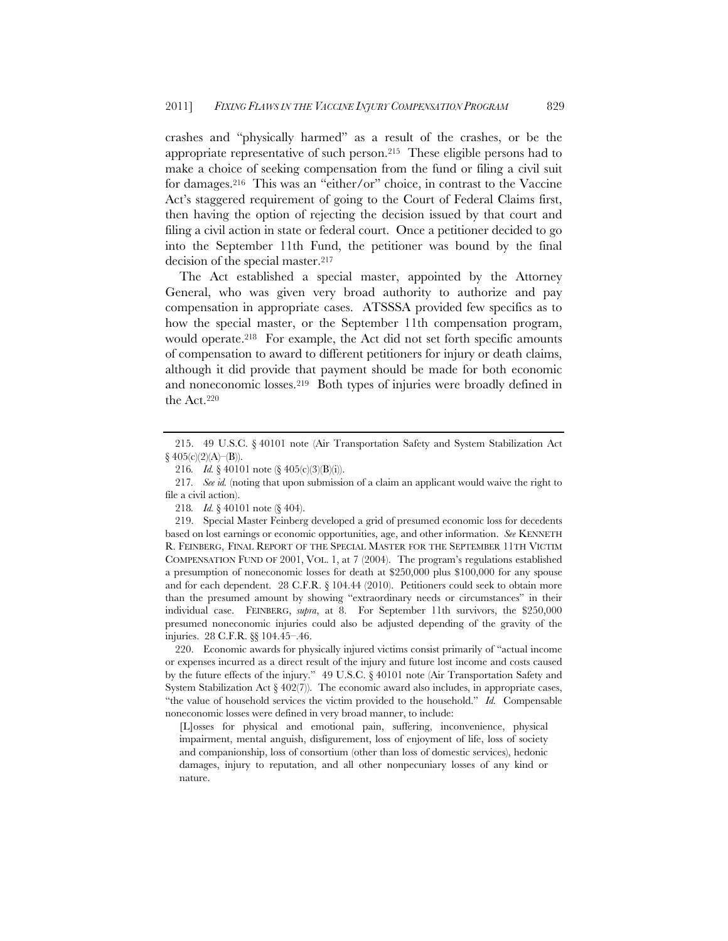crashes and "physically harmed" as a result of the crashes, or be the appropriate representative of such person.215 These eligible persons had to make a choice of seeking compensation from the fund or filing a civil suit for damages.216 This was an "either/or" choice, in contrast to the Vaccine Act's staggered requirement of going to the Court of Federal Claims first, then having the option of rejecting the decision issued by that court and filing a civil action in state or federal court. Once a petitioner decided to go into the September 11th Fund, the petitioner was bound by the final decision of the special master.217

The Act established a special master, appointed by the Attorney General, who was given very broad authority to authorize and pay compensation in appropriate cases. ATSSSA provided few specifics as to how the special master, or the September 11th compensation program, would operate.<sup>218</sup> For example, the Act did not set forth specific amounts of compensation to award to different petitioners for injury or death claims, although it did provide that payment should be made for both economic and noneconomic losses.219 Both types of injuries were broadly defined in the Act.220

 220. Economic awards for physically injured victims consist primarily of "actual income or expenses incurred as a direct result of the injury and future lost income and costs caused by the future effects of the injury." 49 U.S.C. § 40101 note (Air Transportation Safety and System Stabilization Act  $\S 402(7)$ ). The economic award also includes, in appropriate cases, "the value of household services the victim provided to the household." *Id.* Compensable noneconomic losses were defined in very broad manner, to include:

[L]osses for physical and emotional pain, suffering, inconvenience, physical impairment, mental anguish, disfigurement, loss of enjoyment of life, loss of society and companionship, loss of consortium (other than loss of domestic services), hedonic damages, injury to reputation, and all other nonpecuniary losses of any kind or nature.

<sup>215. 49</sup> U.S.C. § 40101 note (Air Transportation Safety and System Stabilization Act  $§ 405(c)(2)(A)–(B)).$ 

<sup>216</sup>*. Id.* § 40101 note (§ 405(c)(3)(B)(i)).

<sup>217</sup>*. See id.* (noting that upon submission of a claim an applicant would waive the right to file a civil action).

<sup>218</sup>*. Id.* § 40101 note (§ 404).

<sup>219.</sup> Special Master Feinberg developed a grid of presumed economic loss for decedents based on lost earnings or economic opportunities, age, and other information. *See* KENNETH R. FEINBERG, FINAL REPORT OF THE SPECIAL MASTER FOR THE SEPTEMBER 11TH VICTIM COMPENSATION FUND OF 2001, VOL. 1, at 7 (2004). The program's regulations established a presumption of noneconomic losses for death at \$250,000 plus \$100,000 for any spouse and for each dependent. 28 C.F.R. § 104.44 (2010). Petitioners could seek to obtain more than the presumed amount by showing "extraordinary needs or circumstances" in their individual case. FEINBERG, *supra*, at 8. For September 11th survivors, the \$250,000 presumed noneconomic injuries could also be adjusted depending of the gravity of the injuries. 28 C.F.R. §§ 104.45–.46.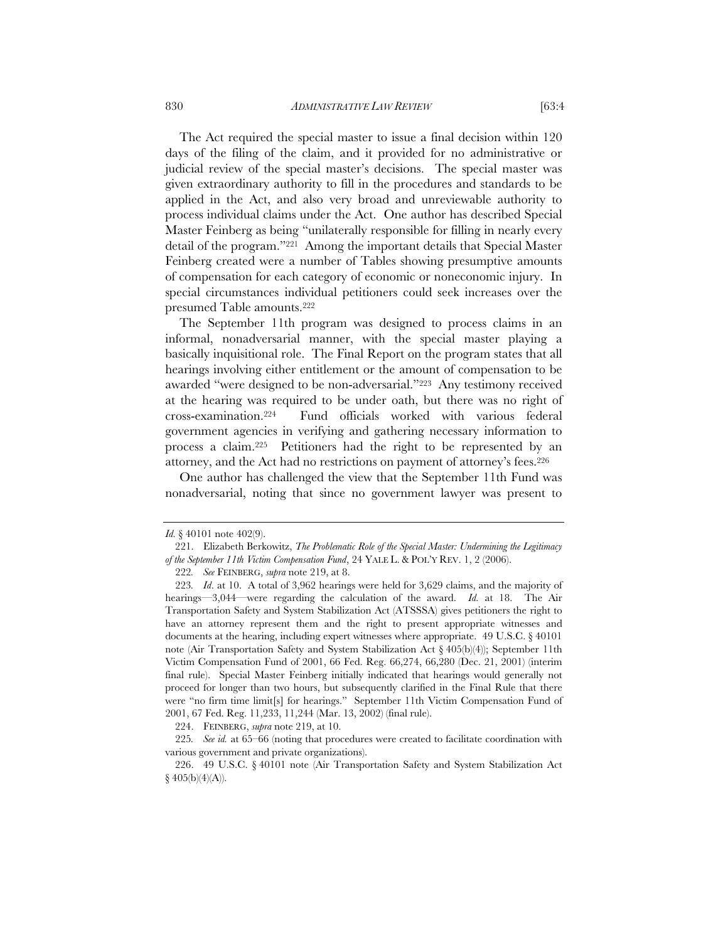The Act required the special master to issue a final decision within 120 days of the filing of the claim, and it provided for no administrative or judicial review of the special master's decisions. The special master was given extraordinary authority to fill in the procedures and standards to be applied in the Act, and also very broad and unreviewable authority to process individual claims under the Act. One author has described Special Master Feinberg as being "unilaterally responsible for filling in nearly every detail of the program."221 Among the important details that Special Master Feinberg created were a number of Tables showing presumptive amounts of compensation for each category of economic or noneconomic injury. In

special circumstances individual petitioners could seek increases over the

The September 11th program was designed to process claims in an informal, nonadversarial manner, with the special master playing a basically inquisitional role. The Final Report on the program states that all hearings involving either entitlement or the amount of compensation to be awarded "were designed to be non-adversarial."223 Any testimony received at the hearing was required to be under oath, but there was no right of cross-examination.224 Fund officials worked with various federal government agencies in verifying and gathering necessary information to process a claim.225 Petitioners had the right to be represented by an attorney, and the Act had no restrictions on payment of attorney's fees.226

One author has challenged the view that the September 11th Fund was nonadversarial, noting that since no government lawyer was present to

presumed Table amounts.222

224. FEINBERG, *supra* note 219, at 10.

*Id.* § 40101 note 402(9).

 <sup>221.</sup> Elizabeth Berkowitz, *The Problematic Role of the Special Master: Undermining the Legitimacy of the September 11th Victim Compensation Fund*, 24 YALE L. & POL'Y REV. 1, 2 (2006).

<sup>222</sup>*. See* FEINBERG, *supra* note 219, at 8.

<sup>223</sup>*. Id*. at 10. A total of 3,962 hearings were held for 3,629 claims, and the majority of hearings—3,044—were regarding the calculation of the award. *Id.* at 18. The Air Transportation Safety and System Stabilization Act (ATSSSA) gives petitioners the right to have an attorney represent them and the right to present appropriate witnesses and documents at the hearing, including expert witnesses where appropriate. 49 U.S.C. § 40101 note (Air Transportation Safety and System Stabilization Act § 405(b)(4)); September 11th Victim Compensation Fund of 2001, 66 Fed. Reg. 66,274, 66,280 (Dec. 21, 2001) (interim final rule). Special Master Feinberg initially indicated that hearings would generally not proceed for longer than two hours, but subsequently clarified in the Final Rule that there were "no firm time limit[s] for hearings." September 11th Victim Compensation Fund of 2001, 67 Fed. Reg. 11,233, 11,244 (Mar. 13, 2002) (final rule).

<sup>225</sup>*. See id.* at 65–66 (noting that procedures were created to facilitate coordination with various government and private organizations).

<sup>226. 49</sup> U.S.C. § 40101 note (Air Transportation Safety and System Stabilization Act  $§ 405(b)(4)(A)).$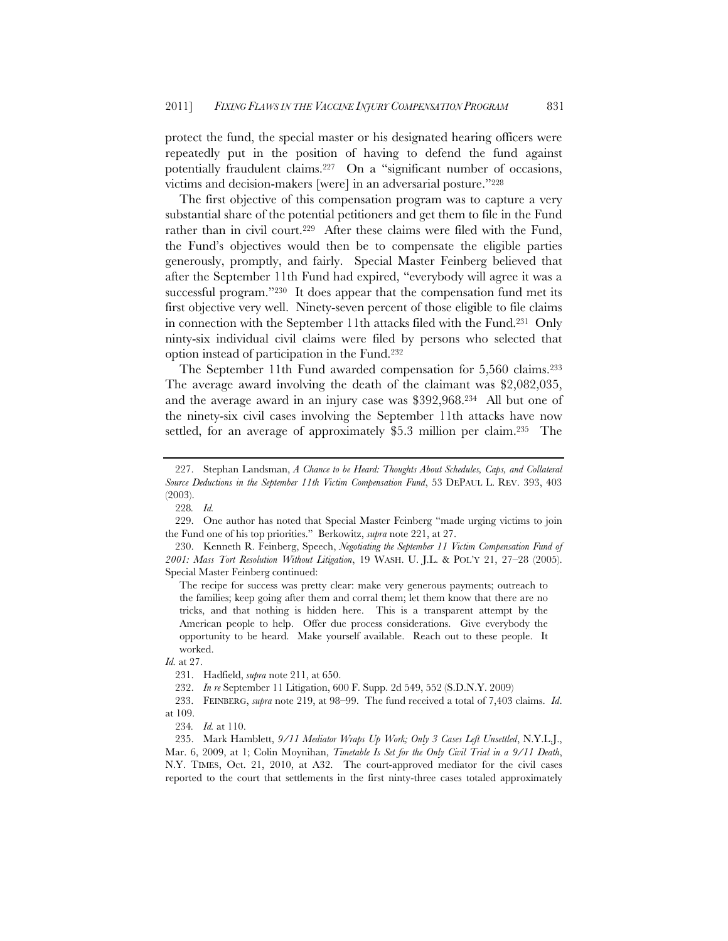protect the fund, the special master or his designated hearing officers were repeatedly put in the position of having to defend the fund against potentially fraudulent claims.227 On a "significant number of occasions, victims and decision-makers [were] in an adversarial posture."228

The first objective of this compensation program was to capture a very substantial share of the potential petitioners and get them to file in the Fund rather than in civil court.<sup>229</sup> After these claims were filed with the Fund, the Fund's objectives would then be to compensate the eligible parties generously, promptly, and fairly. Special Master Feinberg believed that after the September 11th Fund had expired, "everybody will agree it was a successful program."<sup>230</sup> It does appear that the compensation fund met its first objective very well. Ninety-seven percent of those eligible to file claims in connection with the September 11th attacks filed with the Fund.231 Only ninty-six individual civil claims were filed by persons who selected that option instead of participation in the Fund.232

The September 11th Fund awarded compensation for 5,560 claims.233 The average award involving the death of the claimant was \$2,082,035, and the average award in an injury case was \$392,968.234 All but one of the ninety-six civil cases involving the September 11th attacks have now settled, for an average of approximately \$5.3 million per claim.235 The

The recipe for success was pretty clear: make very generous payments; outreach to the families; keep going after them and corral them; let them know that there are no tricks, and that nothing is hidden here. This is a transparent attempt by the American people to help. Offer due process considerations. Give everybody the opportunity to be heard. Make yourself available. Reach out to these people. It worked.

 233. FEINBERG, *supra* note 219, at 98–99. The fund received a total of 7,403 claims. *Id*. at 109.

 235. Mark Hamblett, *9/11 Mediator Wraps Up Work; Only 3 Cases Left Unsettled*, N.Y.L.J., Mar. 6, 2009, at 1; Colin Moynihan, *Timetable Is Set for the Only Civil Trial in a 9/11 Death*, N.Y. TIMES, Oct. 21, 2010, at A32. The court-approved mediator for the civil cases reported to the court that settlements in the first ninty-three cases totaled approximately

 <sup>227.</sup> Stephan Landsman, *A Chance to be Heard: Thoughts About Schedules, Caps, and Collateral Source Deductions in the September 11th Victim Compensation Fund*, 53 DEPAUL L. REV. 393, 403 (2003).

<sup>228</sup>*. Id.*

 <sup>229.</sup> One author has noted that Special Master Feinberg "made urging victims to join the Fund one of his top priorities." Berkowitz, *supra* note 221, at 27.

<sup>230.</sup> Kenneth R. Feinberg, Speech, *Negotiating the September 11 Victim Compensation Fund of 2001: Mass Tort Resolution Without Litigation*, 19 WASH. U. J.L. & POL'Y 21, 27–28 (2005). Special Master Feinberg continued:

*Id.* at 27.

 <sup>231.</sup> Hadfield, *supra* note 211, at 650.

 <sup>232.</sup> *In re* September 11 Litigation, 600 F. Supp. 2d 549, 552 (S.D.N.Y. 2009)

<sup>234</sup>*. Id.* at 110.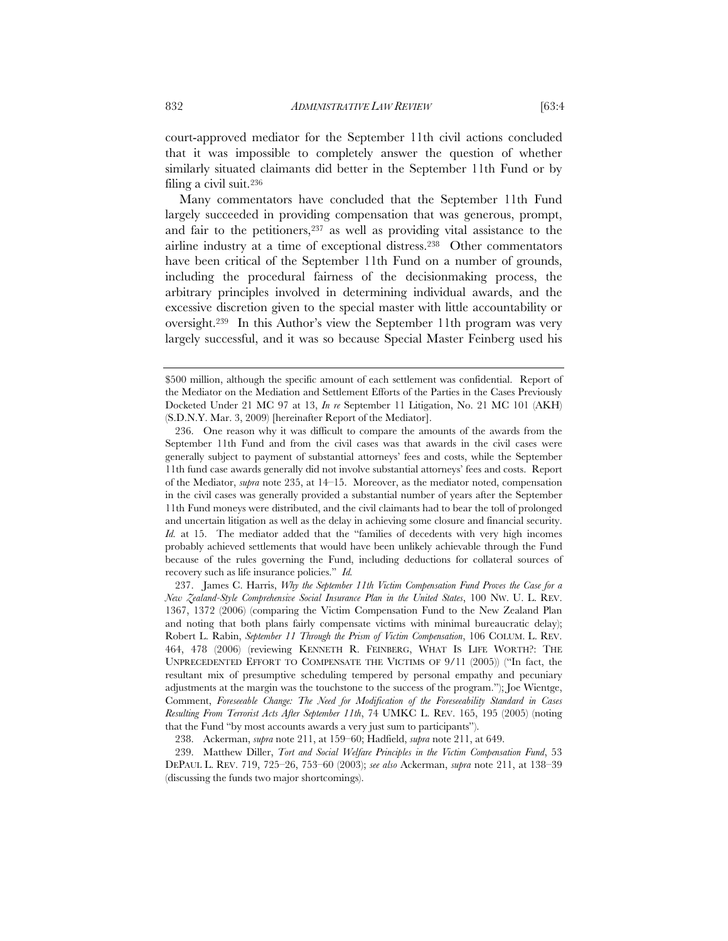court-approved mediator for the September 11th civil actions concluded that it was impossible to completely answer the question of whether similarly situated claimants did better in the September 11th Fund or by filing a civil suit.236

Many commentators have concluded that the September 11th Fund largely succeeded in providing compensation that was generous, prompt, and fair to the petitioners,<sup>237</sup> as well as providing vital assistance to the airline industry at a time of exceptional distress.238 Other commentators have been critical of the September 11th Fund on a number of grounds, including the procedural fairness of the decisionmaking process, the arbitrary principles involved in determining individual awards, and the excessive discretion given to the special master with little accountability or oversight.239 In this Author's view the September 11th program was very largely successful, and it was so because Special Master Feinberg used his

 237. James C. Harris, *Why the September 11th Victim Compensation Fund Proves the Case for a New Zealand-Style Comprehensive Social Insurance Plan in the United States*, 100 NW. U. L. REV. 1367, 1372 (2006) (comparing the Victim Compensation Fund to the New Zealand Plan and noting that both plans fairly compensate victims with minimal bureaucratic delay); Robert L. Rabin, *September 11 Through the Prism of Victim Compensation*, 106 COLUM. L. REV. 464, 478 (2006) (reviewing KENNETH R. FEINBERG, WHAT IS LIFE WORTH?: THE UNPRECEDENTED EFFORT TO COMPENSATE THE VICTIMS OF 9/11 (2005)) ("In fact, the resultant mix of presumptive scheduling tempered by personal empathy and pecuniary adjustments at the margin was the touchstone to the success of the program."); Joe Wientge, Comment, *Foreseeable Change: The Need for Modification of the Foreseeability Standard in Cases Resulting From Terrorist Acts After September 11th*, 74 UMKC L. REV. 165, 195 (2005) (noting that the Fund "by most accounts awards a very just sum to participants").

<sup>\$500</sup> million, although the specific amount of each settlement was confidential. Report of the Mediator on the Mediation and Settlement Efforts of the Parties in the Cases Previously Docketed Under 21 MC 97 at 13, *In re* September 11 Litigation, No. 21 MC 101 (AKH) (S.D.N.Y. Mar. 3, 2009) [hereinafter Report of the Mediator].

 <sup>236.</sup> One reason why it was difficult to compare the amounts of the awards from the September 11th Fund and from the civil cases was that awards in the civil cases were generally subject to payment of substantial attorneys' fees and costs, while the September 11th fund case awards generally did not involve substantial attorneys' fees and costs. Report of the Mediator, *supra* note 235, at 14–15. Moreover, as the mediator noted, compensation in the civil cases was generally provided a substantial number of years after the September 11th Fund moneys were distributed, and the civil claimants had to bear the toll of prolonged and uncertain litigation as well as the delay in achieving some closure and financial security. *Id.* at 15. The mediator added that the "families of decedents with very high incomes probably achieved settlements that would have been unlikely achievable through the Fund because of the rules governing the Fund, including deductions for collateral sources of recovery such as life insurance policies." *Id.*

 <sup>238.</sup> Ackerman, *supra* note 211, at 159–60; Hadfield, *supra* note 211, at 649.

 <sup>239.</sup> Matthew Diller, *Tort and Social Welfare Principles in the Victim Compensation Fund*, 53 DEPAUL L. REV. 719, 725–26, 753–60 (2003); *see also* Ackerman, *supra* note 211, at 138–39 (discussing the funds two major shortcomings).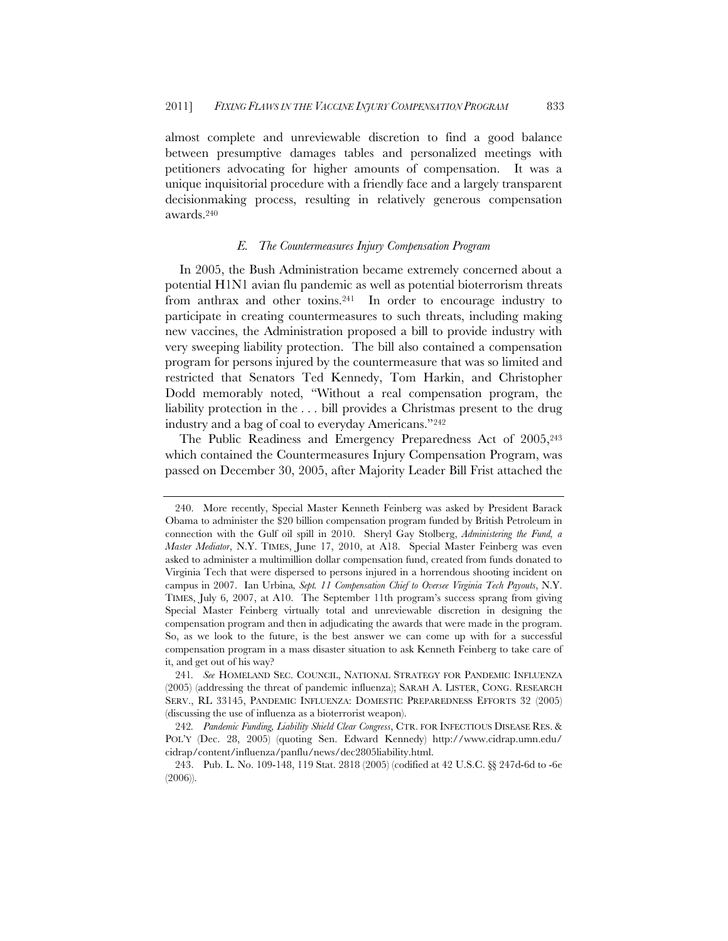almost complete and unreviewable discretion to find a good balance between presumptive damages tables and personalized meetings with petitioners advocating for higher amounts of compensation. It was a unique inquisitorial procedure with a friendly face and a largely transparent decisionmaking process, resulting in relatively generous compensation awards.240

# *E. The Countermeasures Injury Compensation Program*

In 2005, the Bush Administration became extremely concerned about a potential H1N1 avian flu pandemic as well as potential bioterrorism threats from anthrax and other toxins.241 In order to encourage industry to participate in creating countermeasures to such threats, including making new vaccines, the Administration proposed a bill to provide industry with very sweeping liability protection. The bill also contained a compensation program for persons injured by the countermeasure that was so limited and restricted that Senators Ted Kennedy, Tom Harkin, and Christopher Dodd memorably noted, "Without a real compensation program, the liability protection in the . . . bill provides a Christmas present to the drug industry and a bag of coal to everyday Americans."242

The Public Readiness and Emergency Preparedness Act of 2005, 243 which contained the Countermeasures Injury Compensation Program, was passed on December 30, 2005, after Majority Leader Bill Frist attached the

 <sup>240.</sup> More recently, Special Master Kenneth Feinberg was asked by President Barack Obama to administer the \$20 billion compensation program funded by British Petroleum in connection with the Gulf oil spill in 2010. Sheryl Gay Stolberg, *Administering the Fund, a Master Mediator*, N.Y. TIMES, June 17, 2010, at A18. Special Master Feinberg was even asked to administer a multimillion dollar compensation fund, created from funds donated to Virginia Tech that were dispersed to persons injured in a horrendous shooting incident on campus in 2007. Ian Urbina*, Sept. 11 Compensation Chief to Oversee Virginia Tech Payouts*, N.Y. TIMES, July 6, 2007, at A10. The September 11th program's success sprang from giving Special Master Feinberg virtually total and unreviewable discretion in designing the compensation program and then in adjudicating the awards that were made in the program. So, as we look to the future, is the best answer we can come up with for a successful compensation program in a mass disaster situation to ask Kenneth Feinberg to take care of it, and get out of his way?

<sup>241</sup>*. See* HOMELAND SEC. COUNCIL, NATIONAL STRATEGY FOR PANDEMIC INFLUENZA (2005) (addressing the threat of pandemic influenza); SARAH A. LISTER, CONG. RESEARCH SERV., RL 33145, PANDEMIC INFLUENZA: DOMESTIC PREPAREDNESS EFFORTS 32 (2005) (discussing the use of influenza as a bioterrorist weapon).

<sup>242</sup>*. Pandemic Funding, Liability Shield Clear Congress*, CTR. FOR INFECTIOUS DISEASE RES. & POL'Y (Dec. 28, 2005) (quoting Sen. Edward Kennedy) http://www.cidrap.umn.edu/ cidrap/content/influenza/panflu/news/dec2805liability.html.

 <sup>243.</sup> Pub. L. No. 109-148, 119 Stat. 2818 (2005) (codified at 42 U.S.C. §§ 247d-6d to -6e (2006)).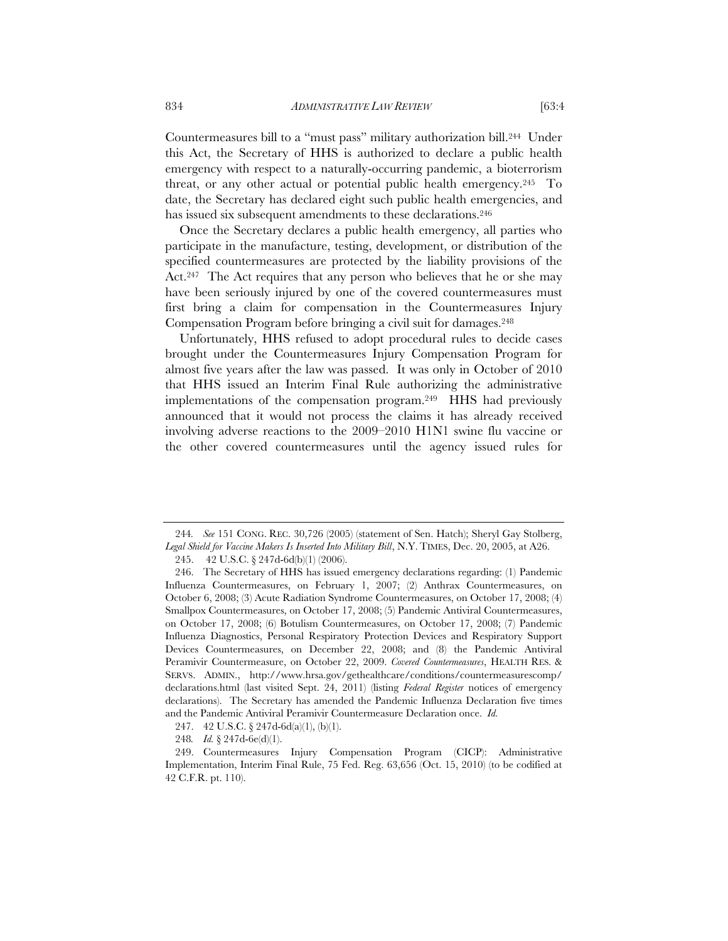Countermeasures bill to a "must pass" military authorization bill.244 Under this Act, the Secretary of HHS is authorized to declare a public health emergency with respect to a naturally-occurring pandemic, a bioterrorism threat, or any other actual or potential public health emergency.<sup>245</sup> To date, the Secretary has declared eight such public health emergencies, and has issued six subsequent amendments to these declarations.<sup>246</sup>

Once the Secretary declares a public health emergency, all parties who participate in the manufacture, testing, development, or distribution of the specified countermeasures are protected by the liability provisions of the Act.<sup>247</sup> The Act requires that any person who believes that he or she may have been seriously injured by one of the covered countermeasures must first bring a claim for compensation in the Countermeasures Injury Compensation Program before bringing a civil suit for damages.248

Unfortunately, HHS refused to adopt procedural rules to decide cases brought under the Countermeasures Injury Compensation Program for almost five years after the law was passed. It was only in October of 2010 that HHS issued an Interim Final Rule authorizing the administrative implementations of the compensation program.249 HHS had previously announced that it would not process the claims it has already received involving adverse reactions to the 2009–2010 H1N1 swine flu vaccine or the other covered countermeasures until the agency issued rules for

<sup>244</sup>*. See* 151 CONG. REC. 30,726 (2005) (statement of Sen. Hatch); Sheryl Gay Stolberg, *Legal Shield for Vaccine Makers Is Inserted Into Military Bill*, N.Y. TIMES, Dec. 20, 2005, at A26.

<sup>245. 42</sup> U.S.C. § 247d-6d(b)(1) (2006).

 <sup>246.</sup> The Secretary of HHS has issued emergency declarations regarding: (1) Pandemic Influenza Countermeasures, on February 1, 2007; (2) Anthrax Countermeasures, on October 6, 2008; (3) Acute Radiation Syndrome Countermeasures, on October 17, 2008; (4) Smallpox Countermeasures, on October 17, 2008; (5) Pandemic Antiviral Countermeasures, on October 17, 2008; (6) Botulism Countermeasures, on October 17, 2008; (7) Pandemic Influenza Diagnostics, Personal Respiratory Protection Devices and Respiratory Support Devices Countermeasures, on December 22, 2008; and (8) the Pandemic Antiviral Peramivir Countermeasure, on October 22, 2009. *Covered Countermeasures*, HEALTH RES. & SERVS. ADMIN., http://www.hrsa.gov/gethealthcare/conditions/countermeasurescomp/ declarations.html (last visited Sept. 24, 2011) (listing *Federal Register* notices of emergency declarations). The Secretary has amended the Pandemic Influenza Declaration five times and the Pandemic Antiviral Peramivir Countermeasure Declaration once. *Id.*

<sup>247. 42</sup> U.S.C. § 247d-6d(a)(1), (b)(1).

<sup>248</sup>*. Id.* § 247d-6e(d)(1).

 <sup>249.</sup> Countermeasures Injury Compensation Program (CICP): Administrative Implementation, Interim Final Rule, 75 Fed. Reg. 63,656 (Oct. 15, 2010) (to be codified at 42 C.F.R. pt. 110).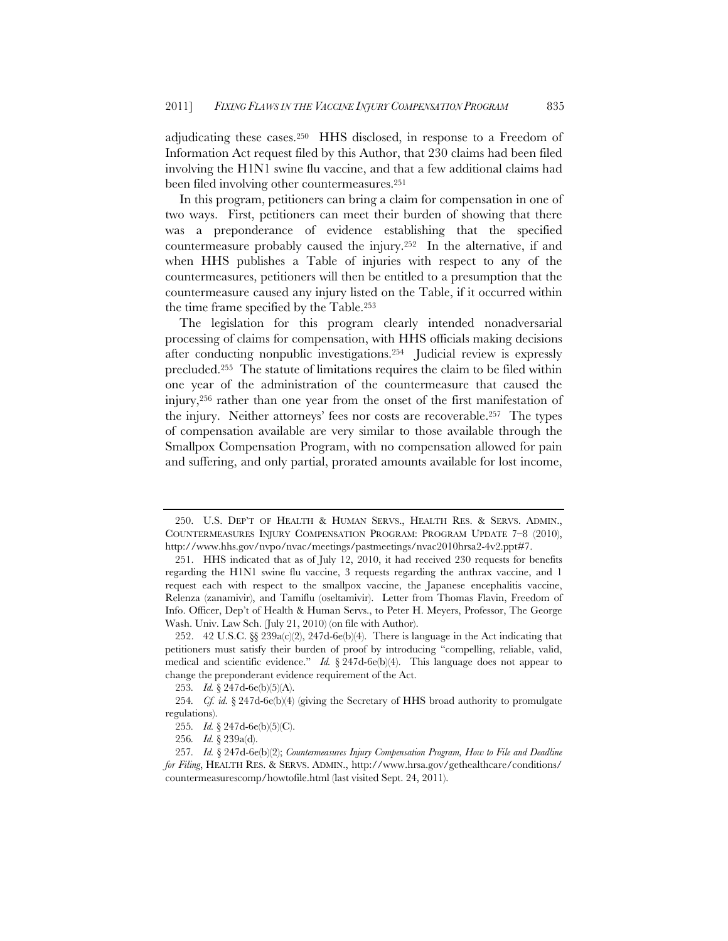adjudicating these cases.250 HHS disclosed, in response to a Freedom of Information Act request filed by this Author, that 230 claims had been filed involving the H1N1 swine flu vaccine, and that a few additional claims had been filed involving other countermeasures.251

In this program, petitioners can bring a claim for compensation in one of two ways. First, petitioners can meet their burden of showing that there was a preponderance of evidence establishing that the specified countermeasure probably caused the injury.252 In the alternative, if and when HHS publishes a Table of injuries with respect to any of the countermeasures, petitioners will then be entitled to a presumption that the countermeasure caused any injury listed on the Table, if it occurred within the time frame specified by the Table.253

The legislation for this program clearly intended nonadversarial processing of claims for compensation, with HHS officials making decisions after conducting nonpublic investigations.254 Judicial review is expressly precluded.255 The statute of limitations requires the claim to be filed within one year of the administration of the countermeasure that caused the injury,256 rather than one year from the onset of the first manifestation of the injury. Neither attorneys' fees nor costs are recoverable.257 The types of compensation available are very similar to those available through the Smallpox Compensation Program, with no compensation allowed for pain and suffering, and only partial, prorated amounts available for lost income,

 <sup>250.</sup> U.S. DEP'T OF HEALTH & HUMAN SERVS., HEALTH RES. & SERVS. ADMIN., COUNTERMEASURES INJURY COMPENSATION PROGRAM: PROGRAM UPDATE 7–8 (2010), http://www.hhs.gov/nvpo/nvac/meetings/pastmeetings/nvac2010hrsa2-4v2.ppt#7.

 <sup>251.</sup> HHS indicated that as of July 12, 2010, it had received 230 requests for benefits regarding the H1N1 swine flu vaccine, 3 requests regarding the anthrax vaccine, and 1 request each with respect to the smallpox vaccine, the Japanese encephalitis vaccine, Relenza (zanamivir), and Tamiflu (oseltamivir). Letter from Thomas Flavin, Freedom of Info. Officer, Dep't of Health & Human Servs., to Peter H. Meyers, Professor, The George Wash. Univ. Law Sch. (July 21, 2010) (on file with Author).

<sup>252. 42</sup> U.S.C.  $\S 239a(c/2), 247d-6e(b)/4$ . There is language in the Act indicating that petitioners must satisfy their burden of proof by introducing "compelling, reliable, valid, medical and scientific evidence." *Id.*  $\frac{8247d-6e(b)}{4}$ . This language does not appear to change the preponderant evidence requirement of the Act.

<sup>253</sup>*. Id.* § 247d-6e(b)(5)(A).

<sup>254</sup>*. Cf. id.* § 247d-6e(b)(4) (giving the Secretary of HHS broad authority to promulgate regulations).

<sup>255</sup>*. Id.* § 247d-6e(b)(5)(C).

<sup>256</sup>*. Id.* § 239a(d).

<sup>257</sup>*. Id.* § 247d-6e(b)(2); *Countermeasures Injury Compensation Program, How to File and Deadline for Filing*, HEALTH RES. & SERVS. ADMIN., http://www.hrsa.gov/gethealthcare/conditions/ countermeasurescomp/howtofile.html (last visited Sept. 24, 2011).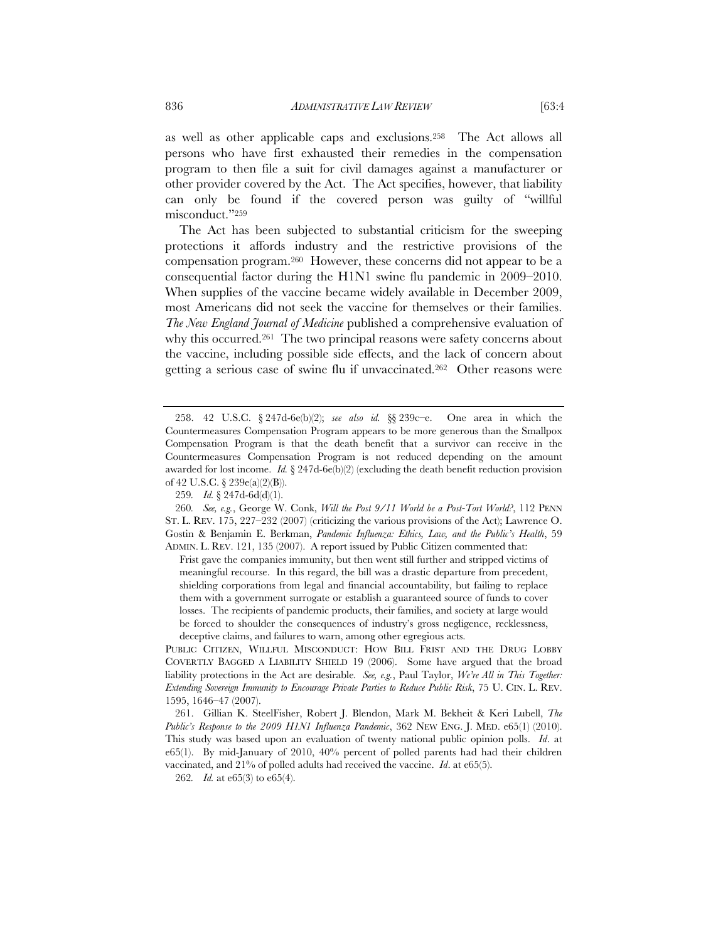as well as other applicable caps and exclusions.258 The Act allows all persons who have first exhausted their remedies in the compensation program to then file a suit for civil damages against a manufacturer or other provider covered by the Act. The Act specifies, however, that liability can only be found if the covered person was guilty of "willful misconduct."259

The Act has been subjected to substantial criticism for the sweeping protections it affords industry and the restrictive provisions of the compensation program.260 However, these concerns did not appear to be a consequential factor during the H1N1 swine flu pandemic in 2009–2010. When supplies of the vaccine became widely available in December 2009, most Americans did not seek the vaccine for themselves or their families. *The New England Journal of Medicine* published a comprehensive evaluation of why this occurred.<sup>261</sup> The two principal reasons were safety concerns about the vaccine, including possible side effects, and the lack of concern about getting a serious case of swine flu if unvaccinated.262 Other reasons were

 <sup>258. 42</sup> U.S.C. § 247d-6e(b)(2); *see also id.* §§ 239c–e. One area in which the Countermeasures Compensation Program appears to be more generous than the Smallpox Compensation Program is that the death benefit that a survivor can receive in the Countermeasures Compensation Program is not reduced depending on the amount awarded for lost income. *Id.*  $\S 247d-6e(b)(2)$  (excluding the death benefit reduction provision of 42 U.S.C. § 239e(a)(2)(B)).

<sup>259</sup>*. Id.* § 247d-6d(d)(1).

<sup>260</sup>*. See, e.g.*, George W. Conk, *Will the Post 9/11 World be a Post-Tort World?*, 112 PENN ST. L. REV. 175, 227–232 (2007) (criticizing the various provisions of the Act); Lawrence O. Gostin & Benjamin E. Berkman, *Pandemic Influenza: Ethics, Law, and the Public's Health*, 59 ADMIN. L. REV. 121, 135 (2007). A report issued by Public Citizen commented that:

Frist gave the companies immunity, but then went still further and stripped victims of meaningful recourse. In this regard, the bill was a drastic departure from precedent, shielding corporations from legal and financial accountability, but failing to replace them with a government surrogate or establish a guaranteed source of funds to cover losses. The recipients of pandemic products, their families, and society at large would be forced to shoulder the consequences of industry's gross negligence, recklessness, deceptive claims, and failures to warn, among other egregious acts.

PUBLIC CITIZEN, WILLFUL MISCONDUCT: HOW BILL FRIST AND THE DRUG LOBBY COVERTLY BAGGED A LIABILITY SHIELD 19 (2006). Some have argued that the broad liability protections in the Act are desirable*. See, e.g.*, Paul Taylor, *We're All in This Together: Extending Sovereign Immunity to Encourage Private Parties to Reduce Public Risk*, 75 U. CIN. L. REV. 1595, 1646–47 (2007).

 <sup>261.</sup> Gillian K. SteelFisher, Robert J. Blendon, Mark M. Bekheit & Keri Lubell, *The Public's Response to the 2009 H1N1 Influenza Pandemic*, 362 NEW ENG. J. MED. e65(1) (2010). This study was based upon an evaluation of twenty national public opinion polls. *Id*. at e65(1). By mid-January of 2010, 40% percent of polled parents had had their children vaccinated, and 21% of polled adults had received the vaccine. *Id*. at e65(5).

<sup>262</sup>*. Id.* at e65(3) to e65(4).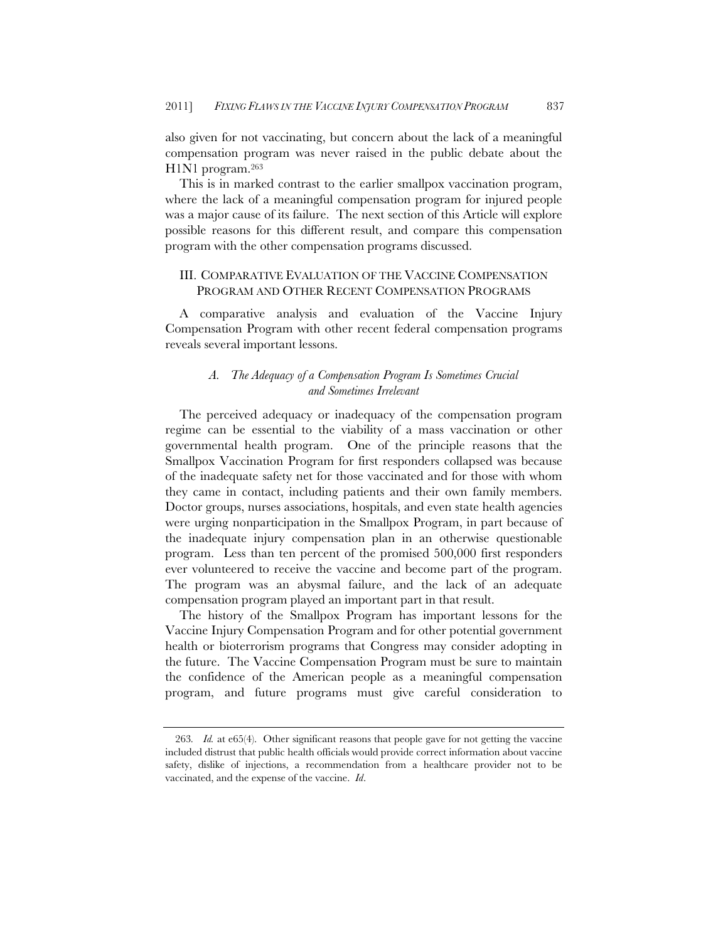also given for not vaccinating, but concern about the lack of a meaningful compensation program was never raised in the public debate about the H1N1 program.263

This is in marked contrast to the earlier smallpox vaccination program, where the lack of a meaningful compensation program for injured people was a major cause of its failure. The next section of this Article will explore possible reasons for this different result, and compare this compensation program with the other compensation programs discussed.

# III. COMPARATIVE EVALUATION OF THE VACCINE COMPENSATION PROGRAM AND OTHER RECENT COMPENSATION PROGRAMS

A comparative analysis and evaluation of the Vaccine Injury Compensation Program with other recent federal compensation programs reveals several important lessons.

# *A. The Adequacy of a Compensation Program Is Sometimes Crucial and Sometimes Irrelevant*

The perceived adequacy or inadequacy of the compensation program regime can be essential to the viability of a mass vaccination or other governmental health program. One of the principle reasons that the Smallpox Vaccination Program for first responders collapsed was because of the inadequate safety net for those vaccinated and for those with whom they came in contact, including patients and their own family members. Doctor groups, nurses associations, hospitals, and even state health agencies were urging nonparticipation in the Smallpox Program, in part because of the inadequate injury compensation plan in an otherwise questionable program. Less than ten percent of the promised 500,000 first responders ever volunteered to receive the vaccine and become part of the program. The program was an abysmal failure, and the lack of an adequate compensation program played an important part in that result.

The history of the Smallpox Program has important lessons for the Vaccine Injury Compensation Program and for other potential government health or bioterrorism programs that Congress may consider adopting in the future. The Vaccine Compensation Program must be sure to maintain the confidence of the American people as a meaningful compensation program, and future programs must give careful consideration to

<sup>263</sup>*. Id.* at e65(4). Other significant reasons that people gave for not getting the vaccine included distrust that public health officials would provide correct information about vaccine safety, dislike of injections, a recommendation from a healthcare provider not to be vaccinated, and the expense of the vaccine. *Id*.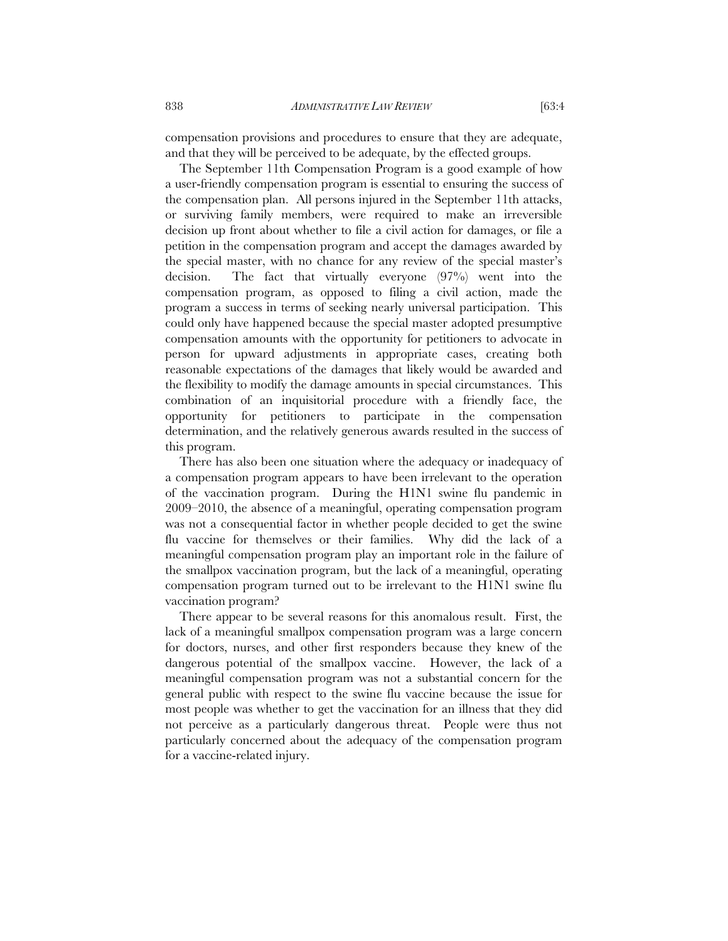compensation provisions and procedures to ensure that they are adequate, and that they will be perceived to be adequate, by the effected groups.

The September 11th Compensation Program is a good example of how a user-friendly compensation program is essential to ensuring the success of the compensation plan. All persons injured in the September 11th attacks, or surviving family members, were required to make an irreversible decision up front about whether to file a civil action for damages, or file a petition in the compensation program and accept the damages awarded by the special master, with no chance for any review of the special master's decision. The fact that virtually everyone (97%) went into the compensation program, as opposed to filing a civil action, made the program a success in terms of seeking nearly universal participation. This could only have happened because the special master adopted presumptive compensation amounts with the opportunity for petitioners to advocate in person for upward adjustments in appropriate cases, creating both reasonable expectations of the damages that likely would be awarded and the flexibility to modify the damage amounts in special circumstances. This combination of an inquisitorial procedure with a friendly face, the opportunity for petitioners to participate in the compensation determination, and the relatively generous awards resulted in the success of this program.

There has also been one situation where the adequacy or inadequacy of a compensation program appears to have been irrelevant to the operation of the vaccination program. During the H1N1 swine flu pandemic in 2009–2010, the absence of a meaningful, operating compensation program was not a consequential factor in whether people decided to get the swine flu vaccine for themselves or their families. Why did the lack of a meaningful compensation program play an important role in the failure of the smallpox vaccination program, but the lack of a meaningful, operating compensation program turned out to be irrelevant to the H1N1 swine flu vaccination program?

There appear to be several reasons for this anomalous result. First, the lack of a meaningful smallpox compensation program was a large concern for doctors, nurses, and other first responders because they knew of the dangerous potential of the smallpox vaccine. However, the lack of a meaningful compensation program was not a substantial concern for the general public with respect to the swine flu vaccine because the issue for most people was whether to get the vaccination for an illness that they did not perceive as a particularly dangerous threat. People were thus not particularly concerned about the adequacy of the compensation program for a vaccine-related injury.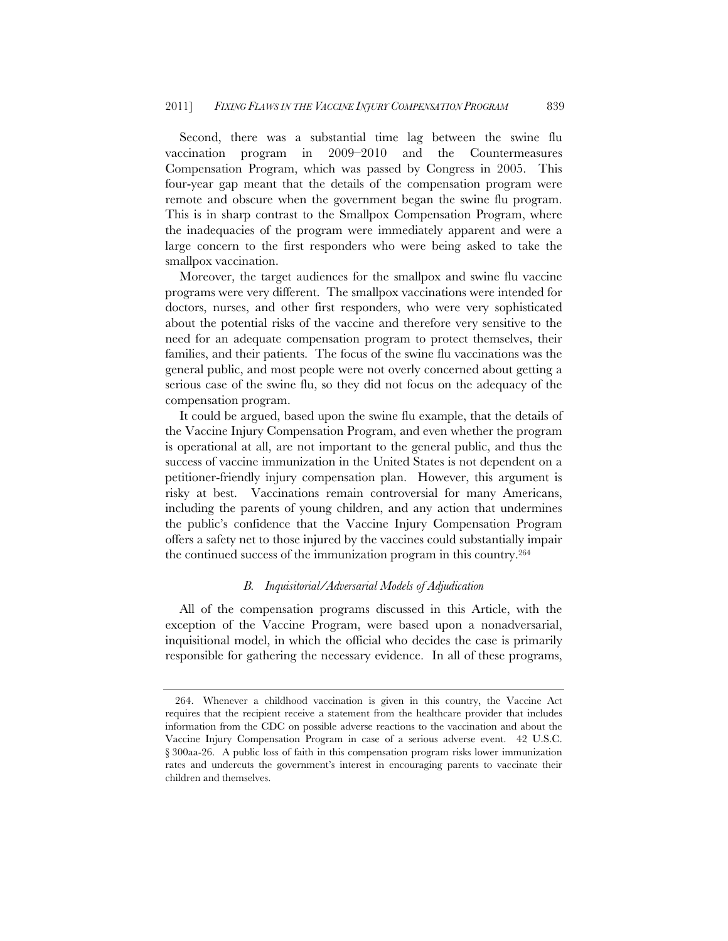Second, there was a substantial time lag between the swine flu vaccination program in 2009–2010 and the Countermeasures Compensation Program, which was passed by Congress in 2005. This four-year gap meant that the details of the compensation program were remote and obscure when the government began the swine flu program. This is in sharp contrast to the Smallpox Compensation Program, where the inadequacies of the program were immediately apparent and were a large concern to the first responders who were being asked to take the smallpox vaccination.

Moreover, the target audiences for the smallpox and swine flu vaccine programs were very different. The smallpox vaccinations were intended for doctors, nurses, and other first responders, who were very sophisticated about the potential risks of the vaccine and therefore very sensitive to the need for an adequate compensation program to protect themselves, their families, and their patients. The focus of the swine flu vaccinations was the general public, and most people were not overly concerned about getting a serious case of the swine flu, so they did not focus on the adequacy of the compensation program.

It could be argued, based upon the swine flu example, that the details of the Vaccine Injury Compensation Program, and even whether the program is operational at all, are not important to the general public, and thus the success of vaccine immunization in the United States is not dependent on a petitioner-friendly injury compensation plan. However, this argument is risky at best. Vaccinations remain controversial for many Americans, including the parents of young children, and any action that undermines the public's confidence that the Vaccine Injury Compensation Program offers a safety net to those injured by the vaccines could substantially impair the continued success of the immunization program in this country.264

### *B. Inquisitorial/Adversarial Models of Adjudication*

All of the compensation programs discussed in this Article, with the exception of the Vaccine Program, were based upon a nonadversarial, inquisitional model, in which the official who decides the case is primarily responsible for gathering the necessary evidence. In all of these programs,

 <sup>264.</sup> Whenever a childhood vaccination is given in this country, the Vaccine Act requires that the recipient receive a statement from the healthcare provider that includes information from the CDC on possible adverse reactions to the vaccination and about the Vaccine Injury Compensation Program in case of a serious adverse event. 42 U.S.C. § 300aa-26. A public loss of faith in this compensation program risks lower immunization rates and undercuts the government's interest in encouraging parents to vaccinate their children and themselves.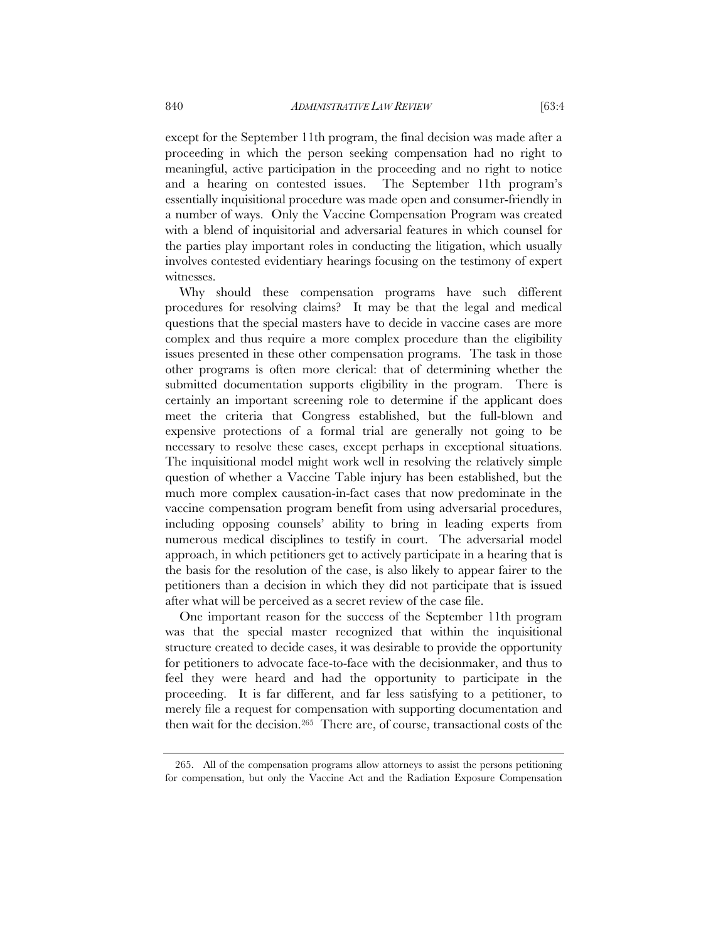except for the September 11th program, the final decision was made after a proceeding in which the person seeking compensation had no right to meaningful, active participation in the proceeding and no right to notice and a hearing on contested issues. The September 11th program's essentially inquisitional procedure was made open and consumer-friendly in a number of ways. Only the Vaccine Compensation Program was created with a blend of inquisitorial and adversarial features in which counsel for the parties play important roles in conducting the litigation, which usually involves contested evidentiary hearings focusing on the testimony of expert witnesses.

Why should these compensation programs have such different procedures for resolving claims? It may be that the legal and medical questions that the special masters have to decide in vaccine cases are more complex and thus require a more complex procedure than the eligibility issues presented in these other compensation programs. The task in those other programs is often more clerical: that of determining whether the submitted documentation supports eligibility in the program. There is certainly an important screening role to determine if the applicant does meet the criteria that Congress established, but the full-blown and expensive protections of a formal trial are generally not going to be necessary to resolve these cases, except perhaps in exceptional situations. The inquisitional model might work well in resolving the relatively simple question of whether a Vaccine Table injury has been established, but the much more complex causation-in-fact cases that now predominate in the vaccine compensation program benefit from using adversarial procedures, including opposing counsels' ability to bring in leading experts from numerous medical disciplines to testify in court. The adversarial model approach, in which petitioners get to actively participate in a hearing that is the basis for the resolution of the case, is also likely to appear fairer to the petitioners than a decision in which they did not participate that is issued after what will be perceived as a secret review of the case file.

One important reason for the success of the September 11th program was that the special master recognized that within the inquisitional structure created to decide cases, it was desirable to provide the opportunity for petitioners to advocate face-to-face with the decisionmaker, and thus to feel they were heard and had the opportunity to participate in the proceeding. It is far different, and far less satisfying to a petitioner, to merely file a request for compensation with supporting documentation and then wait for the decision.265 There are, of course, transactional costs of the

 <sup>265.</sup> All of the compensation programs allow attorneys to assist the persons petitioning for compensation, but only the Vaccine Act and the Radiation Exposure Compensation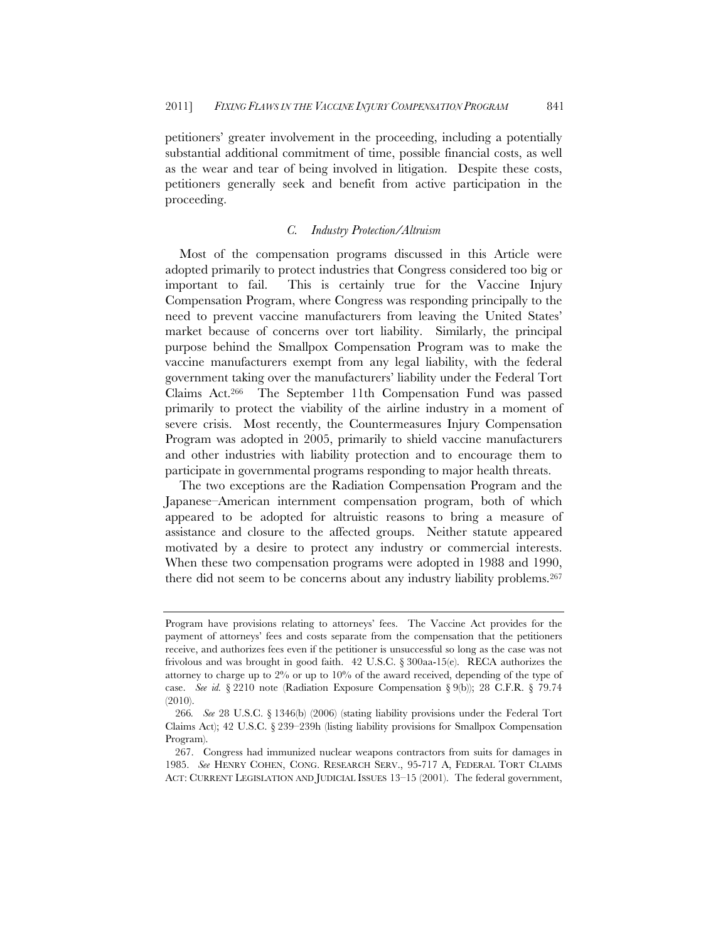petitioners' greater involvement in the proceeding, including a potentially substantial additional commitment of time, possible financial costs, as well as the wear and tear of being involved in litigation. Despite these costs, petitioners generally seek and benefit from active participation in the proceeding.

### *C. Industry Protection/Altruism*

Most of the compensation programs discussed in this Article were adopted primarily to protect industries that Congress considered too big or important to fail. This is certainly true for the Vaccine Injury Compensation Program, where Congress was responding principally to the need to prevent vaccine manufacturers from leaving the United States' market because of concerns over tort liability. Similarly, the principal purpose behind the Smallpox Compensation Program was to make the vaccine manufacturers exempt from any legal liability, with the federal government taking over the manufacturers' liability under the Federal Tort Claims Act.266 The September 11th Compensation Fund was passed primarily to protect the viability of the airline industry in a moment of severe crisis. Most recently, the Countermeasures Injury Compensation Program was adopted in 2005, primarily to shield vaccine manufacturers and other industries with liability protection and to encourage them to participate in governmental programs responding to major health threats.

The two exceptions are the Radiation Compensation Program and the Japanese–American internment compensation program, both of which appeared to be adopted for altruistic reasons to bring a measure of assistance and closure to the affected groups. Neither statute appeared motivated by a desire to protect any industry or commercial interests. When these two compensation programs were adopted in 1988 and 1990, there did not seem to be concerns about any industry liability problems.267

Program have provisions relating to attorneys' fees. The Vaccine Act provides for the payment of attorneys' fees and costs separate from the compensation that the petitioners receive, and authorizes fees even if the petitioner is unsuccessful so long as the case was not frivolous and was brought in good faith.  $42$  U.S.C.  $\S 300$ aa-15(e). RECA authorizes the attorney to charge up to  $2\%$  or up to  $10\%$  of the award received, depending of the type of case. *See id.* § 2210 note (Radiation Exposure Compensation § 9(b)); 28 C.F.R. § 79.74 (2010).

<sup>266</sup>*. See* 28 U.S.C. § 1346(b) (2006) (stating liability provisions under the Federal Tort Claims Act); 42 U.S.C. § 239–239h (listing liability provisions for Smallpox Compensation Program).

 <sup>267.</sup> Congress had immunized nuclear weapons contractors from suits for damages in 1985. *See* HENRY COHEN, CONG. RESEARCH SERV., 95-717 A, FEDERAL TORT CLAIMS ACT: CURRENT LEGISLATION AND JUDICIAL ISSUES 13–15 (2001). The federal government,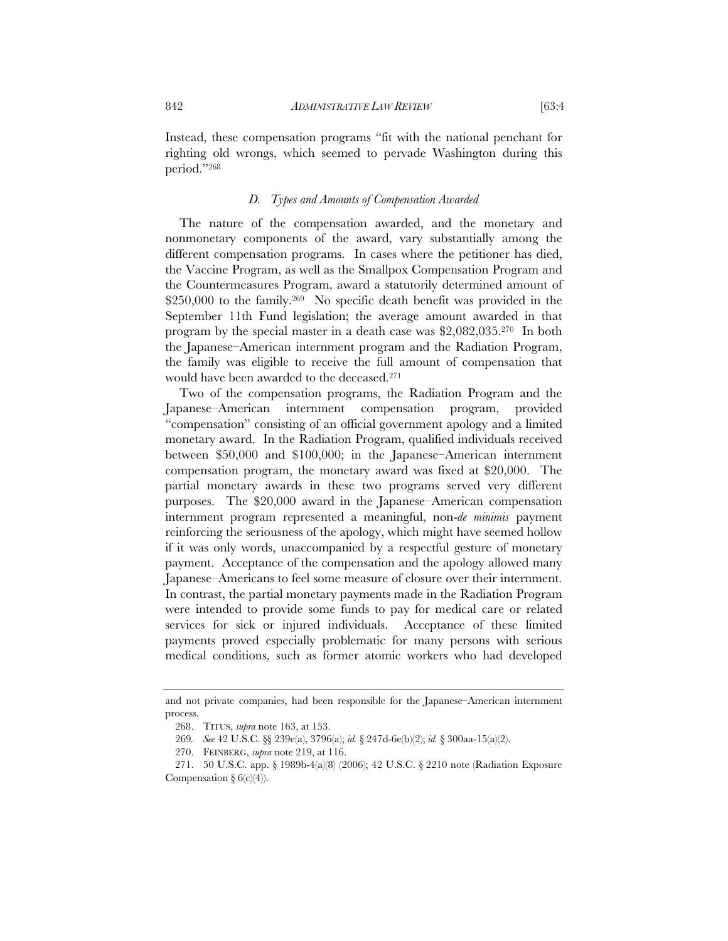Instead, these compensation programs "fit with the national penchant for righting old wrongs, which seemed to pervade Washington during this period."268

# *D. Types and Amounts of Compensation Awarded*

The nature of the compensation awarded, and the monetary and nonmonetary components of the award, vary substantially among the different compensation programs. In cases where the petitioner has died, the Vaccine Program, as well as the Smallpox Compensation Program and the Countermeasures Program, award a statutorily determined amount of \$250,000 to the family.<sup>269</sup> No specific death benefit was provided in the September 11th Fund legislation; the average amount awarded in that program by the special master in a death case was \$2,082,035.270 In both the Japanese–American internment program and the Radiation Program, the family was eligible to receive the full amount of compensation that would have been awarded to the deceased.271

Two of the compensation programs, the Radiation Program and the Japanese–American internment compensation program, provided "compensation" consisting of an official government apology and a limited monetary award. In the Radiation Program, qualified individuals received between \$50,000 and \$100,000; in the Japanese–American internment compensation program, the monetary award was fixed at \$20,000. The partial monetary awards in these two programs served very different purposes. The \$20,000 award in the Japanese–American compensation internment program represented a meaningful, non-*de minimis* payment reinforcing the seriousness of the apology, which might have seemed hollow if it was only words, unaccompanied by a respectful gesture of monetary payment. Acceptance of the compensation and the apology allowed many Japanese–Americans to feel some measure of closure over their internment. In contrast, the partial monetary payments made in the Radiation Program were intended to provide some funds to pay for medical care or related services for sick or injured individuals. Acceptance of these limited payments proved especially problematic for many persons with serious medical conditions, such as former atomic workers who had developed

and not private companies, had been responsible for the Japanese–American internment process.

 <sup>268.</sup> TITUS, *supra* note 163, at 153.

<sup>269</sup>*. See* 42 U.S.C. §§ 239e(a), 3796(a); *id.* § 247d-6e(b)(2); *id.* § 300aa-15(a)(2).

 <sup>270.</sup> FEINBERG, *supra* note 219, at 116.

<sup>271. 50</sup> U.S.C. app. § 1989b-4(a)(8) (2006); 42 U.S.C. § 2210 note (Radiation Exposure Compensation §  $6(c)(4)$ .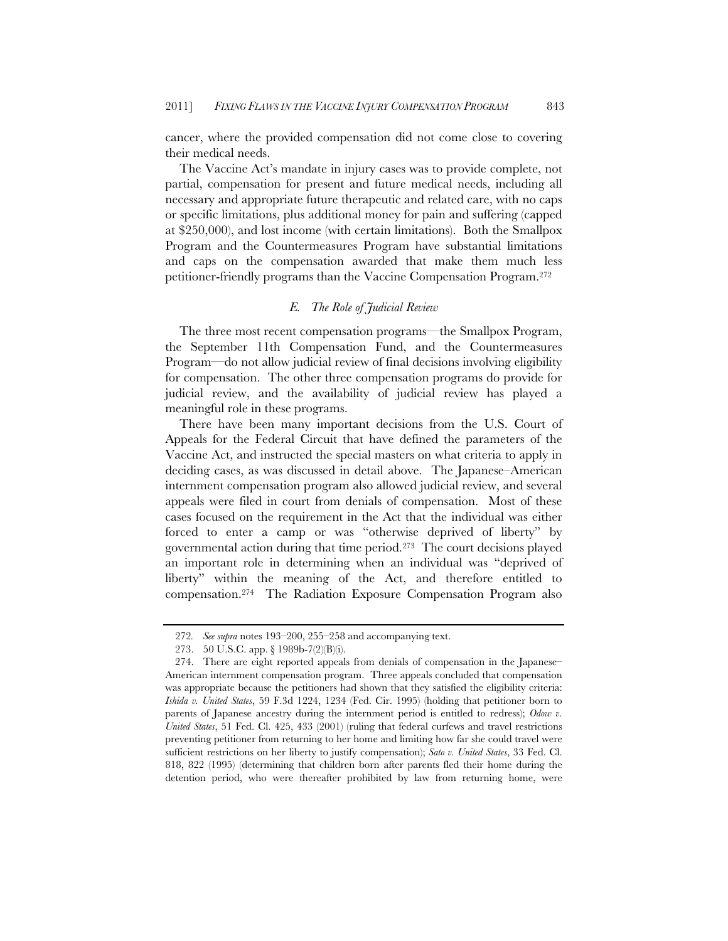cancer, where the provided compensation did not come close to covering their medical needs.

The Vaccine Act's mandate in injury cases was to provide complete, not partial, compensation for present and future medical needs, including all necessary and appropriate future therapeutic and related care, with no caps or specific limitations, plus additional money for pain and suffering (capped at \$250,000), and lost income (with certain limitations). Both the Smallpox Program and the Countermeasures Program have substantial limitations and caps on the compensation awarded that make them much less petitioner-friendly programs than the Vaccine Compensation Program.272

# *E. The Role of Judicial Review*

The three most recent compensation programs—the Smallpox Program, the September 11th Compensation Fund, and the Countermeasures Program—do not allow judicial review of final decisions involving eligibility for compensation. The other three compensation programs do provide for judicial review, and the availability of judicial review has played a meaningful role in these programs.

There have been many important decisions from the U.S. Court of Appeals for the Federal Circuit that have defined the parameters of the Vaccine Act, and instructed the special masters on what criteria to apply in deciding cases, as was discussed in detail above. The Japanese–American internment compensation program also allowed judicial review, and several appeals were filed in court from denials of compensation. Most of these cases focused on the requirement in the Act that the individual was either forced to enter a camp or was "otherwise deprived of liberty" by governmental action during that time period.273 The court decisions played an important role in determining when an individual was "deprived of liberty" within the meaning of the Act, and therefore entitled to compensation.274 The Radiation Exposure Compensation Program also

<sup>272</sup>*. See supra* notes 193–200, 255–258 and accompanying text.

<sup>273. 50</sup> U.S.C. app. § 1989b-7(2)(B)(i).

 <sup>274.</sup> There are eight reported appeals from denials of compensation in the Japanese– American internment compensation program. Three appeals concluded that compensation was appropriate because the petitioners had shown that they satisfied the eligibility criteria: *Ishida v. United States*, 59 F.3d 1224, 1234 (Fed. Cir. 1995) (holding that petitioner born to parents of Japanese ancestry during the internment period is entitled to redress); *Odow v. United States*, 51 Fed. Cl. 425, 433 (2001) (ruling that federal curfews and travel restrictions preventing petitioner from returning to her home and limiting how far she could travel were sufficient restrictions on her liberty to justify compensation); *Sato v. United States*, 33 Fed. Cl. 818, 822 (1995) (determining that children born after parents fled their home during the detention period, who were thereafter prohibited by law from returning home, were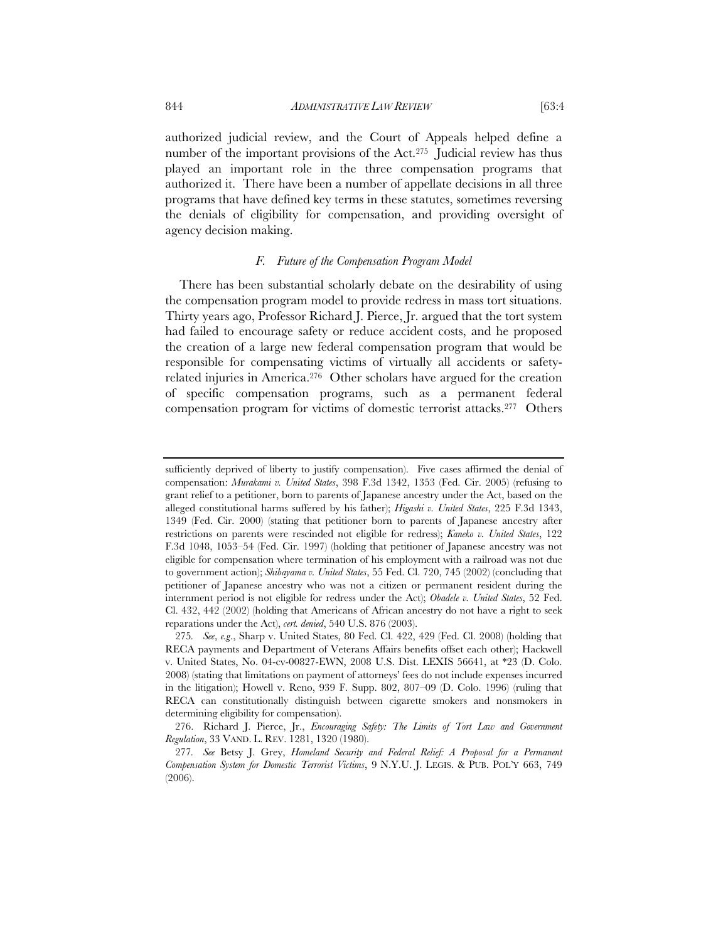authorized judicial review, and the Court of Appeals helped define a number of the important provisions of the Act.<sup>275</sup> Judicial review has thus played an important role in the three compensation programs that authorized it. There have been a number of appellate decisions in all three programs that have defined key terms in these statutes, sometimes reversing the denials of eligibility for compensation, and providing oversight of agency decision making.

# *F. Future of the Compensation Program Model*

There has been substantial scholarly debate on the desirability of using the compensation program model to provide redress in mass tort situations. Thirty years ago, Professor Richard J. Pierce, Jr. argued that the tort system had failed to encourage safety or reduce accident costs, and he proposed the creation of a large new federal compensation program that would be responsible for compensating victims of virtually all accidents or safetyrelated injuries in America.276 Other scholars have argued for the creation of specific compensation programs, such as a permanent federal compensation program for victims of domestic terrorist attacks.277 Others

sufficiently deprived of liberty to justify compensation). Five cases affirmed the denial of compensation: *Murakami v. United States*, 398 F.3d 1342, 1353 (Fed. Cir. 2005) (refusing to grant relief to a petitioner, born to parents of Japanese ancestry under the Act, based on the alleged constitutional harms suffered by his father); *Higashi v. United States*, 225 F.3d 1343, 1349 (Fed. Cir. 2000) (stating that petitioner born to parents of Japanese ancestry after restrictions on parents were rescinded not eligible for redress); *Kaneko v. United States*, 122 F.3d 1048, 1053–54 (Fed. Cir. 1997) (holding that petitioner of Japanese ancestry was not eligible for compensation where termination of his employment with a railroad was not due to government action); *Shibayama v. United States*, 55 Fed. Cl. 720, 745 (2002) (concluding that petitioner of Japanese ancestry who was not a citizen or permanent resident during the internment period is not eligible for redress under the Act); *Obadele v. United States*, 52 Fed. Cl. 432, 442 (2002) (holding that Americans of African ancestry do not have a right to seek reparations under the Act), *cert. denied*, 540 U.S. 876 (2003).

<sup>275</sup>*. See*, *e.g*., Sharp v. United States, 80 Fed. Cl. 422, 429 (Fed. Cl. 2008) (holding that RECA payments and Department of Veterans Affairs benefits offset each other); Hackwell v. United States, No. 04-cv-00827-EWN, 2008 U.S. Dist. LEXIS 56641, at \*23 (D. Colo. 2008) (stating that limitations on payment of attorneys' fees do not include expenses incurred in the litigation); Howell v. Reno, 939 F. Supp. 802, 807–09 (D. Colo. 1996) (ruling that RECA can constitutionally distinguish between cigarette smokers and nonsmokers in determining eligibility for compensation).

 <sup>276.</sup> Richard J. Pierce, Jr., *Encouraging Safety: The Limits of Tort Law and Government Regulation*, 33 VAND. L. REV. 1281, 1320 (1980).

<sup>277</sup>*. See* Betsy J. Grey, *Homeland Security and Federal Relief: A Proposal for a Permanent Compensation System for Domestic Terrorist Victims*, 9 N.Y.U. J. LEGIS. & PUB. POL'Y 663, 749 (2006).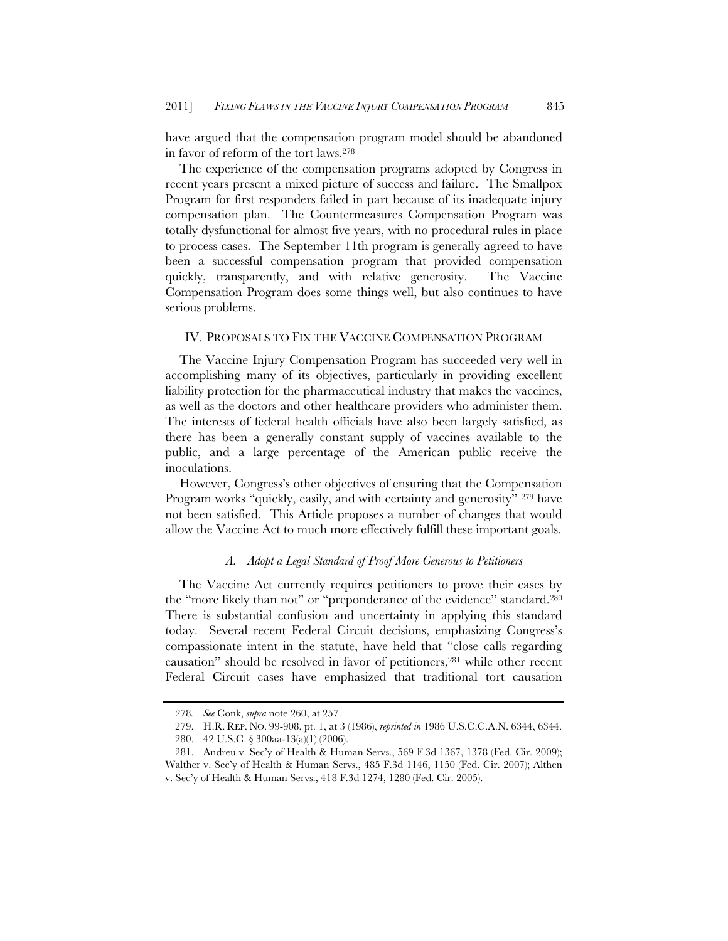have argued that the compensation program model should be abandoned in favor of reform of the tort laws.278

The experience of the compensation programs adopted by Congress in recent years present a mixed picture of success and failure. The Smallpox Program for first responders failed in part because of its inadequate injury compensation plan. The Countermeasures Compensation Program was totally dysfunctional for almost five years, with no procedural rules in place to process cases. The September 11th program is generally agreed to have been a successful compensation program that provided compensation quickly, transparently, and with relative generosity. The Vaccine Compensation Program does some things well, but also continues to have serious problems.

# IV. PROPOSALS TO FIX THE VACCINE COMPENSATION PROGRAM

The Vaccine Injury Compensation Program has succeeded very well in accomplishing many of its objectives, particularly in providing excellent liability protection for the pharmaceutical industry that makes the vaccines, as well as the doctors and other healthcare providers who administer them. The interests of federal health officials have also been largely satisfied, as there has been a generally constant supply of vaccines available to the public, and a large percentage of the American public receive the inoculations.

However, Congress's other objectives of ensuring that the Compensation Program works "quickly, easily, and with certainty and generosity" <sup>279</sup> have not been satisfied. This Article proposes a number of changes that would allow the Vaccine Act to much more effectively fulfill these important goals.

### *A. Adopt a Legal Standard of Proof More Generous to Petitioners*

The Vaccine Act currently requires petitioners to prove their cases by the "more likely than not" or "preponderance of the evidence" standard.280 There is substantial confusion and uncertainty in applying this standard today. Several recent Federal Circuit decisions, emphasizing Congress's compassionate intent in the statute, have held that "close calls regarding causation" should be resolved in favor of petitioners,<sup>281</sup> while other recent Federal Circuit cases have emphasized that traditional tort causation

<sup>278</sup>*. See* Conk, *supra* note 260, at 257.

 <sup>279.</sup> H.R. REP. NO. 99-908, pt. 1, at 3 (1986), *reprinted in* 1986 U.S.C.C.A.N. 6344, 6344.

<sup>280. 42</sup> U.S.C. § 300aa-13(a)(1) (2006).

<sup>281.</sup> Andreu v. Sec'y of Health & Human Servs., 569 F.3d 1367, 1378 (Fed. Cir. 2009); Walther v. Sec'y of Health & Human Servs., 485 F.3d 1146, 1150 (Fed. Cir. 2007); Althen v. Sec'y of Health & Human Servs., 418 F.3d 1274, 1280 (Fed. Cir. 2005).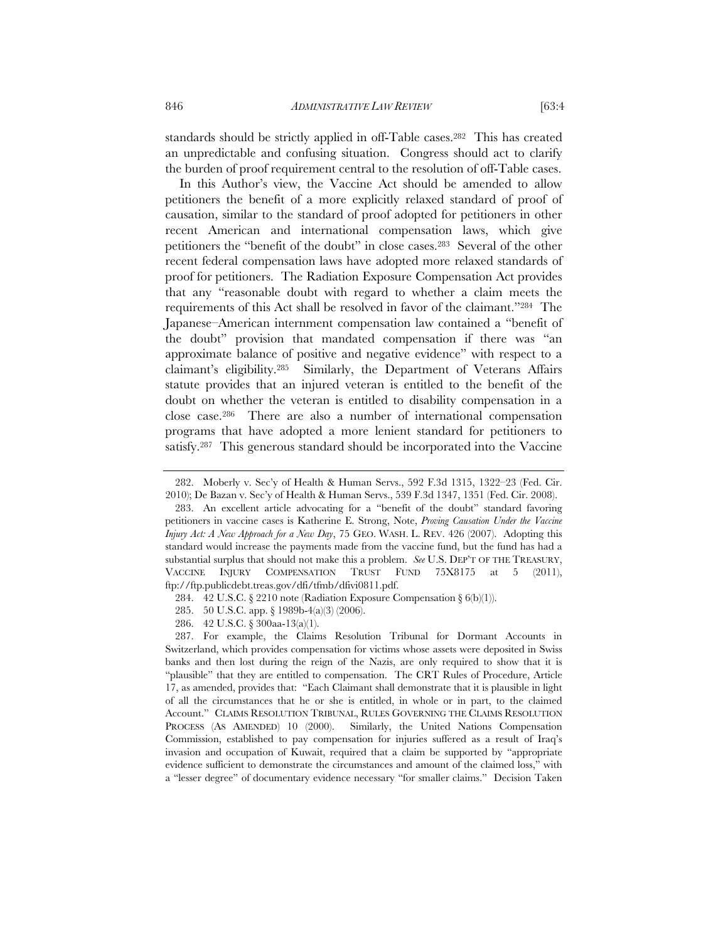standards should be strictly applied in off-Table cases.282 This has created an unpredictable and confusing situation. Congress should act to clarify the burden of proof requirement central to the resolution of off-Table cases.

In this Author's view, the Vaccine Act should be amended to allow petitioners the benefit of a more explicitly relaxed standard of proof of causation, similar to the standard of proof adopted for petitioners in other recent American and international compensation laws, which give petitioners the "benefit of the doubt" in close cases.283 Several of the other recent federal compensation laws have adopted more relaxed standards of proof for petitioners. The Radiation Exposure Compensation Act provides that any "reasonable doubt with regard to whether a claim meets the requirements of this Act shall be resolved in favor of the claimant."284 The Japanese–American internment compensation law contained a "benefit of the doubt" provision that mandated compensation if there was "an approximate balance of positive and negative evidence" with respect to a claimant's eligibility.285 Similarly, the Department of Veterans Affairs statute provides that an injured veteran is entitled to the benefit of the doubt on whether the veteran is entitled to disability compensation in a close case.286 There are also a number of international compensation programs that have adopted a more lenient standard for petitioners to satisfy.287 This generous standard should be incorporated into the Vaccine

 <sup>282.</sup> Moberly v. Sec'y of Health & Human Servs., 592 F.3d 1315, 1322–23 (Fed. Cir. 2010); De Bazan v. Sec'y of Health & Human Servs., 539 F.3d 1347, 1351 (Fed. Cir. 2008).

 <sup>283.</sup> An excellent article advocating for a "benefit of the doubt" standard favoring petitioners in vaccine cases is Katherine E. Strong, Note, *Proving Causation Under the Vaccine Injury Act: A New Approach for a New Day*, 75 GEO. WASH. L. REV. 426 (2007). Adopting this standard would increase the payments made from the vaccine fund, but the fund has had a substantial surplus that should not make this a problem. *See* U.S. DEP'T OF THE TREASURY, VACCINE INJURY COMPENSATION TRUST FUND 75X8175 at 5 (2011), ftp://ftp.publicdebt.treas.gov/dfi/tfmb/dfivi0811.pdf.

<sup>284. 42</sup> U.S.C. § 2210 note (Radiation Exposure Compensation §  $6(b)(1)$ ).

<sup>285. 50</sup> U.S.C. app. § 1989b-4(a)(3) (2006).

<sup>286. 42</sup> U.S.C. § 300aa-13(a)(1).

 <sup>287.</sup> For example, the Claims Resolution Tribunal for Dormant Accounts in Switzerland, which provides compensation for victims whose assets were deposited in Swiss banks and then lost during the reign of the Nazis, are only required to show that it is "plausible" that they are entitled to compensation. The CRT Rules of Procedure, Article 17, as amended, provides that: "Each Claimant shall demonstrate that it is plausible in light of all the circumstances that he or she is entitled, in whole or in part, to the claimed Account." CLAIMS RESOLUTION TRIBUNAL, RULES GOVERNING THE CLAIMS RESOLUTION PROCESS (AS AMENDED) 10 (2000). Similarly, the United Nations Compensation Commission, established to pay compensation for injuries suffered as a result of Iraq's invasion and occupation of Kuwait, required that a claim be supported by "appropriate evidence sufficient to demonstrate the circumstances and amount of the claimed loss," with a "lesser degree" of documentary evidence necessary "for smaller claims." Decision Taken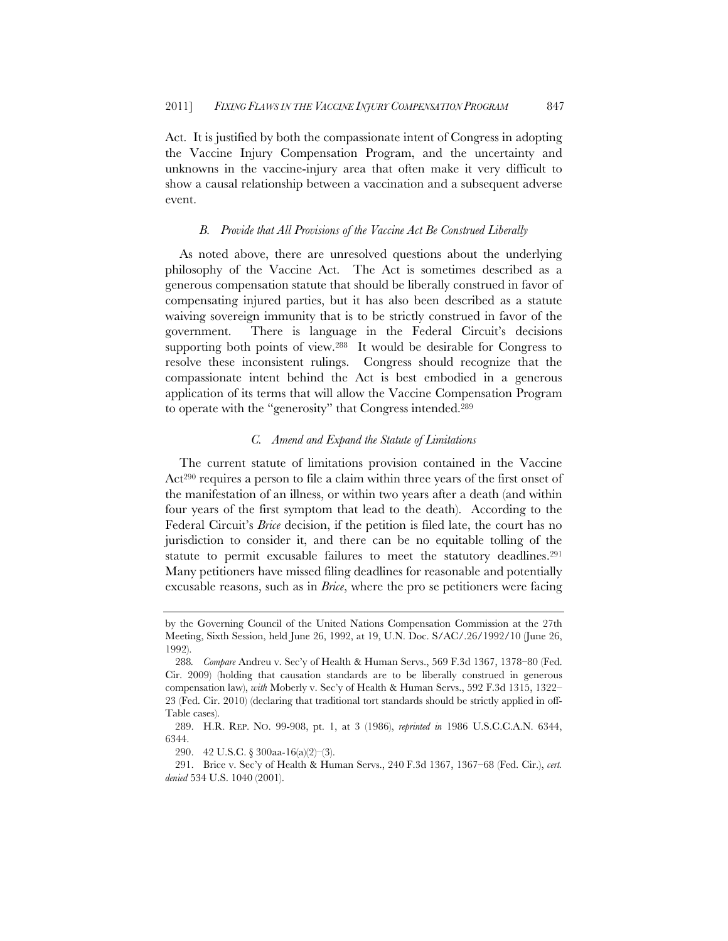Act. It is justified by both the compassionate intent of Congress in adopting the Vaccine Injury Compensation Program, and the uncertainty and unknowns in the vaccine-injury area that often make it very difficult to show a causal relationship between a vaccination and a subsequent adverse event.

### *B. Provide that All Provisions of the Vaccine Act Be Construed Liberally*

As noted above, there are unresolved questions about the underlying philosophy of the Vaccine Act. The Act is sometimes described as a generous compensation statute that should be liberally construed in favor of compensating injured parties, but it has also been described as a statute waiving sovereign immunity that is to be strictly construed in favor of the government. There is language in the Federal Circuit's decisions supporting both points of view.288 It would be desirable for Congress to resolve these inconsistent rulings. Congress should recognize that the compassionate intent behind the Act is best embodied in a generous application of its terms that will allow the Vaccine Compensation Program to operate with the "generosity" that Congress intended.289

### *C. Amend and Expand the Statute of Limitations*

The current statute of limitations provision contained in the Vaccine Act290 requires a person to file a claim within three years of the first onset of the manifestation of an illness, or within two years after a death (and within four years of the first symptom that lead to the death). According to the Federal Circuit's *Brice* decision, if the petition is filed late, the court has no jurisdiction to consider it, and there can be no equitable tolling of the statute to permit excusable failures to meet the statutory deadlines.<sup>291</sup> Many petitioners have missed filing deadlines for reasonable and potentially excusable reasons, such as in *Brice*, where the pro se petitioners were facing

by the Governing Council of the United Nations Compensation Commission at the 27th Meeting, Sixth Session, held June 26, 1992, at 19, U.N. Doc. S/AC/.26/1992/10 (June 26, 1992).

<sup>288</sup>*. Compare* Andreu v. Sec'y of Health & Human Servs., 569 F.3d 1367, 1378–80 (Fed. Cir. 2009) (holding that causation standards are to be liberally construed in generous compensation law), *with* Moberly v. Sec'y of Health & Human Servs., 592 F.3d 1315, 1322– 23 (Fed. Cir. 2010) (declaring that traditional tort standards should be strictly applied in off-Table cases).

 <sup>289.</sup> H.R. REP. NO. 99-908, pt. 1, at 3 (1986), *reprinted in* 1986 U.S.C.C.A.N. 6344, 6344.

<sup>290. 42</sup> U.S.C. § 300aa-16(a)(2)–(3).

 <sup>291.</sup> Brice v. Sec'y of Health & Human Servs., 240 F.3d 1367, 1367–68 (Fed. Cir.), *cert. denied* 534 U.S. 1040 (2001).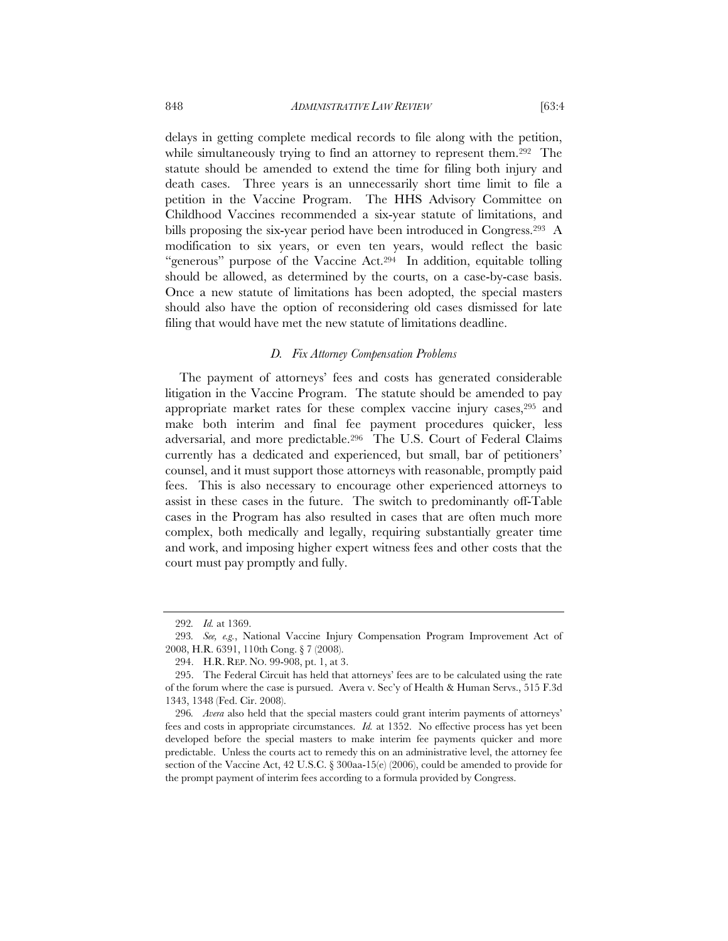delays in getting complete medical records to file along with the petition, while simultaneously trying to find an attorney to represent them.<sup>292</sup> The statute should be amended to extend the time for filing both injury and death cases. Three years is an unnecessarily short time limit to file a petition in the Vaccine Program. The HHS Advisory Committee on Childhood Vaccines recommended a six-year statute of limitations, and bills proposing the six-year period have been introduced in Congress.293 A modification to six years, or even ten years, would reflect the basic "generous" purpose of the Vaccine Act.294 In addition, equitable tolling should be allowed, as determined by the courts, on a case-by-case basis. Once a new statute of limitations has been adopted, the special masters should also have the option of reconsidering old cases dismissed for late filing that would have met the new statute of limitations deadline.

# *D. Fix Attorney Compensation Problems*

The payment of attorneys' fees and costs has generated considerable litigation in the Vaccine Program. The statute should be amended to pay appropriate market rates for these complex vaccine injury cases,295 and make both interim and final fee payment procedures quicker, less adversarial, and more predictable.296 The U.S. Court of Federal Claims currently has a dedicated and experienced, but small, bar of petitioners' counsel, and it must support those attorneys with reasonable, promptly paid fees. This is also necessary to encourage other experienced attorneys to assist in these cases in the future. The switch to predominantly off-Table cases in the Program has also resulted in cases that are often much more complex, both medically and legally, requiring substantially greater time and work, and imposing higher expert witness fees and other costs that the court must pay promptly and fully.

<sup>292</sup>*. Id.* at 1369.

<sup>293</sup>*. See, e.g.*, National Vaccine Injury Compensation Program Improvement Act of 2008, H.R. 6391, 110th Cong. § 7 (2008).

 <sup>294.</sup> H.R. REP. NO. 99-908, pt. 1, at 3.

<sup>295.</sup> The Federal Circuit has held that attorneys' fees are to be calculated using the rate of the forum where the case is pursued. Avera v. Sec'y of Health & Human Servs., 515 F.3d 1343, 1348 (Fed. Cir. 2008).

<sup>296</sup>*. Avera* also held that the special masters could grant interim payments of attorneys' fees and costs in appropriate circumstances. *Id.* at 1352. No effective process has yet been developed before the special masters to make interim fee payments quicker and more predictable. Unless the courts act to remedy this on an administrative level, the attorney fee section of the Vaccine Act, 42 U.S.C. § 300aa-15(e) (2006), could be amended to provide for the prompt payment of interim fees according to a formula provided by Congress.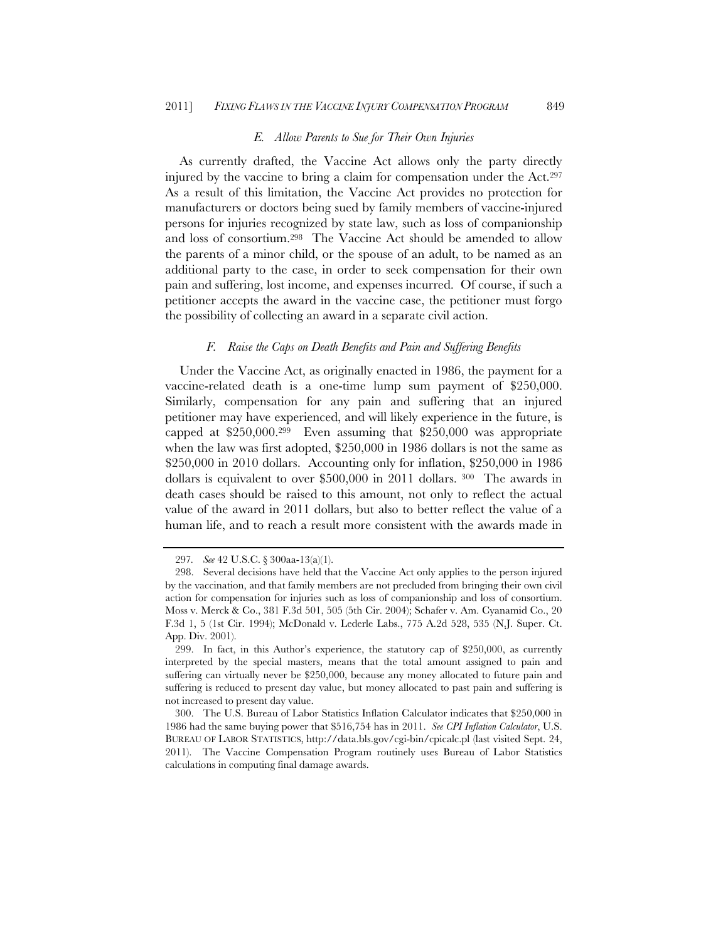#### *E. Allow Parents to Sue for Their Own Injuries*

As currently drafted, the Vaccine Act allows only the party directly injured by the vaccine to bring a claim for compensation under the Act.297 As a result of this limitation, the Vaccine Act provides no protection for manufacturers or doctors being sued by family members of vaccine-injured persons for injuries recognized by state law, such as loss of companionship and loss of consortium.298 The Vaccine Act should be amended to allow the parents of a minor child, or the spouse of an adult, to be named as an additional party to the case, in order to seek compensation for their own pain and suffering, lost income, and expenses incurred. Of course, if such a petitioner accepts the award in the vaccine case, the petitioner must forgo the possibility of collecting an award in a separate civil action.

### *F. Raise the Caps on Death Benefits and Pain and Suffering Benefits*

Under the Vaccine Act, as originally enacted in 1986, the payment for a vaccine-related death is a one-time lump sum payment of \$250,000. Similarly, compensation for any pain and suffering that an injured petitioner may have experienced, and will likely experience in the future, is capped at \$250,000.299 Even assuming that \$250,000 was appropriate when the law was first adopted, \$250,000 in 1986 dollars is not the same as \$250,000 in 2010 dollars. Accounting only for inflation, \$250,000 in 1986 dollars is equivalent to over \$500,000 in 2011 dollars. 300 The awards in death cases should be raised to this amount, not only to reflect the actual value of the award in 2011 dollars, but also to better reflect the value of a human life, and to reach a result more consistent with the awards made in

<sup>297</sup>*. See* 42 U.S.C. § 300aa-13(a)(1).

 <sup>298.</sup> Several decisions have held that the Vaccine Act only applies to the person injured by the vaccination, and that family members are not precluded from bringing their own civil action for compensation for injuries such as loss of companionship and loss of consortium. Moss v. Merck & Co., 381 F.3d 501, 505 (5th Cir. 2004); Schafer v. Am. Cyanamid Co., 20 F.3d 1, 5 (1st Cir. 1994); McDonald v. Lederle Labs., 775 A.2d 528, 535 (N.J. Super. Ct. App. Div. 2001).

<sup>299.</sup> In fact, in this Author's experience, the statutory cap of \$250,000, as currently interpreted by the special masters, means that the total amount assigned to pain and suffering can virtually never be \$250,000, because any money allocated to future pain and suffering is reduced to present day value, but money allocated to past pain and suffering is not increased to present day value.

 <sup>300.</sup> The U.S. Bureau of Labor Statistics Inflation Calculator indicates that \$250,000 in 1986 had the same buying power that \$516,754 has in 2011. *See CPI Inflation Calculator*, U.S. BUREAU OF LABOR STATISTICS, http://data.bls.gov/cgi-bin/cpicalc.pl (last visited Sept. 24, 2011). The Vaccine Compensation Program routinely uses Bureau of Labor Statistics calculations in computing final damage awards.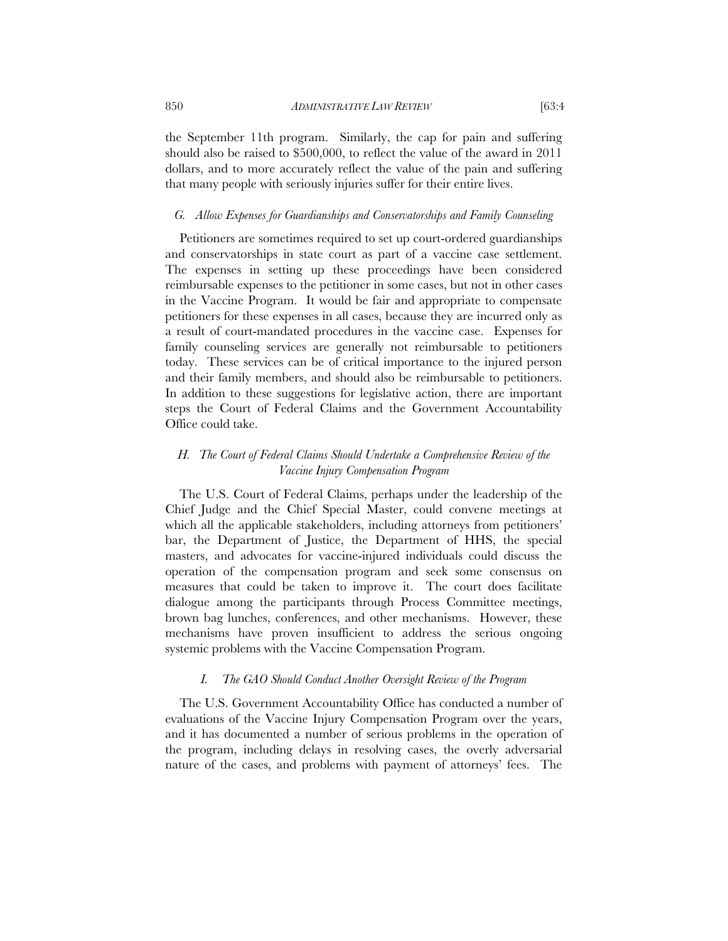the September 11th program. Similarly, the cap for pain and suffering should also be raised to \$500,000, to reflect the value of the award in 2011 dollars, and to more accurately reflect the value of the pain and suffering that many people with seriously injuries suffer for their entire lives.

# *G. Allow Expenses for Guardianships and Conservatorships and Family Counseling*

Petitioners are sometimes required to set up court-ordered guardianships and conservatorships in state court as part of a vaccine case settlement. The expenses in setting up these proceedings have been considered reimbursable expenses to the petitioner in some cases, but not in other cases in the Vaccine Program. It would be fair and appropriate to compensate petitioners for these expenses in all cases, because they are incurred only as a result of court-mandated procedures in the vaccine case. Expenses for family counseling services are generally not reimbursable to petitioners today. These services can be of critical importance to the injured person and their family members, and should also be reimbursable to petitioners. In addition to these suggestions for legislative action, there are important steps the Court of Federal Claims and the Government Accountability Office could take.

# *H. The Court of Federal Claims Should Undertake a Comprehensive Review of the Vaccine Injury Compensation Program*

The U.S. Court of Federal Claims, perhaps under the leadership of the Chief Judge and the Chief Special Master, could convene meetings at which all the applicable stakeholders, including attorneys from petitioners' bar, the Department of Justice, the Department of HHS, the special masters, and advocates for vaccine-injured individuals could discuss the operation of the compensation program and seek some consensus on measures that could be taken to improve it. The court does facilitate dialogue among the participants through Process Committee meetings, brown bag lunches, conferences, and other mechanisms. However, these mechanisms have proven insufficient to address the serious ongoing systemic problems with the Vaccine Compensation Program.

## *I. The GAO Should Conduct Another Oversight Review of the Program*

The U.S. Government Accountability Office has conducted a number of evaluations of the Vaccine Injury Compensation Program over the years, and it has documented a number of serious problems in the operation of the program, including delays in resolving cases, the overly adversarial nature of the cases, and problems with payment of attorneys' fees. The